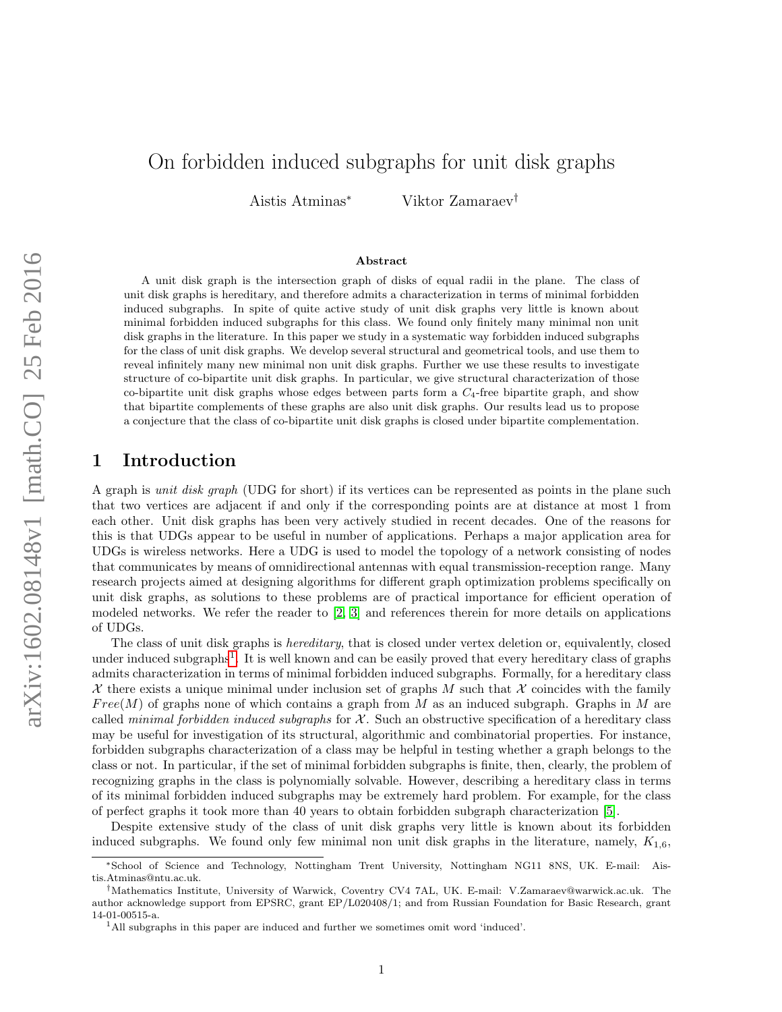# On forbidden induced subgraphs for unit disk graphs

Aistis Atminas<sup>∗</sup> Viktor Zamaraev†

#### Abstract

A unit disk graph is the intersection graph of disks of equal radii in the plane. The class of unit disk graphs is hereditary, and therefore admits a characterization in terms of minimal forbidden induced subgraphs. In spite of quite active study of unit disk graphs very little is known about minimal forbidden induced subgraphs for this class. We found only finitely many minimal non unit disk graphs in the literature. In this paper we study in a systematic way forbidden induced subgraphs for the class of unit disk graphs. We develop several structural and geometrical tools, and use them to reveal infinitely many new minimal non unit disk graphs. Further we use these results to investigate structure of co-bipartite unit disk graphs. In particular, we give structural characterization of those co-bipartite unit disk graphs whose edges between parts form a  $C_4$ -free bipartite graph, and show that bipartite complements of these graphs are also unit disk graphs. Our results lead us to propose a conjecture that the class of co-bipartite unit disk graphs is closed under bipartite complementation.

### 1 Introduction

A graph is unit disk graph (UDG for short) if its vertices can be represented as points in the plane such that two vertices are adjacent if and only if the corresponding points are at distance at most 1 from each other. Unit disk graphs has been very actively studied in recent decades. One of the reasons for this is that UDGs appear to be useful in number of applications. Perhaps a major application area for UDGs is wireless networks. Here a UDG is used to model the topology of a network consisting of nodes that communicates by means of omnidirectional antennas with equal transmission-reception range. Many research projects aimed at designing algorithms for different graph optimization problems specifically on unit disk graphs, as solutions to these problems are of practical importance for efficient operation of modeled networks. We refer the reader to [\[2,](#page-27-0) [3\]](#page-27-1) and references therein for more details on applications of UDGs.

The class of unit disk graphs is *hereditary*, that is closed under vertex deletion or, equivalently, closed under induced subgraphs<sup>[1](#page-0-0)</sup>. It is well known and can be easily proved that every hereditary class of graphs admits characterization in terms of minimal forbidden induced subgraphs. Formally, for a hereditary class X there exists a unique minimal under inclusion set of graphs M such that X coincides with the family  $Free(M)$  of graphs none of which contains a graph from M as an induced subgraph. Graphs in M are called *minimal forbidden induced subgraphs* for  $\mathcal{X}$ . Such an obstructive specification of a hereditary class may be useful for investigation of its structural, algorithmic and combinatorial properties. For instance, forbidden subgraphs characterization of a class may be helpful in testing whether a graph belongs to the class or not. In particular, if the set of minimal forbidden subgraphs is finite, then, clearly, the problem of recognizing graphs in the class is polynomially solvable. However, describing a hereditary class in terms of its minimal forbidden induced subgraphs may be extremely hard problem. For example, for the class of perfect graphs it took more than 40 years to obtain forbidden subgraph characterization [\[5\]](#page-27-2).

Despite extensive study of the class of unit disk graphs very little is known about its forbidden induced subgraphs. We found only few minimal non unit disk graphs in the literature, namely,  $K_{1,6}$ ,

<sup>∗</sup>School of Science and Technology, Nottingham Trent University, Nottingham NG11 8NS, UK. E-mail: Aistis.Atminas@ntu.ac.uk.

<sup>†</sup>Mathematics Institute, University of Warwick, Coventry CV4 7AL, UK. E-mail: V.Zamaraev@warwick.ac.uk. The author acknowledge support from EPSRC, grant EP/L020408/1; and from Russian Foundation for Basic Research, grant 14-01-00515-a.

<span id="page-0-0"></span><sup>1</sup>All subgraphs in this paper are induced and further we sometimes omit word 'induced'.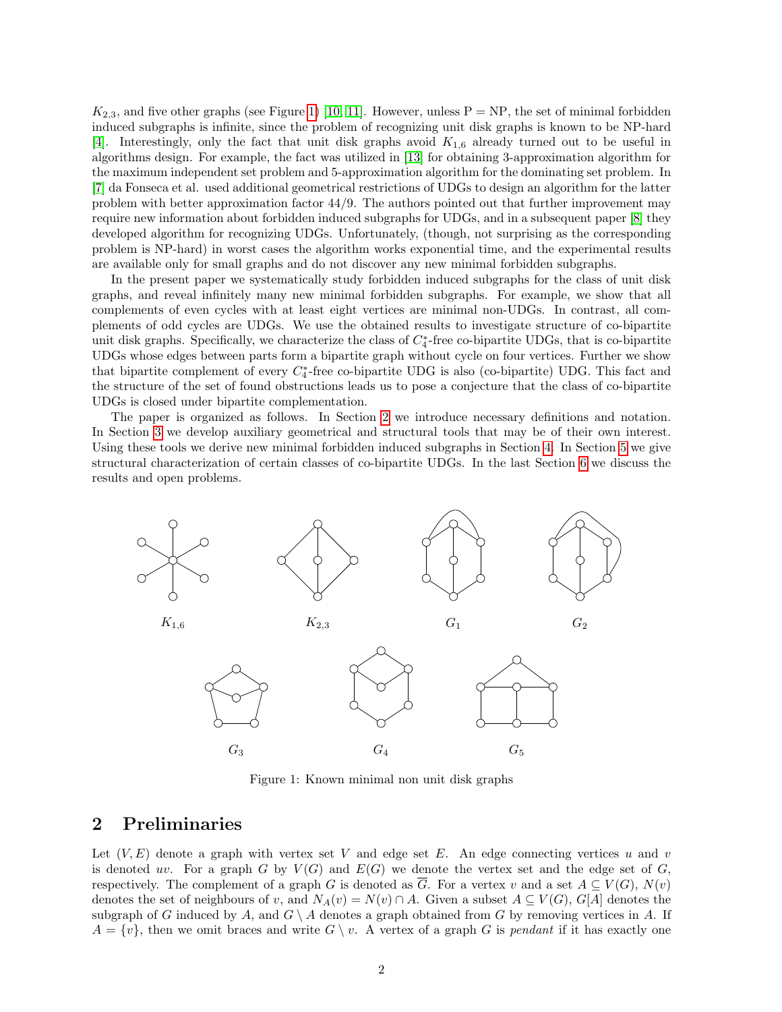$K_{2,3}$ , and five other graphs (see Figure [1\)](#page-1-0) [\[10,](#page-27-3) [11\]](#page-27-4). However, unless  $P = NP$ , the set of minimal forbidden induced subgraphs is infinite, since the problem of recognizing unit disk graphs is known to be NP-hard [\[4\]](#page-27-5). Interestingly, only the fact that unit disk graphs avoid  $K_{1,6}$  already turned out to be useful in algorithms design. For example, the fact was utilized in [\[13\]](#page-27-6) for obtaining 3-approximation algorithm for the maximum independent set problem and 5-approximation algorithm for the dominating set problem. In [\[7\]](#page-27-7) da Fonseca et al. used additional geometrical restrictions of UDGs to design an algorithm for the latter problem with better approximation factor 44/9. The authors pointed out that further improvement may require new information about forbidden induced subgraphs for UDGs, and in a subsequent paper [\[8\]](#page-27-8) they developed algorithm for recognizing UDGs. Unfortunately, (though, not surprising as the corresponding problem is NP-hard) in worst cases the algorithm works exponential time, and the experimental results are available only for small graphs and do not discover any new minimal forbidden subgraphs.

In the present paper we systematically study forbidden induced subgraphs for the class of unit disk graphs, and reveal infinitely many new minimal forbidden subgraphs. For example, we show that all complements of even cycles with at least eight vertices are minimal non-UDGs. In contrast, all complements of odd cycles are UDGs. We use the obtained results to investigate structure of co-bipartite unit disk graphs. Specifically, we characterize the class of  $C_4^*$ -free co-bipartite UDGs, that is co-bipartite UDGs whose edges between parts form a bipartite graph without cycle on four vertices. Further we show that bipartite complement of every  $C_4^*$ -free co-bipartite UDG is also (co-bipartite) UDG. This fact and the structure of the set of found obstructions leads us to pose a conjecture that the class of co-bipartite UDGs is closed under bipartite complementation.

The paper is organized as follows. In Section [2](#page-1-1) we introduce necessary definitions and notation. In Section [3](#page-2-0) we develop auxiliary geometrical and structural tools that may be of their own interest. Using these tools we derive new minimal forbidden induced subgraphs in Section [4.](#page-5-0) In Section [5](#page-7-0) we give structural characterization of certain classes of co-bipartite UDGs. In the last Section [6](#page-26-0) we discuss the results and open problems.

<span id="page-1-0"></span>

Figure 1: Known minimal non unit disk graphs

## <span id="page-1-1"></span>2 Preliminaries

Let  $(V, E)$  denote a graph with vertex set V and edge set E. An edge connecting vertices u and v is denoted w. For a graph G by  $V(G)$  and  $E(G)$  we denote the vertex set and the edge set of G, respectively. The complement of a graph G is denoted as  $\overline{G}$ . For a vertex v and a set  $A \subseteq V(G)$ ,  $N(v)$ denotes the set of neighbours of v, and  $N_A(v) = N(v) \cap A$ . Given a subset  $A \subseteq V(G)$ ,  $G[A]$  denotes the subgraph of G induced by A, and  $G \setminus A$  denotes a graph obtained from G by removing vertices in A. If  $A = \{v\}$ , then we omit braces and write  $G \setminus v$ . A vertex of a graph G is pendant if it has exactly one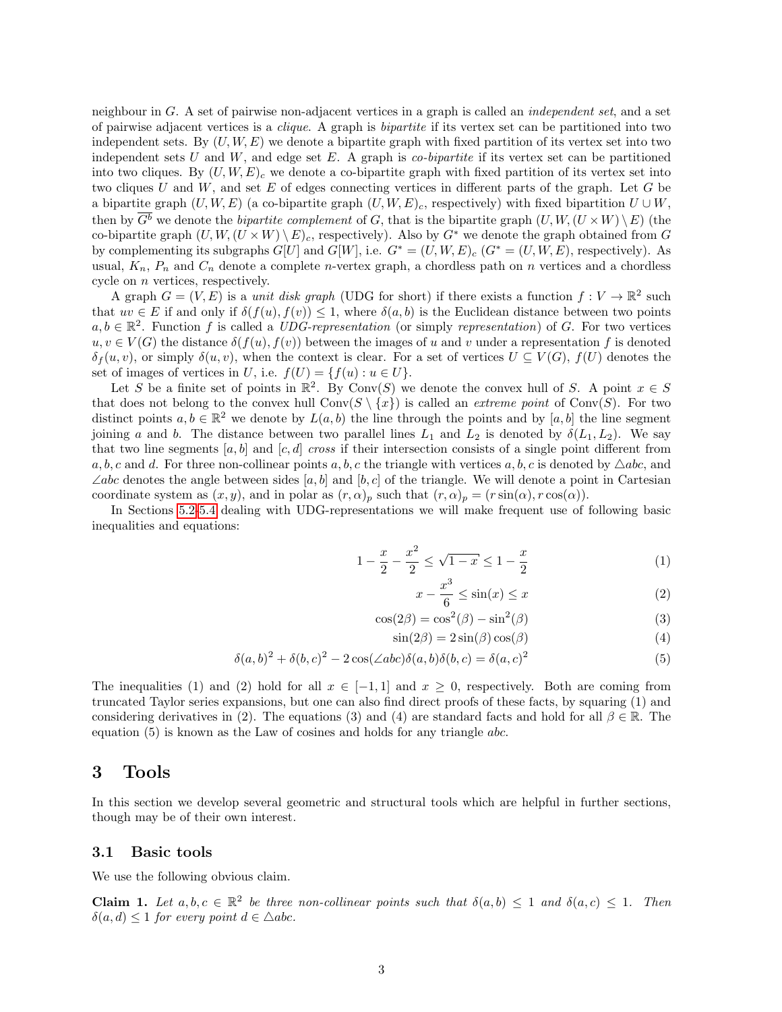neighbour in G. A set of pairwise non-adjacent vertices in a graph is called an independent set, and a set of pairwise adjacent vertices is a clique. A graph is bipartite if its vertex set can be partitioned into two independent sets. By  $(U, W, E)$  we denote a bipartite graph with fixed partition of its vertex set into two independent sets U and  $W$ , and edge set E. A graph is *co-bipartite* if its vertex set can be partitioned into two cliques. By  $(U, W, E)_{c}$  we denote a co-bipartite graph with fixed partition of its vertex set into two cliques U and W, and set E of edges connecting vertices in different parts of the graph. Let G be a bipartite graph  $(U, W, E)$  (a co-bipartite graph  $(U, W, E)$ <sub>c</sub>, respectively) with fixed bipartition  $U \cup W$ , then by  $\overline{G^b}$  we denote the *bipartite complement* of G, that is the bipartite graph  $(U, W, (U \times W) \setminus E)$  (the co-bipartite graph  $(U, W, (U \times W) \setminus E)_c$ , respectively). Also by  $G^*$  we denote the graph obtained from G by complementing its subgraphs  $G[U]$  and  $G[W]$ , i.e.  $G^* = (U, W, E)_c$   $(G^* = (U, W, E)$ , respectively). As usual,  $K_n$ ,  $P_n$  and  $C_n$  denote a complete *n*-vertex graph, a chordless path on *n* vertices and a chordless cycle on n vertices, respectively.

A graph  $G = (V, E)$  is a *unit disk graph* (UDG for short) if there exists a function  $f: V \to \mathbb{R}^2$  such that  $uv \in E$  if and only if  $\delta(f(u), f(v)) \leq 1$ , where  $\delta(a, b)$  is the Euclidean distance between two points  $a, b \in \mathbb{R}^2$ . Function f is called a UDG-representation (or simply representation) of G. For two vertices  $u, v \in V(G)$  the distance  $\delta(f(u), f(v))$  between the images of u and v under a representation f is denoted  $\delta_f(u, v)$ , or simply  $\delta(u, v)$ , when the context is clear. For a set of vertices  $U \subseteq V(G)$ ,  $f(U)$  denotes the set of images of vertices in U, i.e.  $f(U) = \{f(u) : u \in U\}.$ 

Let S be a finite set of points in  $\mathbb{R}^2$ . By Conv(S) we denote the convex hull of S. A point  $x \in S$ that does not belong to the convex hull  $Conv(S \setminus \{x\})$  is called an *extreme point* of  $Conv(S)$ . For two distinct points  $a, b \in \mathbb{R}^2$  we denote by  $L(a, b)$  the line through the points and by  $[a, b]$  the line segment joining a and b. The distance between two parallel lines  $L_1$  and  $L_2$  is denoted by  $\delta(L_1, L_2)$ . We say that two line segments  $[a, b]$  and  $[c, d]$  cross if their intersection consists of a single point different from a, b, c and d. For three non-collinear points a, b, c the triangle with vertices a, b, c is denoted by  $\triangle abc$ , and  $\angle abc$  denotes the angle between sides [a, b] and [b, c] of the triangle. We will denote a point in Cartesian coordinate system as  $(x, y)$ , and in polar as  $(r, \alpha)_p$  such that  $(r, \alpha)_p = (r \sin(\alpha), r \cos(\alpha)).$ 

In Sections [5.2-](#page-11-0)[5.4](#page-25-0) dealing with UDG-representations we will make frequent use of following basic inequalities and equations:

$$
1 - \frac{x}{2} - \frac{x^2}{2} \le \sqrt{1 - x} \le 1 - \frac{x}{2} \tag{1}
$$

$$
x - \frac{x^3}{6} \le \sin(x) \le x \tag{2}
$$

$$
\cos(2\beta) = \cos^2(\beta) - \sin^2(\beta) \tag{3}
$$

$$
\sin(2\beta) = 2\sin(\beta)\cos(\beta) \tag{4}
$$

$$
\delta(a,b)^2 + \delta(b,c)^2 - 2\cos(\angle abc)\delta(a,b)\delta(b,c) = \delta(a,c)^2
$$
\n(5)

The inequalities (1) and (2) hold for all  $x \in [-1,1]$  and  $x \ge 0$ , respectively. Both are coming from truncated Taylor series expansions, but one can also find direct proofs of these facts, by squaring (1) and considering derivatives in (2). The equations (3) and (4) are standard facts and hold for all  $\beta \in \mathbb{R}$ . The equation (5) is known as the Law of cosines and holds for any triangle abc.

### <span id="page-2-0"></span>3 Tools

In this section we develop several geometric and structural tools which are helpful in further sections, though may be of their own interest.

#### 3.1 Basic tools

We use the following obvious claim.

<span id="page-2-1"></span>**Claim 1.** Let  $a, b, c \in \mathbb{R}^2$  be three non-collinear points such that  $\delta(a, b) \leq 1$  and  $\delta(a, c) \leq 1$ . Then  $\delta(a, d) \leq 1$  for every point  $d \in \triangle abc$ .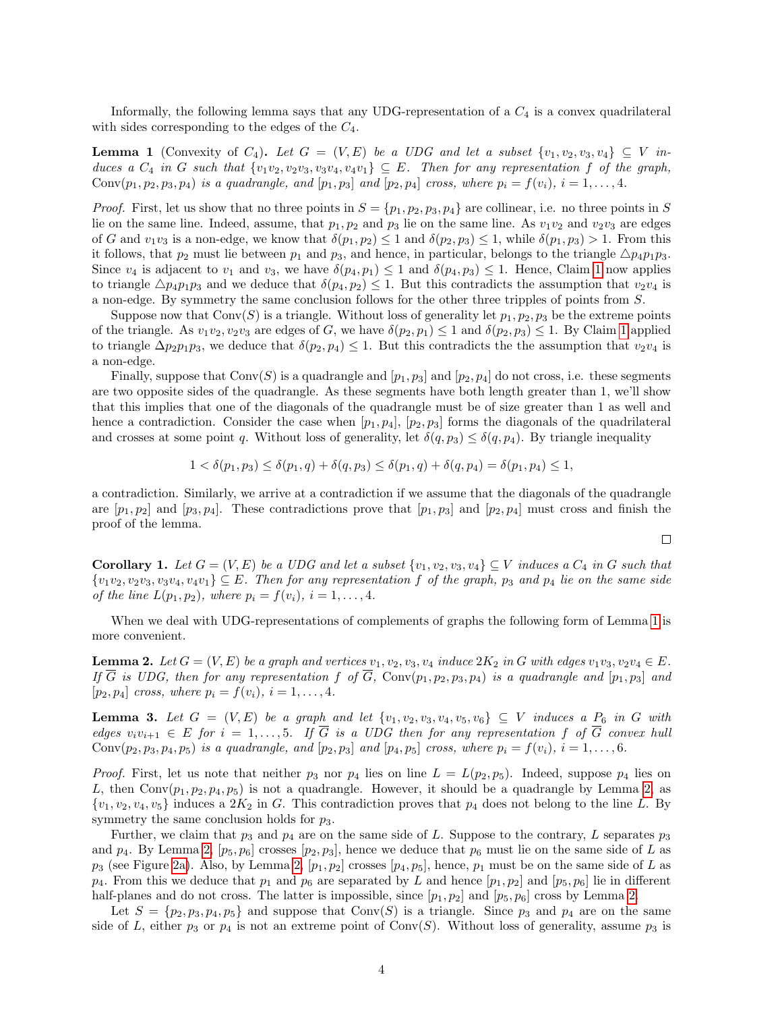Informally, the following lemma says that any UDG-representation of a  $C_4$  is a convex quadrilateral with sides corresponding to the edges of the  $C_4$ .

<span id="page-3-0"></span>**Lemma 1** (Convexity of  $C_4$ ). Let  $G = (V, E)$  be a UDG and let a subset  $\{v_1, v_2, v_3, v_4\} \subseteq V$  induces a  $C_4$  in G such that  $\{v_1v_2, v_2v_3, v_3v_4, v_4v_1\} \subseteq E$ . Then for any representation f of the graph, Conv $(p_1, p_2, p_3, p_4)$  is a quadrangle, and  $[p_1, p_3]$  and  $[p_2, p_4]$  cross, where  $p_i = f(v_i)$ ,  $i = 1, ..., 4$ .

*Proof.* First, let us show that no three points in  $S = \{p_1, p_2, p_3, p_4\}$  are collinear, i.e. no three points in S lie on the same line. Indeed, assume, that  $p_1, p_2$  and  $p_3$  lie on the same line. As  $v_1v_2$  and  $v_2v_3$  are edges of G and  $v_1v_3$  is a non-edge, we know that  $\delta(p_1, p_2) \leq 1$  and  $\delta(p_2, p_3) \leq 1$ , while  $\delta(p_1, p_3) > 1$ . From this it follows, that  $p_2$  must lie between  $p_1$  and  $p_3$ , and hence, in particular, belongs to the triangle  $\triangle p_4p_1p_3$ . Since  $v_4$  is adjacent to  $v_1$  and  $v_3$ , we have  $\delta(p_4, p_1) \leq 1$  $\delta(p_4, p_1) \leq 1$  and  $\delta(p_4, p_3) \leq 1$ . Hence, Claim 1 now applies to triangle  $\Delta p_4p_1p_3$  and we deduce that  $\delta(p_4, p_2) \leq 1$ . But this contradicts the assumption that  $v_2v_4$  is a non-edge. By symmetry the same conclusion follows for the other three tripples of points from S.

Suppose now that  $Conv(S)$  is a triangle. Without loss of generality let  $p_1, p_2, p_3$  be the extreme points of the triangle. As  $v_1v_2, v_2v_3$  are edges of G, we have  $\delta(p_2, p_1) \leq 1$  $\delta(p_2, p_1) \leq 1$  and  $\delta(p_2, p_3) \leq 1$ . By Claim 1 applied to triangle  $\Delta p_2 p_1 p_3$ , we deduce that  $\delta(p_2, p_4) \leq 1$ . But this contradicts the the assumption that  $v_2v_4$  is a non-edge.

Finally, suppose that  $Conv(S)$  is a quadrangle and  $[p_1, p_3]$  and  $[p_2, p_4]$  do not cross, i.e. these segments are two opposite sides of the quadrangle. As these segments have both length greater than 1, we'll show that this implies that one of the diagonals of the quadrangle must be of size greater than 1 as well and hence a contradiction. Consider the case when  $[p_1, p_4], [p_2, p_3]$  forms the diagonals of the quadrilateral and crosses at some point q. Without loss of generality, let  $\delta(q, p_3) \leq \delta(q, p_4)$ . By triangle inequality

$$
1 < \delta(p_1, p_3) \le \delta(p_1, q) + \delta(q, p_3) \le \delta(p_1, q) + \delta(q, p_4) = \delta(p_1, p_4) \le 1,
$$

a contradiction. Similarly, we arrive at a contradiction if we assume that the diagonals of the quadrangle are  $[p_1, p_2]$  and  $[p_3, p_4]$ . These contradictions prove that  $[p_1, p_3]$  and  $[p_2, p_4]$  must cross and finish the proof of the lemma.

<span id="page-3-2"></span>**Corollary 1.** Let  $G = (V, E)$  be a UDG and let a subset  $\{v_1, v_2, v_3, v_4\} \subseteq V$  induces a  $C_4$  in G such that  ${v_1v_2, v_2v_3, v_3v_4, v_4v_1} \subseteq E$ . Then for any representation f of the graph,  $p_3$  and  $p_4$  lie on the same side of the line  $L(p_1, p_2)$ , where  $p_i = f(v_i)$ ,  $i = 1, ..., 4$ .

When we deal with UDG-representations of complements of graphs the following form of Lemma [1](#page-3-0) is more convenient.

<span id="page-3-1"></span>**Lemma 2.** Let  $G = (V, E)$  be a graph and vertices  $v_1, v_2, v_3, v_4$  induce  $2K_2$  in G with edges  $v_1v_3, v_2v_4 \in E$ . If  $\overline{G}$  is UDG, then for any representation f of  $\overline{G}$ , Conv $(p_1, p_2, p_3, p_4)$  is a quadrangle and  $[p_1, p_3]$  and  $[p_2, p_4]$  cross, where  $p_i = f(v_i), i = 1, ..., 4$ .

<span id="page-3-3"></span>**Lemma 3.** Let  $G = (V, E)$  be a graph and let  $\{v_1, v_2, v_3, v_4, v_5, v_6\} \subseteq V$  induces a  $P_6$  in G with edges  $v_i v_{i+1} \in E$  for  $i = 1, \ldots, 5$ . If  $\overline{G}$  is a UDG then for any representation f of  $\overline{G}$  convex hull Conv $(p_2, p_3, p_4, p_5)$  is a quadrangle, and  $[p_2, p_3]$  and  $[p_4, p_5]$  cross, where  $p_i = f(v_i), i = 1, ..., 6$ .

*Proof.* First, let us note that neither  $p_3$  nor  $p_4$  lies on line  $L = L(p_2, p_5)$ . Indeed, suppose  $p_4$  lies on L, then  $Conv(p_1, p_2, p_4, p_5)$  is not a quadrangle. However, it should be a quadrangle by Lemma [2,](#page-3-1) as  $\{v_1, v_2, v_4, v_5\}$  induces a  $2K_2$  in G. This contradiction proves that  $p_4$  does not belong to the line L. By symmetry the same conclusion holds for  $p_3$ .

Further, we claim that  $p_3$  and  $p_4$  are on the same side of L. Suppose to the contrary, L separates  $p_3$ and  $p_4$ . By Lemma [2,](#page-3-1)  $[p_5, p_6]$  crosses  $[p_2, p_3]$ , hence we deduce that  $p_6$  must lie on the same side of L as  $p_3$  (see Figure [2a\)](#page-4-0). Also, by Lemma [2,](#page-3-1)  $[p_1, p_2]$  crosses  $[p_4, p_5]$ , hence,  $p_1$  must be on the same side of L as  $p_4$ . From this we deduce that  $p_1$  and  $p_6$  are separated by L and hence  $[p_1, p_2]$  and  $[p_5, p_6]$  lie in different half-planes and do not cross. The latter is impossible, since  $[p_1, p_2]$  and  $[p_5, p_6]$  cross by Lemma [2.](#page-3-1)

Let  $S = \{p_2, p_3, p_4, p_5\}$  and suppose that Conv(S) is a triangle. Since  $p_3$  and  $p_4$  are on the same side of L, either  $p_3$  or  $p_4$  is not an extreme point of Conv(S). Without loss of generality, assume  $p_3$  is

 $\Box$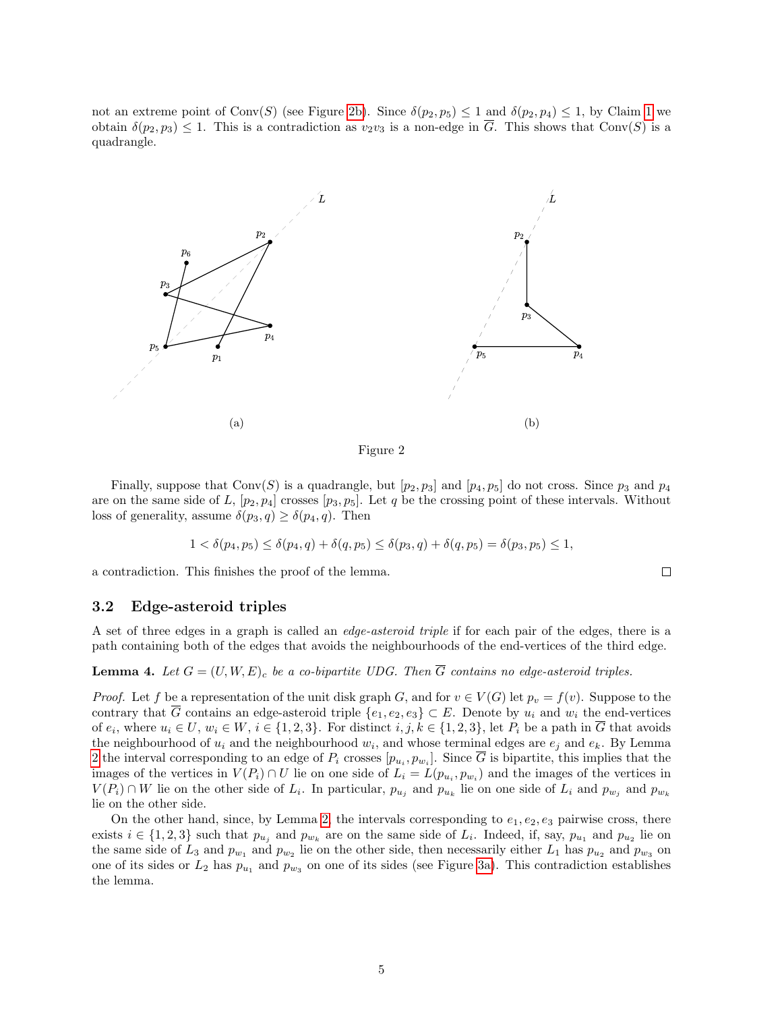not an extreme point of Conv(S) (see Figure [2b\)](#page-4-0). Since  $\delta(p_2, p_5) \leq 1$  $\delta(p_2, p_5) \leq 1$  and  $\delta(p_2, p_4) \leq 1$ , by Claim 1 we obtain  $\delta(p_2, p_3) \leq 1$ . This is a contradiction as  $v_2v_3$  is a non-edge in  $\overline{G}$ . This shows that Conv $(S)$  is a quadrangle.

<span id="page-4-0"></span>

Figure 2

Finally, suppose that  $Conv(S)$  is a quadrangle, but  $[p_2, p_3]$  and  $[p_4, p_5]$  do not cross. Since  $p_3$  and  $p_4$ are on the same side of L,  $[p_2, p_4]$  crosses  $[p_3, p_5]$ . Let q be the crossing point of these intervals. Without loss of generality, assume  $\delta(p_3, q) \geq \delta(p_4, q)$ . Then

$$
1 < \delta(p_4, p_5) \le \delta(p_4, q) + \delta(q, p_5) \le \delta(p_3, q) + \delta(q, p_5) = \delta(p_3, p_5) \le 1,
$$

 $\Box$ 

a contradiction. This finishes the proof of the lemma.

#### 3.2 Edge-asteroid triples

A set of three edges in a graph is called an edge-asteroid triple if for each pair of the edges, there is a path containing both of the edges that avoids the neighbourhoods of the end-vertices of the third edge.

<span id="page-4-1"></span>**Lemma 4.** Let  $G = (U, W, E)_{c}$  be a co-bipartite UDG. Then  $\overline{G}$  contains no edge-asteroid triples.

*Proof.* Let f be a representation of the unit disk graph G, and for  $v \in V(G)$  let  $p_v = f(v)$ . Suppose to the contrary that  $\overline{G}$  contains an edge-asteroid triple  $\{e_1, e_2, e_3\} \subset E$ . Denote by  $u_i$  and  $w_i$  the end-vertices of  $e_i$ , where  $u_i \in U$ ,  $w_i \in W$ ,  $i \in \{1,2,3\}$ . For distinct  $i, j, k \in \{1,2,3\}$ , let  $P_i$  be a path in G that avoids the neighbourhood of  $u_i$  and the neighbourhood  $w_i$ , and whose terminal edges are  $e_j$  and  $e_k$ . By Lemma [2](#page-3-1) the interval corresponding to an edge of  $P_i$  crosses  $[p_{u_i}, p_{w_i}]$ . Since G is bipartite, this implies that the images of the vertices in  $V(P_i) \cap U$  lie on one side of  $L_i = L(p_{u_i}, p_{w_i})$  and the images of the vertices in  $V(P_i) \cap W$  lie on the other side of  $L_i$ . In particular,  $p_{u_j}$  and  $p_{u_k}$  lie on one side of  $L_i$  and  $p_{w_j}$  and  $p_{w_k}$ lie on the other side.

On the other hand, since, by Lemma [2,](#page-3-1) the intervals corresponding to  $e_1, e_2, e_3$  pairwise cross, there exists  $i \in \{1,2,3\}$  such that  $p_{u_j}$  and  $p_{w_k}$  are on the same side of  $L_i$ . Indeed, if, say,  $p_{u_1}$  and  $p_{u_2}$  lie on the same side of  $L_3$  and  $p_{w_1}$  and  $p_{w_2}$  lie on the other side, then necessarily either  $L_1$  has  $p_{u_2}$  and  $p_{w_3}$  on one of its sides or  $L_2$  has  $p_{u_1}$  and  $p_{w_3}$  on one of its sides (see Figure [3a\)](#page-5-1). This contradiction establishes the lemma.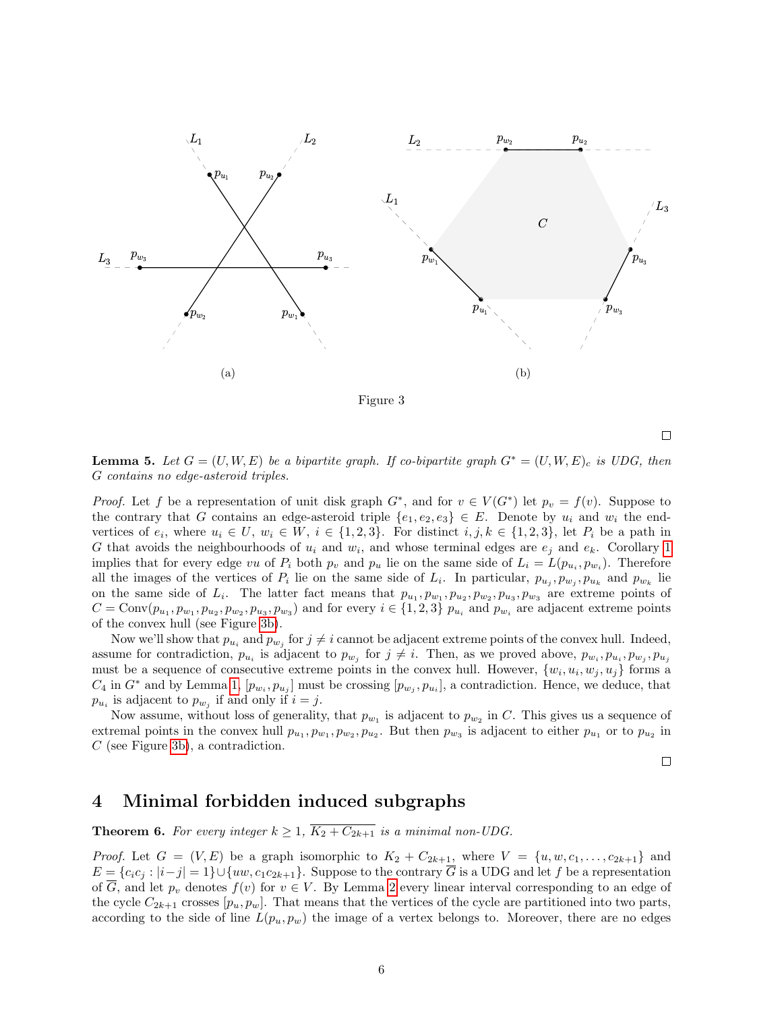<span id="page-5-1"></span>

<span id="page-5-2"></span>**Lemma 5.** Let  $G = (U, W, E)$  be a bipartite graph. If co-bipartite graph  $G^* = (U, W, E)_c$  is UDG, then G contains no edge-asteroid triples.

*Proof.* Let f be a representation of unit disk graph  $G^*$ , and for  $v \in V(G^*)$  let  $p_v = f(v)$ . Suppose to the contrary that G contains an edge-asteroid triple  $\{e_1, e_2, e_3\} \in E$ . Denote by  $u_i$  and  $w_i$  the endvertices of  $e_i$ , where  $u_i \in U$ ,  $w_i \in W$ ,  $i \in \{1,2,3\}$ . For distinct  $i, j, k \in \{1,2,3\}$ , let  $P_i$  be a path in G that avoids the neighbourhoods of  $u_i$  and  $w_i$ , and whose terminal edges are  $e_j$  and  $e_k$ . Corollary [1](#page-3-2) implies that for every edge vu of  $P_i$  both  $p_v$  and  $p_u$  lie on the same side of  $L_i = L(p_{u_i}, p_{w_i})$ . Therefore all the images of the vertices of  $P_i$  lie on the same side of  $L_i$ . In particular,  $p_{u_j}, p_{w_j}, p_{u_k}$  and  $p_{w_k}$  lie on the same side of  $L_i$ . The latter fact means that  $p_{u_1}, p_{w_1}, p_{u_2}, p_{w_2}, p_{u_3}, p_{w_3}$  are extreme points of  $C = \text{Conv}(p_{u_1}, p_{w_1}, p_{u_2}, p_{w_2}, p_{u_3}, p_{w_3})$  and for every  $i \in \{1, 2, 3\}$   $p_{u_i}$  and  $p_{w_i}$  are adjacent extreme points of the convex hull (see Figure [3b\)](#page-5-1).

Now we'll show that  $p_{u_i}$  and  $p_{w_j}$  for  $j \neq i$  cannot be adjacent extreme points of the convex hull. Indeed, assume for contradiction,  $p_{u_i}$  is adjacent to  $p_{w_j}$  for  $j \neq i$ . Then, as we proved above,  $p_{w_i}, p_{u_i}, p_{w_j}, p_{u_j}$ must be a sequence of consecutive extreme points in the convex hull. However,  $\{w_i, u_i, w_j, u_j\}$  forms a  $C_4$  in  $G^*$  and by Lemma [1,](#page-3-0)  $[p_{w_i}, p_{u_j}]$  must be crossing  $[p_{w_j}, p_{u_i}]$ , a contradiction. Hence, we deduce, that  $p_{u_i}$  is adjacent to  $p_{w_j}$  if and only if  $i = j$ .

Now assume, without loss of generality, that  $p_{w_1}$  is adjacent to  $p_{w_2}$  in C. This gives us a sequence of extremal points in the convex hull  $p_{u_1}, p_{w_1}, p_{w_2}, p_{u_2}$ . But then  $p_{w_3}$  is adjacent to either  $p_{u_1}$  or to  $p_{u_2}$  in C (see Figure [3b\)](#page-5-1), a contradiction.

 $\Box$ 

 $\Box$ 

### <span id="page-5-0"></span>4 Minimal forbidden induced subgraphs

**Theorem 6.** For every integer  $k \geq 1$ ,  $\overline{K_2 + C_{2k+1}}$  is a minimal non-UDG.

*Proof.* Let  $G = (V, E)$  be a graph isomorphic to  $K_2 + C_{2k+1}$ , where  $V = \{u, w, c_1, \ldots, c_{2k+1}\}\$  and  $E = \{c_ic_j : |i-j|=1\} \cup \{uw, c_1c_{2k+1}\}.$  Suppose to the contrary  $\overline{G}$  is a UDG and let f be a representation of  $\overline{G}$ , and let  $p_v$  denotes  $f(v)$  for  $v \in V$ . By Lemma [2](#page-3-1) every linear interval corresponding to an edge of the cycle  $C_{2k+1}$  crosses  $[p_u, p_w]$ . That means that the vertices of the cycle are partitioned into two parts, according to the side of line  $L(p_u, p_w)$  the image of a vertex belongs to. Moreover, there are no edges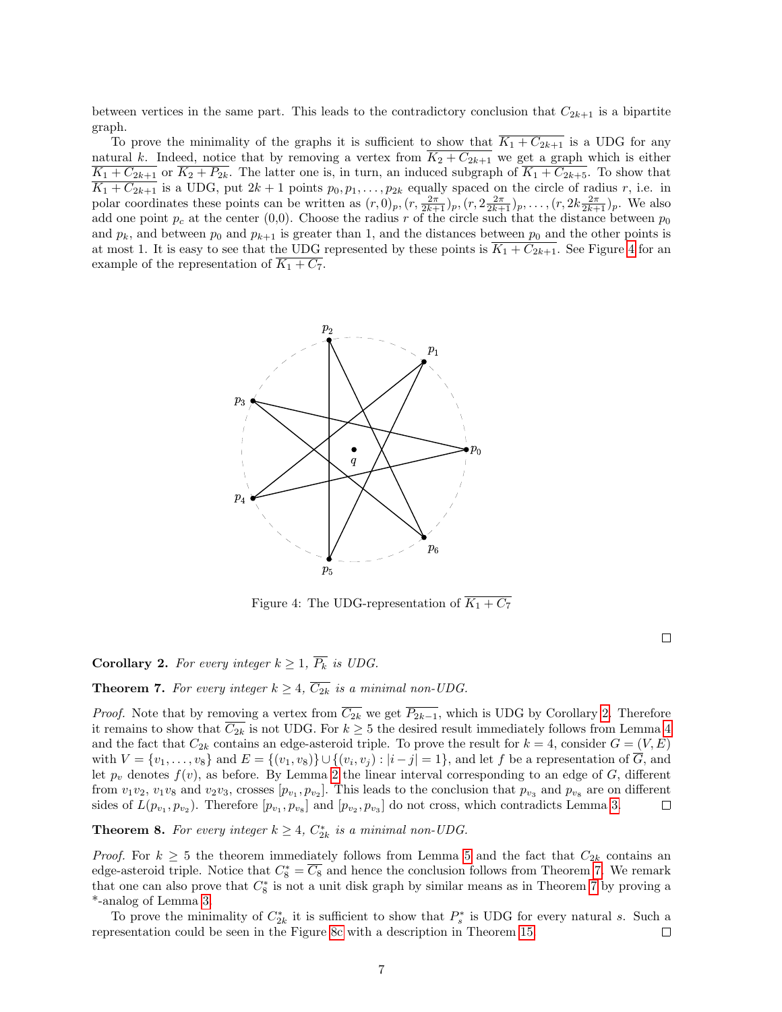between vertices in the same part. This leads to the contradictory conclusion that  $C_{2k+1}$  is a bipartite graph.

To prove the minimality of the graphs it is sufficient to show that  $\overline{K_1 + C_{2k+1}}$  is a UDG for any natural k. Indeed, notice that by removing a vertex from  $\overline{K_2 + C_{2k+1}}$  we get a graph which is either  $\overline{K_1+C_{2k+1}}$  or  $\overline{K_2+P_{2k}}$ . The latter one is, in turn, an induced subgraph of  $\overline{K_1+C_{2k+5}}$ . To show that  $K_1 + C_{2k+1}$  is a UDG, put  $2k+1$  points  $p_0, p_1, \ldots, p_{2k}$  equally spaced on the circle of radius r, i.e. in polar coordinates these points can be written as  $(r,0)_p$ ,  $(r, \frac{2\pi}{2k+1})_p$ ,  $(r, 2\frac{2\pi}{2k+1})_p$ ,  $\ldots$ ,  $(r, 2k\frac{2\pi}{2k+1})_p$ . We also add one point  $p_c$  at the center (0,0). Choose the radius r of the circle such that the distance between  $p_0$ and  $p_k$ , and between  $p_0$  and  $p_{k+1}$  is greater than 1, and the distances between  $p_0$  and the other points is at most 1. It is easy to see that the UDG represented by these points is  $K_1 + C_{2k+1}$ . See Figure [4](#page-6-0) for an example of the representation of  $\overline{K_1 + C_7}$ .

<span id="page-6-0"></span>

Figure 4: The UDG-representation of  $\overline{K_1 + C_7}$ 

 $\Box$ 

<span id="page-6-1"></span>**Corollary 2.** For every integer  $k \geq 1$ ,  $\overline{P_k}$  is UDG.

<span id="page-6-2"></span>**Theorem 7.** For every integer  $k \geq 4$ ,  $\overline{C_{2k}}$  is a minimal non-UDG.

*Proof.* Note that by removing a vertex from  $\overline{C_{2k}}$  we get  $\overline{P_{2k-1}}$ , which is UDG by Corollary [2.](#page-6-1) Therefore it remains to show that  $C_{2k}$  is not UDG. For  $k \geq 5$  the desired result immediately follows from Lemma [4](#page-4-1) and the fact that  $C_{2k}$  contains an edge-asteroid triple. To prove the result for  $k = 4$ , consider  $G = (V, E)$ with  $V = \{v_1, \ldots, v_8\}$  and  $E = \{(v_1, v_8)\} \cup \{(v_i, v_j) : |i - j| = 1\}$ , and let f be a representation of G, and let  $p_v$  denotes  $f(v)$ , as before. By Lemma [2](#page-3-1) the linear interval corresponding to an edge of G, different from  $v_1v_2$ ,  $v_1v_8$  and  $v_2v_3$ , crosses  $[p_{v_1}, p_{v_2}]$ . This leads to the conclusion that  $p_{v_3}$  and  $p_{v_8}$  are on different sides of  $L(p_{v_1}, p_{v_2})$ . Therefore  $[p_{v_1}, p_{v_8}]$  and  $[p_{v_2}, p_{v_3}]$  do not cross, which contradicts Lemma [3.](#page-3-3)  $\Box$ 

**Theorem 8.** For every integer  $k \geq 4$ ,  $C_{2k}^*$  is a minimal non-UDG.

*Proof.* For  $k \geq 5$  $k \geq 5$  the theorem immediately follows from Lemma 5 and the fact that  $C_{2k}$  contains an edge-asteroid triple. Notice that  $C_8^* = \overline{C_8}$  and hence the conclusion follows from Theorem [7.](#page-6-2) We remark that one can also prove that  $C_8^*$  is not a unit disk graph by similar means as in Theorem [7](#page-6-2) by proving a \*-analog of Lemma [3.](#page-3-3)

To prove the minimality of  $C_{2k}^*$  it is sufficient to show that  $P_s^*$  is UDG for every natural s. Such a representation could be seen in the Figure [8c](#page-13-0) with a description in Theorem [15.](#page-12-0)  $\Box$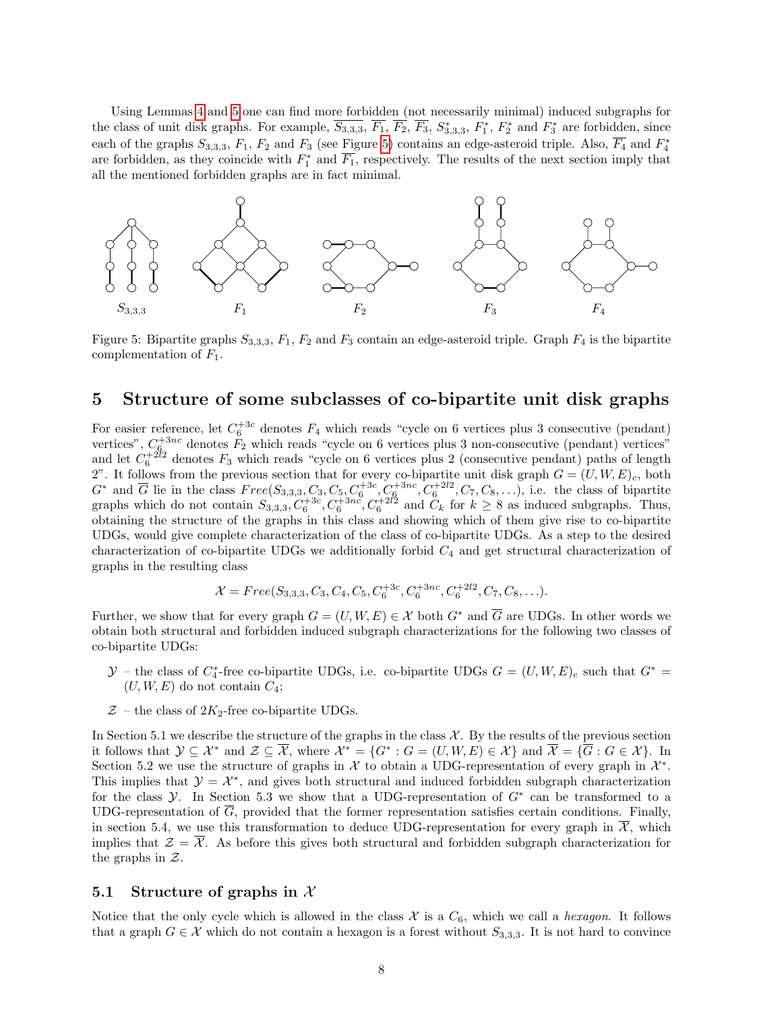Using Lemmas [4](#page-4-1) and [5](#page-5-2) one can find more forbidden (not necessarily minimal) induced subgraphs for the class of unit disk graphs. For example,  $\overline{S_{3,3,3}}$ ,  $\overline{F_1}$ ,  $\overline{F_2}$ ,  $\overline{F_3}$ ,  $S_{3,3,3}^*$ ,  $F_1^*$ ,  $F_2^*$  and  $F_3^*$  are forbidden, since each of the graphs  $S_{3,3,3}$ ,  $F_1$ ,  $F_2$  and  $F_3$  (see Figure [5\)](#page-7-1) contains an edge-asteroid triple. Also,  $\overline{F_4}$  and  $F_4^*$ are forbidden, as they coincide with  $F_1^*$  and  $\overline{F_1}$ , respectively. The results of the next section imply that all the mentioned forbidden graphs are in fact minimal.

<span id="page-7-1"></span>

Figure 5: Bipartite graphs  $S_{3,3,3}$ ,  $F_1$ ,  $F_2$  and  $F_3$  contain an edge-asteroid triple. Graph  $F_4$  is the bipartite complementation of  $F_1$ .

### <span id="page-7-0"></span>5 Structure of some subclasses of co-bipartite unit disk graphs

For easier reference, let  $C_6^{+3c}$  denotes  $F_4$  which reads "cycle on 6 vertices plus 3 consecutive (pendant) vertices",  $C_6^{+3nc}$  denotes  $F_2$  which reads "cycle on 6 vertices plus 3 non-consecutive (pendant) vertices" and let  $C_6^{+2l_2}$  denotes  $F_3$  which reads "cycle on 6 vertices plus 2 (consecutive pendant) paths of length 2". It follows from the previous section that for every co-bipartite unit disk graph  $G = (U, W, E)_{c}$ , both  $G^*$  and  $\overline{G}$  lie in the class  $Free(S_{3,3,3},\overline{C_3},C_5,C_6^{+3c},C_6^{+3nc},C_6^{+2l2},C_7,C_8,\ldots)$ , i.e. the class of bipartite graphs which do not contain  $S_{3,3,3}$ ,  $C_6^{+3c}$ ,  $C_6^{+3nc}$ ,  $C_6^{+2l2}$  and  $C_k$  for  $k \geq 8$  as induced subgraphs. Thus, obtaining the structure of the graphs in this class and showing which of them give rise to co-bipartite UDGs, would give complete characterization of the class of co-bipartite UDGs. As a step to the desired characterization of co-bipartite UDGs we additionally forbid  $C_4$  and get structural characterization of graphs in the resulting class

$$
\mathcal{X} = Free(S_{3,3,3}, C_3, C_4, C_5, C_6^{+3c}, C_6^{+3nc}, C_6^{+2l2}, C_7, C_8, \ldots).
$$

Further, we show that for every graph  $G = (U, W, E) \in \mathcal{X}$  both  $G^*$  and  $\overline{G}$  are UDGs. In other words we obtain both structural and forbidden induced subgraph characterizations for the following two classes of co-bipartite UDGs:

- $\mathcal{Y}$  the class of  $C_4^*$ -free co-bipartite UDGs, i.e. co-bipartite UDGs  $G = (U, W, E)_c$  such that  $G^*$  $(U, W, E)$  do not contain  $C_4$ ;
- $Z$  the class of  $2K_2$ -free co-bipartite UDGs.

In Section 5.1 we describe the structure of the graphs in the class  $\mathcal{X}$ . By the results of the previous section it follows that  $\mathcal{Y} \subseteq \mathcal{X}^*$  and  $\mathcal{Z} \subseteq \overline{\mathcal{X}}$ , where  $\mathcal{X}^* = \{G^* : G = (U, W, E) \in \mathcal{X}\}$  and  $\overline{\mathcal{X}} = \{\overline{G} : G \in \mathcal{X}\}\$ . In Section 5.2 we use the structure of graphs in  $\mathcal X$  to obtain a UDG-representation of every graph in  $\mathcal X^*$ . This implies that  $\mathcal{Y} = \mathcal{X}^*$ , and gives both structural and induced forbidden subgraph characterization for the class  $\mathcal Y$ . In Section 5.3 we show that a UDG-representation of  $G^*$  can be transformed to a UDG-representation of  $\overline{G}$ , provided that the former representation satisfies certain conditions. Finally, in section 5.4, we use this transformation to deduce UDG-representation for every graph in  $\mathcal{X}$ , which implies that  $\mathcal{Z} = \overline{\mathcal{X}}$ . As before this gives both structural and forbidden subgraph characterization for the graphs in  $Z$ .

#### <span id="page-7-2"></span>5.1 Structure of graphs in  $\mathcal X$

Notice that the only cycle which is allowed in the class  $\mathcal X$  is a  $C_6$ , which we call a hexagon. It follows that a graph  $G \in \mathcal{X}$  which do not contain a hexagon is a forest without  $S_{3,3,3}$ . It is not hard to convince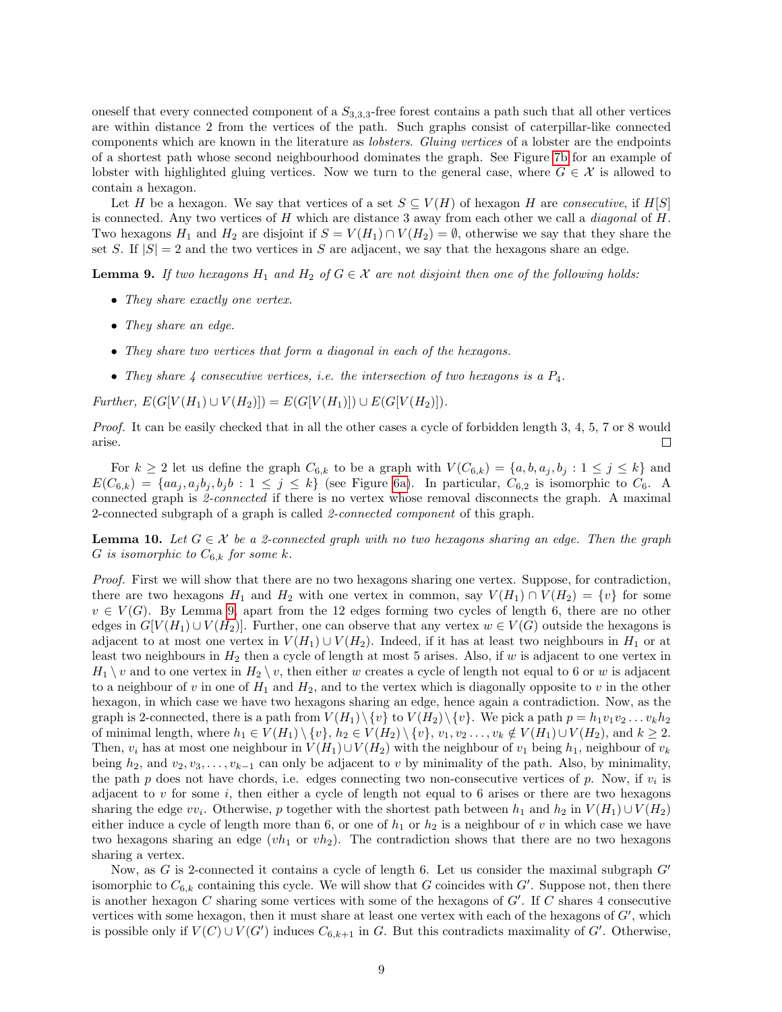oneself that every connected component of a  $S_{3,3,3}$ -free forest contains a path such that all other vertices are within distance 2 from the vertices of the path. Such graphs consist of caterpillar-like connected components which are known in the literature as lobsters. Gluing vertices of a lobster are the endpoints of a shortest path whose second neighbourhood dominates the graph. See Figure [7b](#page-11-1) for an example of lobster with highlighted gluing vertices. Now we turn to the general case, where  $G \in \mathcal{X}$  is allowed to contain a hexagon.

Let H be a hexagon. We say that vertices of a set  $S \subseteq V(H)$  of hexagon H are consecutive, if H[S] is connected. Any two vertices of  $H$  which are distance 3 away from each other we call a *diagonal* of  $H$ . Two hexagons  $H_1$  and  $H_2$  are disjoint if  $S = V(H_1) \cap V(H_2) = \emptyset$ , otherwise we say that they share the set S. If  $|S| = 2$  and the two vertices in S are adjacent, we say that the hexagons share an edge.

<span id="page-8-0"></span>**Lemma 9.** If two hexagons  $H_1$  and  $H_2$  of  $G \in \mathcal{X}$  are not disjoint then one of the following holds:

- They share exactly one vertex.
- They share an edge.
- They share two vertices that form a diagonal in each of the hexagons.
- They share 4 consecutive vertices, i.e. the intersection of two hexagons is a  $P_4$ .

 $Further, E(G[V(H_1) \cup V(H_2)]) = E(G[V(H_1)]) \cup E(G[V(H_2)]).$ 

Proof. It can be easily checked that in all the other cases a cycle of forbidden length 3, 4, 5, 7 or 8 would arise.  $\Box$ 

For  $k \geq 2$  let us define the graph  $C_{6,k}$  to be a graph with  $V(C_{6,k}) = \{a, b, a_j, b_j : 1 \leq j \leq k\}$  and  $E(C_{6,k}) = \{aa_j, a_j b_j, b_j b : 1 \leq j \leq k\}$  (see Figure [6a\)](#page-9-0). In particular,  $C_{6,2}$  is isomorphic to  $C_6$ . A connected graph is 2-connected if there is no vertex whose removal disconnects the graph. A maximal 2-connected subgraph of a graph is called 2-connected component of this graph.

<span id="page-8-1"></span>**Lemma 10.** Let  $G \in \mathcal{X}$  be a 2-connected graph with no two hexagons sharing an edge. Then the graph G is isomorphic to  $C_{6,k}$  for some k.

Proof. First we will show that there are no two hexagons sharing one vertex. Suppose, for contradiction, there are two hexagons  $H_1$  and  $H_2$  with one vertex in common, say  $V(H_1) \cap V(H_2) = \{v\}$  for some  $v \in V(G)$ . By Lemma [9,](#page-8-0) apart from the 12 edges forming two cycles of length 6, there are no other edges in  $G[V(H_1) \cup V(H_2)]$ . Further, one can observe that any vertex  $w \in V(G)$  outside the hexagons is adjacent to at most one vertex in  $V(H_1) \cup V(H_2)$ . Indeed, if it has at least two neighbours in  $H_1$  or at least two neighbours in  $H_2$  then a cycle of length at most 5 arises. Also, if w is adjacent to one vertex in  $H_1 \setminus v$  and to one vertex in  $H_2 \setminus v$ , then either w creates a cycle of length not equal to 6 or w is adjacent to a neighbour of v in one of  $H_1$  and  $H_2$ , and to the vertex which is diagonally opposite to v in the other hexagon, in which case we have two hexagons sharing an edge, hence again a contradiction. Now, as the graph is 2-connected, there is a path from  $V(H_1)\setminus \{v\}$  to  $V(H_2)\setminus \{v\}$ . We pick a path  $p = h_1v_1v_2...v_kh_2$ of minimal length, where  $h_1 \in V(H_1) \setminus \{v\}$ ,  $h_2 \in V(H_2) \setminus \{v\}$ ,  $v_1, v_2, \ldots, v_k \notin V(H_1) \cup V(H_2)$ , and  $k \geq 2$ . Then,  $v_i$  has at most one neighbour in  $V(H_1) \cup V(H_2)$  with the neighbour of  $v_1$  being  $h_1$ , neighbour of  $v_k$ being  $h_2$ , and  $v_2, v_3, \ldots, v_{k-1}$  can only be adjacent to v by minimality of the path. Also, by minimality, the path  $p$  does not have chords, i.e. edges connecting two non-consecutive vertices of  $p$ . Now, if  $v_i$  is adjacent to  $v$  for some  $i$ , then either a cycle of length not equal to 6 arises or there are two hexagons sharing the edge  $vv_i$ . Otherwise, p together with the shortest path between  $h_1$  and  $h_2$  in  $V(H_1) \cup V(H_2)$ either induce a cycle of length more than 6, or one of  $h_1$  or  $h_2$  is a neighbour of v in which case we have two hexagons sharing an edge  $(vh_1$  or  $vh_2)$ . The contradiction shows that there are no two hexagons sharing a vertex.

Now, as G is 2-connected it contains a cycle of length 6. Let us consider the maximal subgraph  $G'$ isomorphic to  $C_{6,k}$  containing this cycle. We will show that G coincides with  $G'$ . Suppose not, then there is another hexagon  $C$  sharing some vertices with some of the hexagons of  $G'$ . If  $C$  shares 4 consecutive vertices with some hexagon, then it must share at least one vertex with each of the hexagons of  $G'$ , which is possible only if  $V(C) \cup V(G')$  induces  $C_{6,k+1}$  in G. But this contradicts maximality of G'. Otherwise,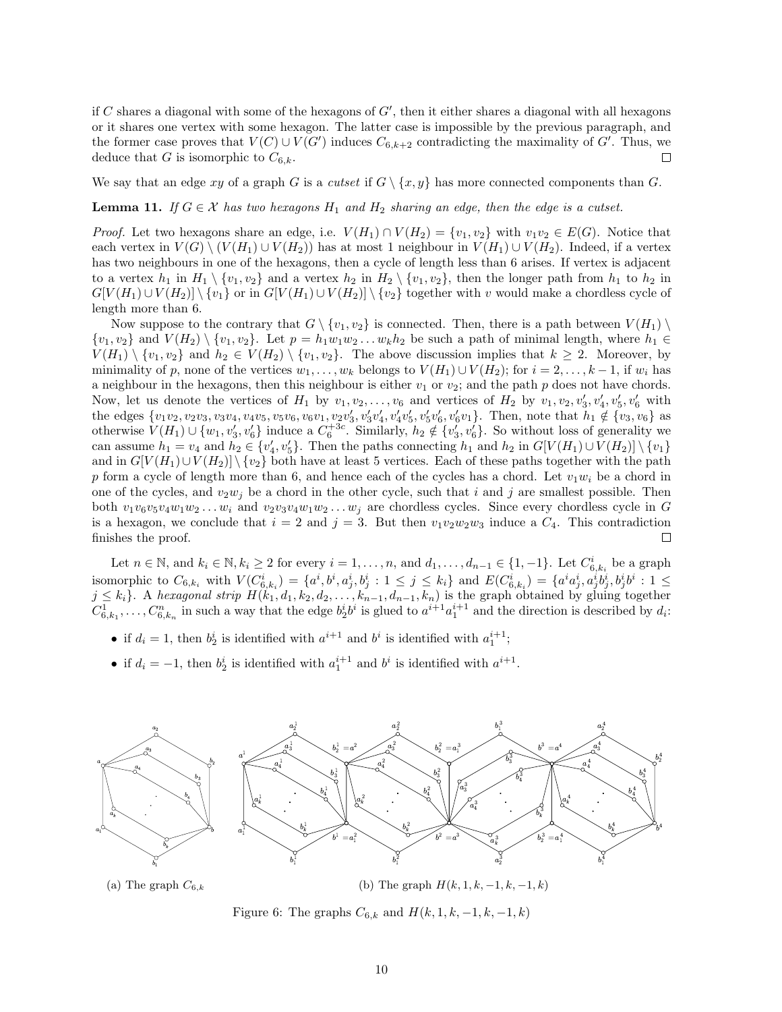if  $C$  shares a diagonal with some of the hexagons of  $G'$ , then it either shares a diagonal with all hexagons or it shares one vertex with some hexagon. The latter case is impossible by the previous paragraph, and the former case proves that  $V(C) \cup V(G')$  induces  $C_{6,k+2}$  contradicting the maximality of  $G'$ . Thus, we deduce that G is isomorphic to  $C_{6,k}$ .  $\Box$ 

We say that an edge xy of a graph G is a cutset if  $G \setminus \{x, y\}$  has more connected components than G.

<span id="page-9-1"></span>**Lemma 11.** If  $G \in \mathcal{X}$  has two hexagons  $H_1$  and  $H_2$  sharing an edge, then the edge is a cutset.

*Proof.* Let two hexagons share an edge, i.e.  $V(H_1) \cap V(H_2) = \{v_1, v_2\}$  with  $v_1v_2 \in E(G)$ . Notice that each vertex in  $V(G) \setminus (V(H_1) \cup V(H_2))$  has at most 1 neighbour in  $V(H_1) \cup V(H_2)$ . Indeed, if a vertex has two neighbours in one of the hexagons, then a cycle of length less than 6 arises. If vertex is adjacent to a vertex  $h_1$  in  $H_1 \setminus \{v_1, v_2\}$  and a vertex  $h_2$  in  $H_2 \setminus \{v_1, v_2\}$ , then the longer path from  $h_1$  to  $h_2$  in  $G[V(H_1) \cup V(H_2)] \setminus \{v_1\}$  or in  $G[V(H_1) \cup V(H_2)] \setminus \{v_2\}$  together with v would make a chordless cycle of length more than 6.

Now suppose to the contrary that  $G \setminus \{v_1, v_2\}$  is connected. Then, there is a path between  $V(H_1) \setminus$  $\{v_1, v_2\}$  and  $V(H_2) \setminus \{v_1, v_2\}$ . Let  $p = h_1w_1w_2 \ldots w_kh_2$  be such a path of minimal length, where  $h_1 \in$  $V(H_1) \setminus \{v_1, v_2\}$  and  $h_2 \in V(H_2) \setminus \{v_1, v_2\}$ . The above discussion implies that  $k \geq 2$ . Moreover, by minimality of p, none of the vertices  $w_1, \ldots, w_k$  belongs to  $V(H_1) \cup V(H_2)$ ; for  $i = 2, \ldots, k-1$ , if  $w_i$  has a neighbour in the hexagons, then this neighbour is either  $v_1$  or  $v_2$ ; and the path p does not have chords. Now, let us denote the vertices of  $H_1$  by  $v_1, v_2, \ldots, v_6$  and vertices of  $H_2$  by  $v_1, v_2, v'_3, v'_4, v'_5, v'_6$  with the edges  $\{v_1v_2, v_2v_3, v_3v_4, v_4v_5, v_5v_6, v_6v_1, v_2v'_3, v'_3v'_4, v'_4v'_5, v'_5v'_6, v'_6v_1\}.$  Then, note that  $h_1 \notin \{v_3, v_6\}$  as otherwise  $V(H_1) \cup \{w_1, v_3', v_6'\}$  induce a  $C_6^{+3c}$ . Similarly,  $h_2 \notin \{v_3', v_6'\}$ . So without loss of generality we can assume  $h_1 = v_4$  and  $h_2 \in \{v'_4, v'_5\}$ . Then the paths connecting  $h_1$  and  $h_2$  in  $G[V(H_1) \cup V(H_2)] \setminus \{v_1\}$ and in  $G[V(H_1)\cup V(H_2)] \setminus \{v_2\}$  both have at least 5 vertices. Each of these paths together with the path p form a cycle of length more than 6, and hence each of the cycles has a chord. Let  $v_1w_i$  be a chord in one of the cycles, and  $v_2w_j$  be a chord in the other cycle, such that i and j are smallest possible. Then both  $v_1v_6v_5v_4w_1w_2...w_i$  and  $v_2v_3v_4w_1w_2...w_i$  are chordless cycles. Since every chordless cycle in G is a hexagon, we conclude that  $i = 2$  and  $j = 3$ . But then  $v_1v_2w_2w_3$  induce a  $C_4$ . This contradiction finishes the proof.  $\Box$ 

Let  $n \in \mathbb{N}$ , and  $k_i \in \mathbb{N}$ ,  $k_i \geq 2$  for every  $i = 1, \ldots, n$ , and  $d_1, \ldots, d_{n-1} \in \{1, -1\}$ . Let  $C^i_{6, k_i}$  be a graph isomorphic to  $C_{6,k_i}$  with  $V(C_{6,k_i}^i) = \{a^i, b^i, a_j^i, b_j^i : 1 \leq j \leq k_i\}$  and  $E(C_{6,k_i}^i) = \{a^i a_j^i, a_j^i b_j^i, b_j^i b^i : 1 \leq j \leq k_i\}$  $j \leq k_i$ . A hexagonal strip  $H(k_1, d_1, k_2, d_2, \ldots, k_{n-1}, d_{n-1}, k_n)$  is the graph obtained by gluing together  $C_{6,k_1}^1, \ldots, C_{6,k_n}^n$  in such a way that the edge  $b_2^i b^i$  is glued to  $a^{i+1} a_1^{i+1}$  and the direction is described by  $d_i$ :

- if  $d_i = 1$ , then  $b_2^i$  is identified with  $a^{i+1}$  and  $b^i$  is identified with  $a_1^{i+1}$ ;
- if  $d_i = -1$ , then  $b_2^i$  is identified with  $a_1^{i+1}$  and  $b^i$  is identified with  $a^{i+1}$ .

<span id="page-9-0"></span>

(a) The graph  $C_{6,k}$ 

(b) The graph  $H(k, 1, k, -1, k, -1, k)$ 

Figure 6: The graphs  $C_{6,k}$  and  $H(k, 1, k, -1, k, -1, k)$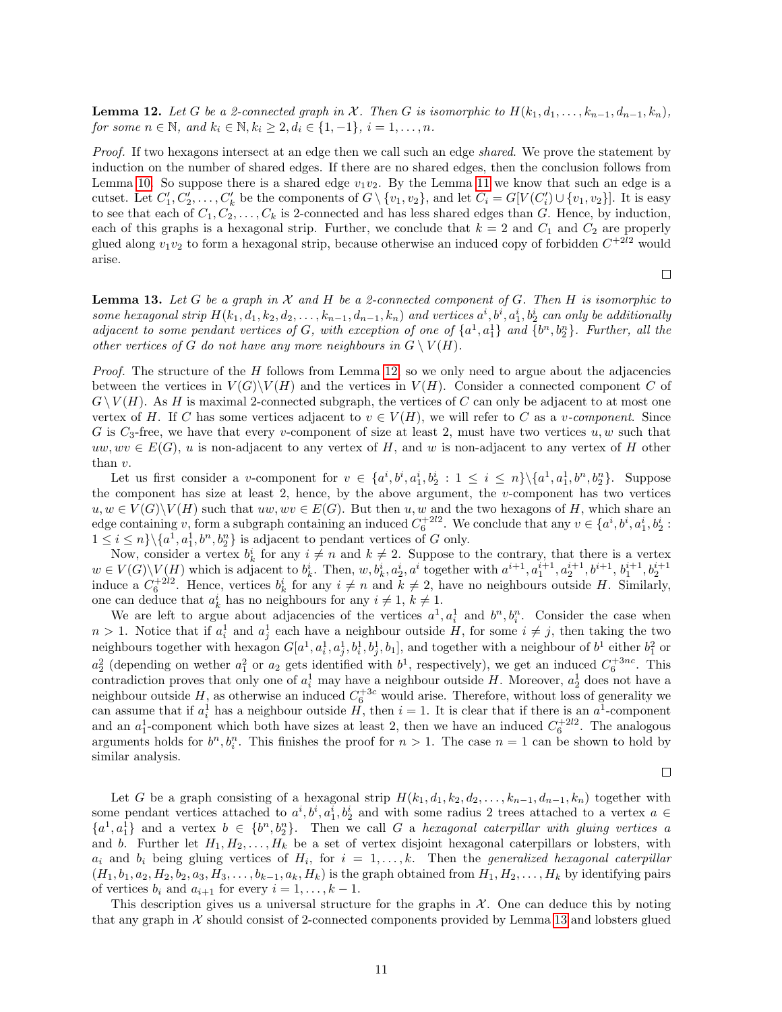<span id="page-10-0"></span>**Lemma 12.** Let G be a 2-connected graph in X. Then G is isomorphic to  $H(k_1, d_1, \ldots, k_{n-1}, d_{n-1}, k_n)$ , for some  $n \in \mathbb{N}$ , and  $k_i \in \mathbb{N}$ ,  $k_i \geq 2$ ,  $d_i \in \{1, -1\}$ ,  $i = 1, ..., n$ .

Proof. If two hexagons intersect at an edge then we call such an edge shared. We prove the statement by induction on the number of shared edges. If there are no shared edges, then the conclusion follows from Lemma [10.](#page-8-1) So suppose there is a shared edge  $v_1v_2$ . By the Lemma [11](#page-9-1) we know that such an edge is a cutset. Let  $C'_1, C'_2, \ldots, C'_k$  be the components of  $G \setminus \{v_1, v_2\}$ , and let  $C_i = G[V(C'_i) \cup \{v_1, v_2\}]$ . It is easy to see that each of  $C_1, C_2, \ldots, C_k$  is 2-connected and has less shared edges than G. Hence, by induction, each of this graphs is a hexagonal strip. Further, we conclude that  $k = 2$  and  $C_1$  and  $C_2$  are properly glued along  $v_1v_2$  to form a hexagonal strip, because otherwise an induced copy of forbidden  $C^{+2l2}$  would arise.

<span id="page-10-1"></span>**Lemma 13.** Let G be a graph in X and H be a 2-connected component of G. Then H is isomorphic to some hexagonal strip  $H(k_1, d_1, k_2, d_2, \ldots, k_{n-1}, d_{n-1}, k_n)$  and vertices  $a^i, b^i, a_1^i, b_2^i$  can only be additionally adjacent to some pendant vertices of G, with exception of one of  $\{a^1, a_1^1\}$  and  $\{b^n, b_2^n\}$ . Further, all the other vertices of G do not have any more neighbours in  $G \setminus V(H)$ .

*Proof.* The structure of the  $H$  follows from Lemma [12,](#page-10-0) so we only need to argue about the adjacencies between the vertices in  $V(G)\backslash V(H)$  and the vertices in  $V(H)$ . Consider a connected component C of  $G\setminus V(H)$ . As H is maximal 2-connected subgraph, the vertices of C can only be adjacent to at most one vertex of H. If C has some vertices adjacent to  $v \in V(H)$ , we will refer to C as a v-component. Since G is  $C_3$ -free, we have that every v-component of size at least 2, must have two vertices  $u, w$  such that  $uw, wv \in E(G)$ , u is non-adjacent to any vertex of H, and w is non-adjacent to any vertex of H other than v.

Let us first consider a v-component for  $v \in \{a^i, b^i, a_1^i, b_2^i : 1 \le i \le n\} \setminus \{a^1, a_1^1, b^n, b_2^n\}$ . Suppose the component has size at least 2, hence, by the above argument, the  $v$ -component has two vertices  $u, w \in V(G) \backslash V(H)$  such that  $uw, wv \in E(G)$ . But then  $u, w$  and the two hexagons of H, which share an edge containing v, form a subgraph containing an induced  $C_6^{+2l2}$ . We conclude that any  $v \in \{a^i, b^i, a_1^i, b_2^i :$  $1 \leq i \leq n \} \setminus \{a^1, a_1^1, b^n, b_2^n\}$  is adjacent to pendant vertices of G only.

Now, consider a vertex  $b_k^i$  for any  $i \neq n$  and  $k \neq 2$ . Suppose to the contrary, that there is a vertex  $w \in V(G) \setminus V(H)$  which is adjacent to  $b_k^i$ . Then,  $w, b_k^i, a_2^i, a^i$  together with  $a^{i+1}, a_1^{i+1}, a_2^{i+1}, b^{i+1}, b_1^{i+1}, b_2^{i+1}$ induce a  $C_6^{+2l_2}$ . Hence, vertices  $b_k^i$  for any  $i \neq n$  and  $k \neq 2$ , have no neighbours outside H. Similarly, one can deduce that  $a_k^i$  has no neighbours for any  $i \neq 1$ ,  $k \neq 1$ .

We are left to argue about adjacencies of the vertices  $a^1, a_i^1$  and  $b^n, b_i^n$ . Consider the case when  $n > 1$ . Notice that if  $a_i^1$  and  $a_j^1$  each have a neighbour outside H, for some  $i \neq j$ , then taking the two neighbours together with hexagon  $G[a^1, a_i^1, a_j^1, b_i^1, b_j^1, b_1]$ , and together with a neighbour of  $b^1$  either  $b_1^2$  or  $a_2^2$  (depending on wether  $a_1^2$  or  $a_2$  gets identified with  $b^1$ , respectively), we get an induced  $C_6^{+3nc}$ . This contradiction proves that only one of  $a_i^1$  may have a neighbour outside H. Moreover,  $a_2^1$  does not have a neighbour outside H, as otherwise an induced  $C_6^{+3c}$  would arise. Therefore, without loss of generality we can assume that if  $a_i^1$  has a neighbour outside H, then  $i = 1$ . It is clear that if there is an  $a^1$ -component and an  $a_1^1$ -component which both have sizes at least 2, then we have an induced  $C_6^{+2l_2}$ . The analogous arguments holds for  $b^n, b_i^n$ . This finishes the proof for  $n > 1$ . The case  $n = 1$  can be shown to hold by similar analysis.

 $\Box$ 

 $\Box$ 

Let G be a graph consisting of a hexagonal strip  $H(k_1, d_1, k_2, d_2, \ldots, k_{n-1}, d_{n-1}, k_n)$  together with some pendant vertices attached to  $a^i, b^i, a_1^i, b_2^i$  and with some radius 2 trees attached to a vertex  $a \in$  ${a<sup>1</sup>, a<sub>1</sub><sup>1</sup>}$  and a vertex  $b \in {b<sup>n</sup>, b<sub>2</sub><sup>n</sup>}$ . Then we call G a hexagonal caterpillar with gluing vertices a and b. Further let  $H_1, H_2, \ldots, H_k$  be a set of vertex disjoint hexagonal caterpillars or lobsters, with  $a_i$  and  $b_i$  being gluing vertices of  $H_i$ , for  $i = 1, ..., k$ . Then the *generalized hexagonal caterpillar*  $(H_1, b_1, a_2, H_2, b_2, a_3, H_3, \ldots, b_{k-1}, a_k, H_k)$  is the graph obtained from  $H_1, H_2, \ldots, H_k$  by identifying pairs of vertices  $b_i$  and  $a_{i+1}$  for every  $i = 1, \ldots, k - 1$ .

This description gives us a universal structure for the graphs in  $X$ . One can deduce this by noting that any graph in  $\mathcal X$  should consist of 2-connected components provided by Lemma [13](#page-10-1) and lobsters glued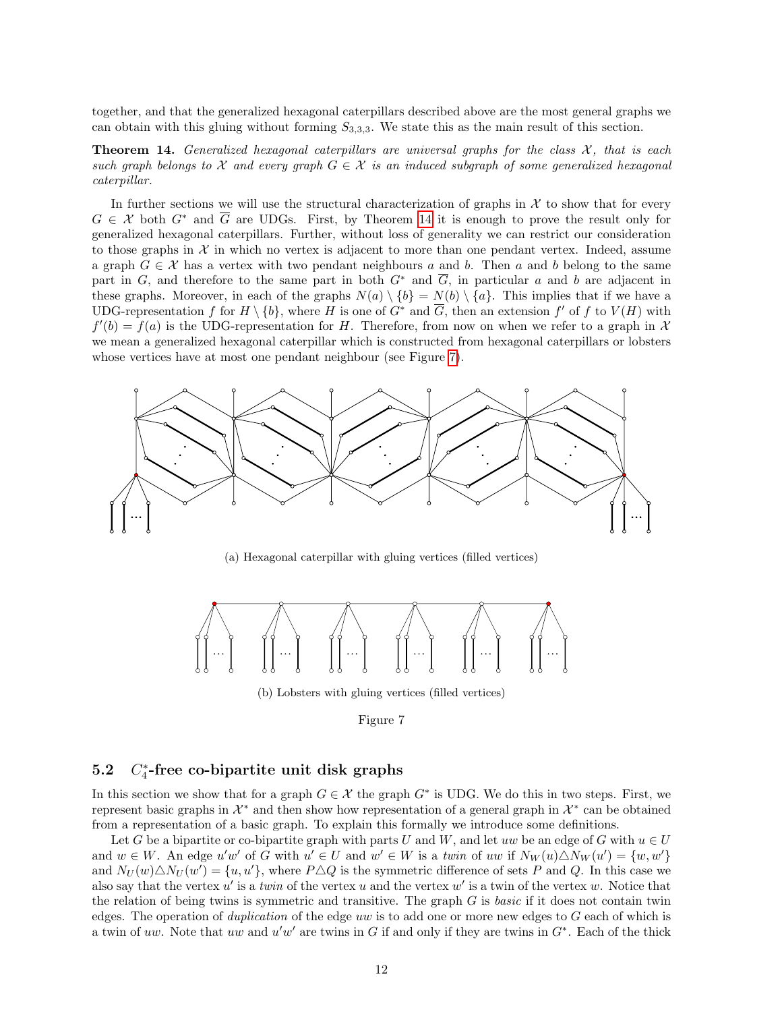together, and that the generalized hexagonal caterpillars described above are the most general graphs we can obtain with this gluing without forming  $S_{3,3,3}$ . We state this as the main result of this section.

<span id="page-11-2"></span>**Theorem 14.** Generalized hexagonal caterpillars are universal graphs for the class  $\mathcal{X}$ , that is each such graph belongs to X and every graph  $G \in \mathcal{X}$  is an induced subgraph of some generalized hexagonal caterpillar.

In further sections we will use the structural characterization of graphs in  $\mathcal X$  to show that for every  $G \in \mathcal{X}$  both  $G^*$  and  $\overline{G}$  are UDGs. First, by Theorem [14](#page-11-2) it is enough to prove the result only for generalized hexagonal caterpillars. Further, without loss of generality we can restrict our consideration to those graphs in  $\mathcal X$  in which no vertex is adjacent to more than one pendant vertex. Indeed, assume a graph  $G \in \mathcal{X}$  has a vertex with two pendant neighbours a and b. Then a and b belong to the same part in G, and therefore to the same part in both  $G^*$  and  $\overline{G}$ , in particular a and b are adjacent in these graphs. Moreover, in each of the graphs  $N(a) \setminus \{b\} = N(b) \setminus \{a\}$ . This implies that if we have a UDG-representation f for  $H \setminus \{b\}$ , where H is one of  $G^*$  and  $\overline{G}$ , then an extension f' of f to  $V(H)$  with  $f'(b) = f(a)$  is the UDG-representation for H. Therefore, from now on when we refer to a graph in X we mean a generalized hexagonal caterpillar which is constructed from hexagonal caterpillars or lobsters whose vertices have at most one pendant neighbour (see Figure [7\)](#page-11-1).

<span id="page-11-1"></span>

(a) Hexagonal caterpillar with gluing vertices (filled vertices)



(b) Lobsters with gluing vertices (filled vertices)

#### <span id="page-11-0"></span> $5.2$ ∗ 4 -free co-bipartite unit disk graphs

In this section we show that for a graph  $G \in \mathcal{X}$  the graph  $G^*$  is UDG. We do this in two steps. First, we represent basic graphs in  $\mathcal{X}^*$  and then show how representation of a general graph in  $\mathcal{X}^*$  can be obtained from a representation of a basic graph. To explain this formally we introduce some definitions.

Let G be a bipartite or co-bipartite graph with parts U and W, and let uw be an edge of G with  $u \in U$ and  $w \in W$ . An edge u'w' of G with  $u' \in U$  and  $w' \in W$  is a twin of uw if  $N_W(u) \triangle N_W(u') = \{w, w'\}$ and  $N_U(w) \triangle N_U(w') = \{u, u'\}$ , where  $P \triangle Q$  is the symmetric difference of sets P and Q. In this case we also say that the vertex  $u'$  is a twin of the vertex u and the vertex  $w'$  is a twin of the vertex w. Notice that the relation of being twins is symmetric and transitive. The graph  $G$  is basic if it does not contain twin edges. The operation of *duplication* of the edge uw is to add one or more new edges to  $G$  each of which is a twin of uw. Note that uw and u'w' are twins in G if and only if they are twins in  $G^*$ . Each of the thick

Figure 7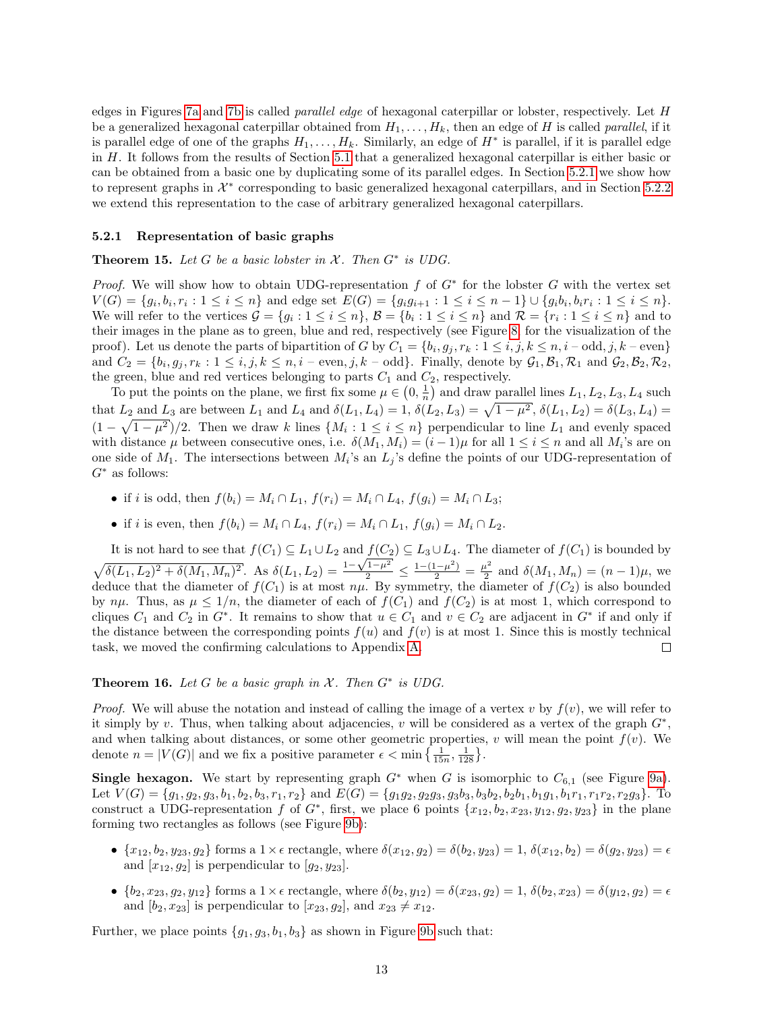edges in Figures [7a](#page-11-1) and [7b](#page-11-1) is called parallel edge of hexagonal caterpillar or lobster, respectively. Let H be a generalized hexagonal caterpillar obtained from  $H_1, \ldots, H_k$ , then an edge of H is called *parallel*, if it is parallel edge of one of the graphs  $H_1, \ldots, H_k$ . Similarly, an edge of  $H^*$  is parallel, if it is parallel edge in H. It follows from the results of Section [5.1](#page-7-2) that a generalized hexagonal caterpillar is either basic or can be obtained from a basic one by duplicating some of its parallel edges. In Section [5.2.1](#page-12-1) we show how to represent graphs in  $\mathcal{X}^*$  corresponding to basic generalized hexagonal caterpillars, and in Section [5.2.2](#page-18-0) we extend this representation to the case of arbitrary generalized hexagonal caterpillars.

#### <span id="page-12-1"></span>5.2.1 Representation of basic graphs

<span id="page-12-0"></span>Theorem 15. Let  $G$  be a basic lobster in  $X$ . Then  $G^*$  is UDG.

*Proof.* We will show how to obtain UDG-representation  $f$  of  $G^*$  for the lobster  $G$  with the vertex set  $V(G) = \{g_i, b_i, r_i : 1 \leq i \leq n\}$  and edge set  $E(G) = \{g_ig_{i+1} : 1 \leq i \leq n-1\} \cup \{g_ib_i, b_ir_i : 1 \leq i \leq n\}.$ We will refer to the vertices  $\mathcal{G} = \{g_i : 1 \leq i \leq n\}$ ,  $\mathcal{B} = \{b_i : 1 \leq i \leq n\}$  and  $\mathcal{R} = \{r_i : 1 \leq i \leq n\}$  and to their images in the plane as to green, blue and red, respectively (see Figure [8,](#page-13-0) for the visualization of the proof). Let us denote the parts of bipartition of G by  $C_1 = \{b_i, g_j, r_k : 1 \le i, j, k \le n, i - \text{odd}, j, k - \text{even}\}\$ and  $C_2 = \{b_i, g_j, r_k : 1 \le i, j, k \le n, i - \text{even}, j, k - \text{odd}\}\.$  Finally, denote by  $\mathcal{G}_1, \mathcal{B}_1, \mathcal{R}_1$  and  $\mathcal{G}_2, \mathcal{B}_2, \mathcal{R}_2,$ the green, blue and red vertices belonging to parts  $C_1$  and  $C_2$ , respectively.

To put the points on the plane, we first fix some  $\mu \in (0, \frac{1}{n})$  and draw parallel lines  $L_1, L_2, L_3, L_4$  such that  $L_2$  and  $L_3$  are between  $L_1$  and  $L_4$  and  $\delta(L_1, L_4) = 1$ ,  $\delta(L_2, L_3) = \sqrt{1 - \mu^2}$ ,  $\delta(L_1, L_2) = \delta(L_3, L_4) =$  $(1 - \sqrt{1 - \mu^2})/2$ . Then we draw k lines  $\{M_i : 1 \le i \le n\}$  perpendicular to line  $L_1$  and evenly spaced with distance  $\mu$  between consecutive ones, i.e.  $\delta(M_1, M_i) = (i - 1)\mu$  for all  $1 \le i \le n$  and all  $M_i$ 's are on one side of  $M_1$ . The intersections between  $M_i$ 's an  $L_j$ 's define the points of our UDG-representation of  $G^*$  as follows:

- if i is odd, then  $f(b_i) = M_i \cap L_1$ ,  $f(r_i) = M_i \cap L_4$ ,  $f(q_i) = M_i \cap L_3$ ;
- if *i* is even, then  $f(b_i) = M_i \cap L_4$ ,  $f(r_i) = M_i \cap L_1$ ,  $f(q_i) = M_i \cap L_2$ .

It is not hard to see that  $f(C_1) \subseteq L_1 \cup L_2$  and  $f(C_2) \subseteq L_3 \cup L_4$ . The diameter of  $f(C_1)$  is bounded by  $\frac{\sqrt{1-\mu^2}}{2} \leq \frac{1-(1-\mu^2)}{2} = \frac{\mu^2}{2}$  $\sqrt{\delta(L_1, L_2)^2 + \delta(M_1, M_n)^2}$ . As  $\delta(L_1, L_2) = \frac{1 - \delta(L_1, L_2)}{2}$ .  $\frac{d^2}{2}$  and  $\delta(M_1, M_n) = (n-1)\mu$ , we deduce that the diameter of  $f(C_1)$  is at most  $n\mu$ . By symmetry, the diameter of  $f(C_2)$  is also bounded by  $n\mu$ . Thus, as  $\mu \leq 1/n$ , the diameter of each of  $f(C_1)$  and  $f(C_2)$  is at most 1, which correspond to cliques  $C_1$  and  $C_2$  in  $G^*$ . It remains to show that  $u \in C_1$  and  $v \in C_2$  are adjacent in  $G^*$  if and only if the distance between the corresponding points  $f(u)$  and  $f(v)$  is at most 1. Since this is mostly technical task, we moved the confirming calculations to Appendix [A.](#page-28-0)  $\Box$ 

#### <span id="page-12-2"></span>**Theorem 16.** Let G be a basic graph in  $X$ . Then  $G^*$  is UDG.

*Proof.* We will abuse the notation and instead of calling the image of a vertex v by  $f(v)$ , we will refer to it simply by v. Thus, when talking about adjacencies, v will be considered as a vertex of the graph  $G^*$ , and when talking about distances, or some other geometric properties, v will mean the point  $f(v)$ . We denote  $n = |V(G)|$  and we fix a positive parameter  $\epsilon < \min\left\{\frac{1}{15n}, \frac{1}{128}\right\}$ .

**Single hexagon.** We start by representing graph  $G^*$  when G is isomorphic to  $C_{6,1}$  (see Figure [9a\)](#page-14-0). Let  $V(G) = \{g_1, g_2, g_3, b_1, b_2, b_3, r_1, r_2\}$  and  $E(G) = \{g_1g_2, g_2g_3, g_3b_3, b_3b_2, b_2b_1, b_1g_1, b_1r_1, r_1r_2, r_2g_3\}$ . To construct a UDG-representation f of  $G^*$ , first, we place 6 points  $\{x_{12}, b_2, x_{23}, y_{12}, g_2, y_{23}\}$  in the plane forming two rectangles as follows (see Figure [9b\)](#page-14-0):

- ${x_{12}, b_2, y_{23}, g_2}$  forms a  $1 \times \epsilon$  rectangle, where  $\delta(x_{12}, g_2) = \delta(b_2, y_{23}) = 1, \delta(x_{12}, b_2) = \delta(g_2, y_{23}) = \epsilon$ and  $[x_{12}, g_2]$  is perpendicular to  $[g_2, y_{23}]$ .
- ${b_2, x_{23}, g_2, y_{12}}$  forms a  $1 \times \epsilon$  rectangle, where  $\delta(b_2, y_{12}) = \delta(x_{23}, g_2) = 1, \delta(b_2, x_{23}) = \delta(y_{12}, g_2) = \epsilon$ and  $[b_2, x_{23}]$  is perpendicular to  $[x_{23}, g_2]$ , and  $x_{23} \neq x_{12}$ .

Further, we place points  $\{g_1, g_3, b_1, b_3\}$  as shown in Figure [9b](#page-14-0) such that: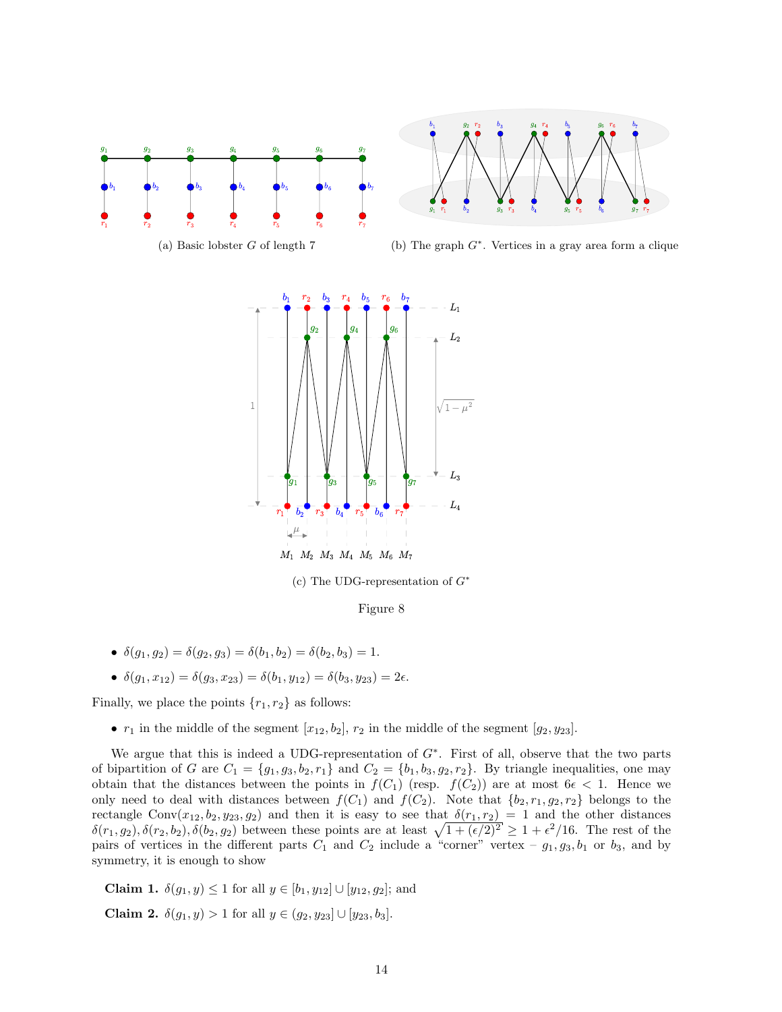<span id="page-13-0"></span>



(a) Basic lobster G of length 7

(b) The graph  $G^*$ . Vertices in a gray area form a clique



(c) The UDG-representation of  $G^*$ 

Figure 8

- $\delta(q_1, q_2) = \delta(q_2, q_3) = \delta(b_1, b_2) = \delta(b_2, b_3) = 1.$
- $\delta(q_1, x_{12}) = \delta(q_3, x_{23}) = \delta(b_1, y_{12}) = \delta(b_3, y_{23}) = 2\epsilon.$

Finally, we place the points  ${r_1, r_2}$  as follows:

•  $r_1$  in the middle of the segment  $[x_{12}, b_2], r_2$  in the middle of the segment  $[g_2, y_{23}]$ .

We argue that this is indeed a UDG-representation of  $G^*$ . First of all, observe that the two parts of bipartition of G are  $C_1 = \{g_1, g_3, b_2, r_1\}$  and  $C_2 = \{b_1, b_3, g_2, r_2\}$ . By triangle inequalities, one may obtain that the distances between the points in  $f(C_1)$  (resp.  $f(C_2)$ ) are at most  $6\epsilon < 1$ . Hence we only need to deal with distances between  $f(C_1)$  and  $f(C_2)$ . Note that  $\{b_2, r_1, g_2, r_2\}$  belongs to the rectangle Conv $(x_{12}, b_2, y_{23}, g_2)$  and then it is easy to see that  $\delta(r_1, r_2) = 1$  and the other distances  $\delta(r_1, g_2), \delta(r_2, b_2), \delta(b_2, g_2)$  between these points are at least  $\sqrt{1 + (\epsilon/2)^2} \geq 1 + \epsilon^2/16$ . The rest of the pairs of vertices in the different parts  $C_1$  and  $C_2$  include a "corner" vertex –  $g_1, g_3, b_1$  or  $b_3$ , and by symmetry, it is enough to show

**Claim 1.**  $\delta(q_1, y) \leq 1$  for all  $y \in [b_1, y_{12}] \cup [y_{12}, q_2]$ ; and

Claim 2.  $\delta(q_1, y) > 1$  for all  $y \in (q_2, y_{23}] \cup [y_{23}, b_3]$ .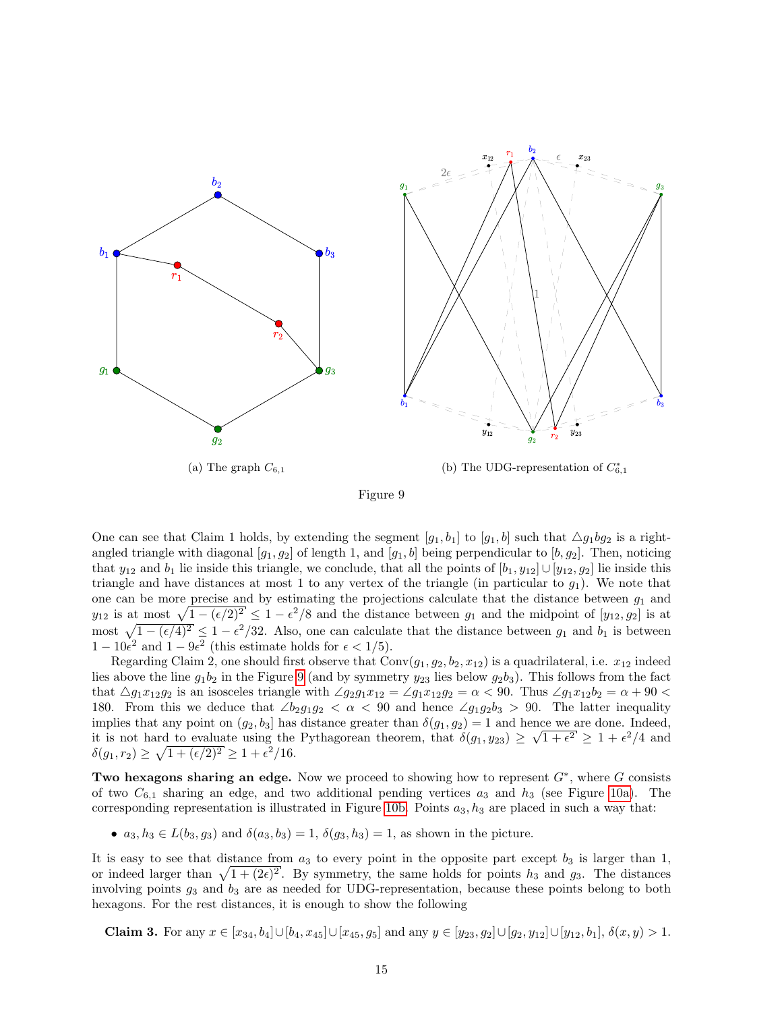<span id="page-14-0"></span>

Figure 9

One can see that Claim 1 holds, by extending the segment  $[g_1, b_1]$  to  $[g_1, b]$  such that  $\Delta g_1bg_2$  is a rightangled triangle with diagonal  $[g_1, g_2]$  of length 1, and  $[g_1, b]$  being perpendicular to  $[b, g_2]$ . Then, noticing that  $y_{12}$  and  $b_1$  lie inside this triangle, we conclude, that all the points of  $[b_1, y_{12}] \cup [y_{12}, g_2]$  lie inside this triangle and have distances at most 1 to any vertex of the triangle (in particular to  $g_1$ ). We note that one can be more precise and by estimating the projections calculate that the distance between  $g_1$  and  $y_{12}$  is at most  $\sqrt{1 - (\epsilon/2)^2} \le 1 - \epsilon^2/8$  and the distance between  $g_1$  and the midpoint of  $[y_{12}, g_2]$  is at most  $\sqrt{1 - (\epsilon/4)^2} \le 1 - \epsilon^2/32$ . Also, one can calculate that the distance between  $g_1$  and  $b_1$  is between  $1 - 10\epsilon^2$  and  $1 - 9\epsilon^2$  (this estimate holds for  $\epsilon < 1/5$ ).

Regarding Claim 2, one should first observe that  $Conv(g_1, g_2, b_2, x_{12})$  is a quadrilateral, i.e.  $x_{12}$  indeed lies above the line  $g_1b_2$  in the Figure [9](#page-14-0) (and by symmetry  $y_{23}$  lies below  $g_2b_3$ ). This follows from the fact that  $\Delta g_1x_{12}g_2$  is an isosceles triangle with  $\angle g_2g_1x_{12} = \angle g_1x_{12}g_2 = \alpha < 90$ . Thus  $\angle g_1x_{12}b_2 = \alpha + 90 <$ 180. From this we deduce that  $\angle b_2g_1g_2 \angle \alpha \angle 90$  and hence  $\angle g_1g_2b_3 > 90$ . The latter inequality implies that any point on  $(g_2, b_3]$  has distance greater than  $\delta(g_1, g_2) = 1$  and hence we are done. Indeed, it is not hard to evaluate using the Pythagorean theorem, that  $\delta(g_1, y_{23}) \geq \sqrt{1+\epsilon^2} \geq 1+\epsilon^2/4$  and  $\delta(g_1, r_2) \ge \sqrt{1 + (\epsilon/2)^2} \ge 1 + \epsilon^2/16.$ 

Two hexagons sharing an edge. Now we proceed to showing how to represent  $G^*$ , where G consists of two  $C_{6,1}$  sharing an edge, and two additional pending vertices  $a_3$  and  $h_3$  (see Figure [10a\)](#page-15-0). The corresponding representation is illustrated in Figure [10b.](#page-15-0) Points  $a_3$ ,  $h_3$  are placed in such a way that:

•  $a_3, h_3 \in L(b_3, g_3)$  and  $\delta(a_3, b_3) = 1, \delta(g_3, h_3) = 1$ , as shown in the picture.

It is easy to see that distance from  $a_3$  to every point in the opposite part except  $b_3$  is larger than 1, or indeed larger than  $\sqrt{1 + (2\epsilon)^2}$ . By symmetry, the same holds for points  $h_3$  and  $g_3$ . The distances involving points  $g_3$  and  $b_3$  are as needed for UDG-representation, because these points belong to both hexagons. For the rest distances, it is enough to show the following

**Claim 3.** For any  $x \in [x_{34}, b_4] \cup [b_4, x_{45}] \cup [x_{45}, g_5]$  and any  $y \in [y_{23}, g_2] \cup [g_2, g_1, g_2] \cup [y_{12}, b_1]$ ,  $\delta(x, y) > 1$ .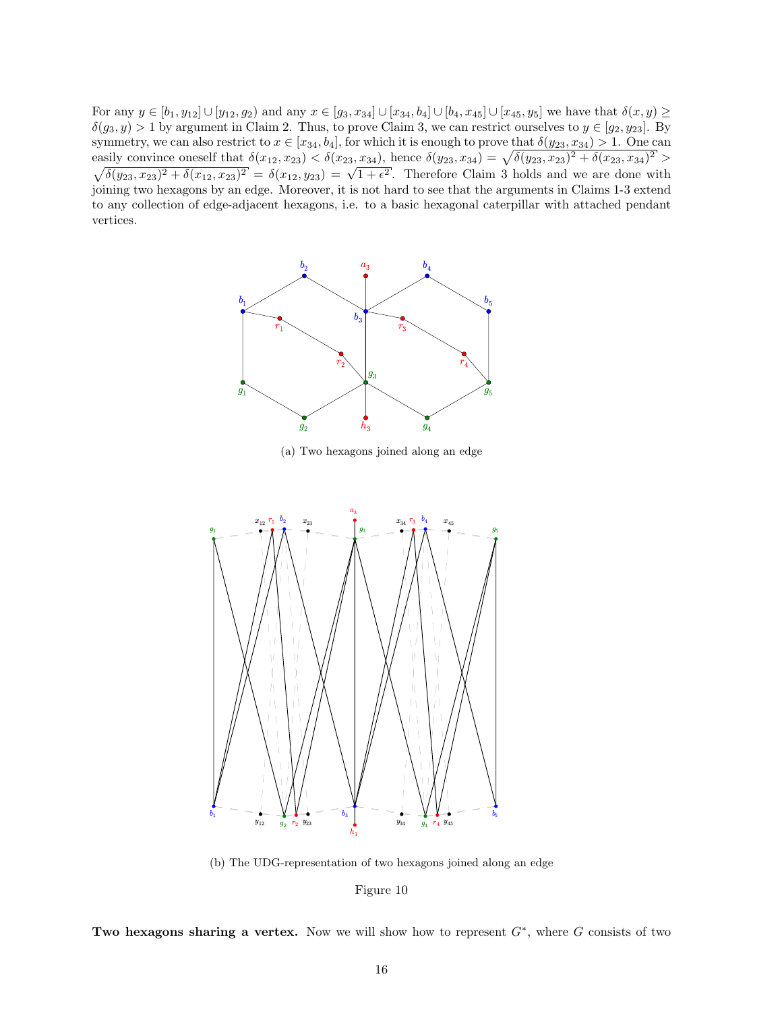<span id="page-15-0"></span>For any  $y \in [b_1, y_{12}] \cup [y_{12}, g_2)$  and any  $x \in [g_3, x_{34}] \cup [x_{34}, b_4] \cup [b_4, x_{45}] \cup [x_{45}, y_5]$  we have that  $\delta(x, y) \ge$  $\delta(g_3, y) > 1$  by argument in Claim 2. Thus, to prove Claim 3, we can restrict ourselves to  $y \in [g_2, y_{23}]$ . By symmetry, we can also restrict to  $x \in [x_{34}, b_4]$ , for which it is enough to prove that  $\delta(y_{23}, x_{34}) > 1$ . One can easily convince oneself that  $\delta(x_{12}, x_{23}) < \delta(x_{23}, x_{34})$ , hence  $\delta(y_{23}, x_{34}) = \sqrt{\delta(y_{23}, x_{23})^2 + \delta(x_{23}, x_{34})}$  $\sqrt{ }$  $^{2^{\prime}}$   $>$  $\delta(y_{23}, x_{23})^2 + \delta(x_{12}, x_{23})^2 = \delta(x_{12}, y_{23}) = \sqrt{1 + \epsilon^2}$ . Therefore Claim 3 holds and we are done with joining two hexagons by an edge. Moreover, it is not hard to see that the arguments in Claims 1-3 extend to any collection of edge-adjacent hexagons, i.e. to a basic hexagonal caterpillar with attached pendant vertices.



(a) Two hexagons joined along an edge



(b) The UDG-representation of two hexagons joined along an edge

Figure 10

Two hexagons sharing a vertex. Now we will show how to represent  $G^*$ , where G consists of two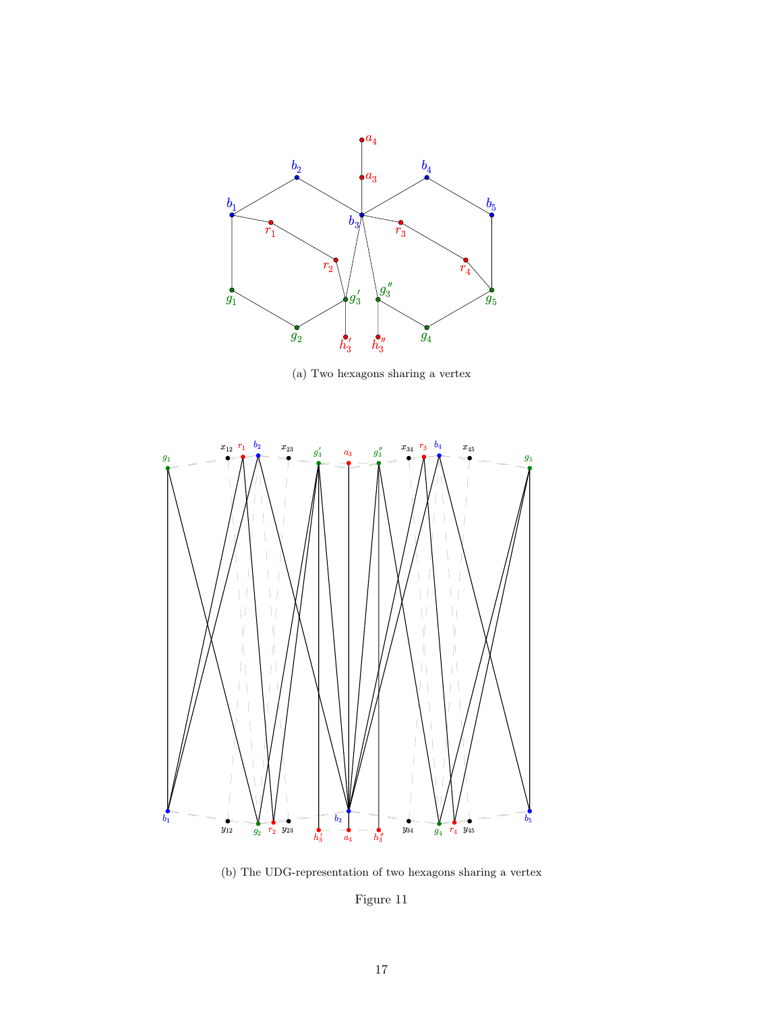<span id="page-16-0"></span>

(a) Two hexagons sharing a vertex



(b) The UDG-representation of two hexagons sharing a vertex

Figure 11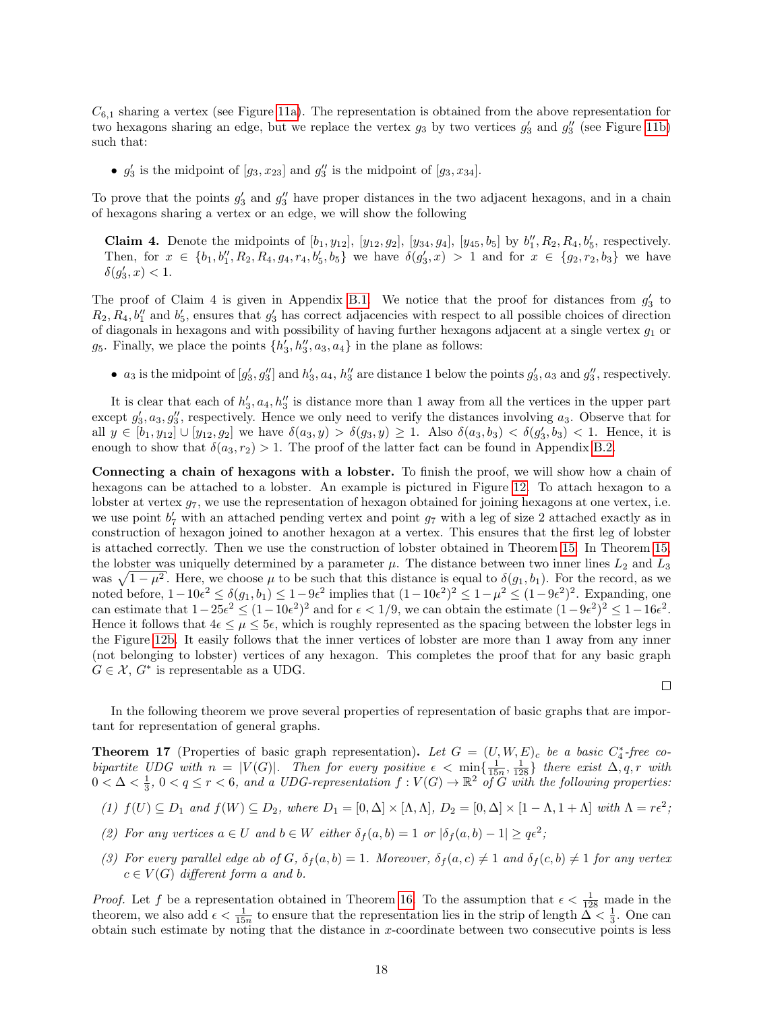$C_{6,1}$  sharing a vertex (see Figure [11a\)](#page-16-0). The representation is obtained from the above representation for two hexagons sharing an edge, but we replace the vertex  $g_3$  by two vertices  $g'_3$  and  $g''_3$  (see Figure [11b\)](#page-16-0) such that:

•  $g'_3$  is the midpoint of  $[g_3, x_{23}]$  and  $g''_3$  is the midpoint of  $[g_3, x_{34}]$ .

To prove that the points  $g'_3$  and  $g''_3$  have proper distances in the two adjacent hexagons, and in a chain of hexagons sharing a vertex or an edge, we will show the following

**Claim 4.** Denote the midpoints of  $[b_1, y_{12}], [y_{12}, g_2], [y_{34}, g_4], [y_{45}, b_5]$  by  $b''_1, R_2, R_4, b'_5$ , respectively. Then, for  $x \in \{b_1, b_1'', R_2, R_4, g_4, r_4, b_5', b_5\}$  we have  $\delta(g_3', x) > 1$  and for  $x \in \{g_2, r_2, b_3\}$  we have  $\delta(g_3', x) < 1.$ 

The proof of Claim 4 is given in Appendix [B.1.](#page-28-1) We notice that the proof for distances from  $g'_3$  to  $R_2, R_4, b_1''$  and  $b_5'$ , ensures that  $g_3'$  has correct adjacencies with respect to all possible choices of direction of diagonals in hexagons and with possibility of having further hexagons adjacent at a single vertex  $g_1$  or  $g_5$ . Finally, we place the points  $\{h'_3, h''_3, a_3, a_4\}$  in the plane as follows:

•  $a_3$  is the midpoint of  $[g'_3, g''_3]$  and  $h'_3, a_4, h''_3$  are distance 1 below the points  $g'_3, a_3$  and  $g''_3$ , respectively.

It is clear that each of  $h'_3$ ,  $a_4$ ,  $h''_3$  is distance more than 1 away from all the vertices in the upper part except  $g'_3, a_3, g''_3$ , respectively. Hence we only need to verify the distances involving  $a_3$ . Observe that for all  $y \in [b_1, y_{12}] \cup [y_{12}, g_2]$  we have  $\delta(a_3, y) > \delta(g_3, y) \ge 1$ . Also  $\delta(a_3, b_3) < \delta(g'_3, b_3) < 1$ . Hence, it is enough to show that  $\delta(a_3, r_2) > 1$ . The proof of the latter fact can be found in Appendix [B.2.](#page-29-0)

Connecting a chain of hexagons with a lobster. To finish the proof, we will show how a chain of hexagons can be attached to a lobster. An example is pictured in Figure [12.](#page-18-1) To attach hexagon to a lobster at vertex  $g_7$ , we use the representation of hexagon obtained for joining hexagons at one vertex, i.e. we use point  $b'_7$  with an attached pending vertex and point  $g_7$  with a leg of size 2 attached exactly as in construction of hexagon joined to another hexagon at a vertex. This ensures that the first leg of lobster is attached correctly. Then we use the construction of lobster obtained in Theorem [15.](#page-12-0) In Theorem [15,](#page-12-0) the lobster was uniquelly determined by a parameter  $\mu$ . The distance between two inner lines  $L_2$  and  $L_3$ was  $\sqrt{1-\mu^2}$ . Here, we choose  $\mu$  to be such that this distance is equal to  $\delta(g_1, b_1)$ . For the record, as we noted before,  $1-10\epsilon^2 \le \delta(g_1, b_1) \le 1-9\epsilon^2$  implies that  $(1-10\epsilon^2)^2 \le 1-\mu^2 \le (1-9\epsilon^2)^2$ . Expanding, one can estimate that  $1-25\epsilon^2 \le (1-10\epsilon^2)^2$  and for  $\epsilon < 1/9$ , we can obtain the estimate  $(1-9\epsilon^2)^2 \le 1-16\epsilon^2$ . Hence it follows that  $4\epsilon \leq \mu \leq 5\epsilon$ , which is roughly represented as the spacing between the lobster legs in the Figure [12b.](#page-18-1) It easily follows that the inner vertices of lobster are more than 1 away from any inner (not belonging to lobster) vertices of any hexagon. This completes the proof that for any basic graph  $G \in \mathcal{X}, G^*$  is representable as a UDG.

In the following theorem we prove several properties of representation of basic graphs that are important for representation of general graphs.

 $\Box$ 

<span id="page-17-0"></span>**Theorem 17** (Properties of basic graph representation). Let  $G = (U, W, E)_c$  be a basic  $C_4^*$ -free cobipartite UDG with  $n = |V(G)|$ . Then for every positive  $\epsilon < \min\{\frac{1}{15n}, \frac{1}{128}\}\$  there exist  $\Delta, q, r$  with  $0<\Delta<\frac{1}{3}$ ,  $0< q \leq r < 6$ , and a UDG-representation  $f: V(G) \to \mathbb{R}^2$  of G with the following properties:

- (1)  $f(U) \subseteq D_1$  and  $f(W) \subseteq D_2$ , where  $D_1 = [0, \Delta] \times [\Lambda, \Lambda], D_2 = [0, \Delta] \times [1 \Lambda, 1 + \Lambda]$  with  $\Lambda = r\epsilon^2$ ;
- (2) For any vertices  $a \in U$  and  $b \in W$  either  $\delta_f(a, b) = 1$  or  $|\delta_f(a, b) 1| \geq q\epsilon^2$ ;
- (3) For every parallel edge ab of G,  $\delta_f(a, b) = 1$ . Moreover,  $\delta_f(a, c) \neq 1$  and  $\delta_f(c, b) \neq 1$  for any vertex  $c \in V(G)$  different form a and b.

*Proof.* Let f be a representation obtained in Theorem [16.](#page-12-2) To the assumption that  $\epsilon < \frac{1}{128}$  made in the theorem, we also add  $\epsilon < \frac{1}{15n}$  to ensure that the representation lies in the strip of length  $\Delta < \frac{1}{3}$ . One can obtain such estimate by noting that the distance in x-coordinate between two consecutive points is less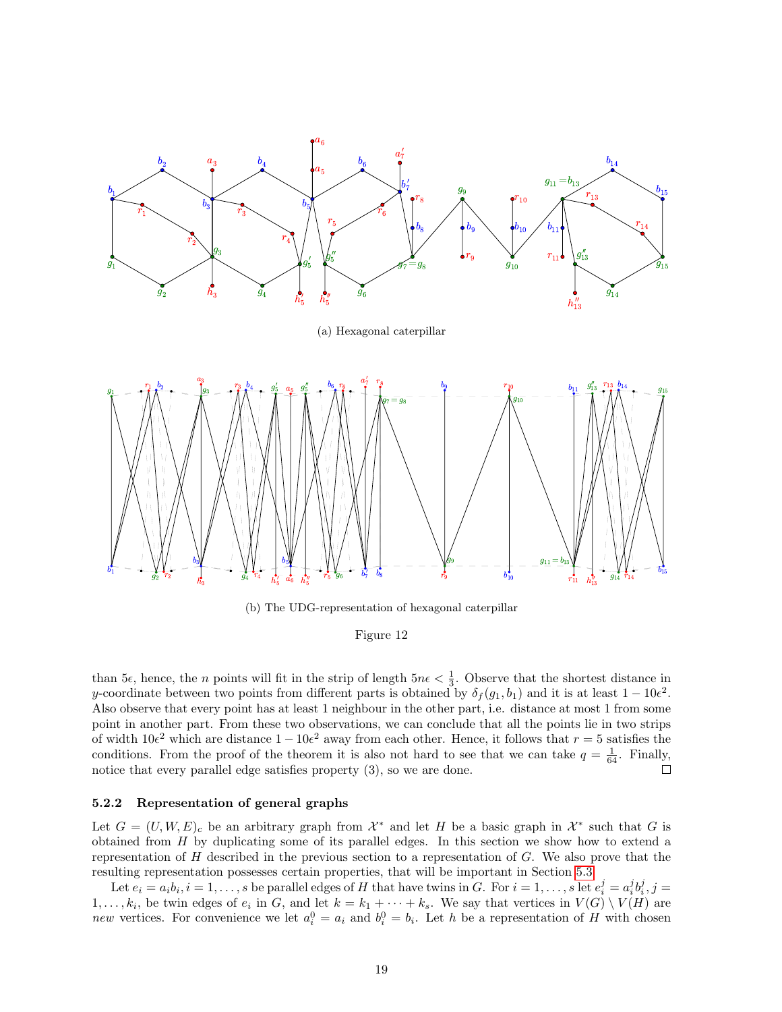<span id="page-18-1"></span>

(b) The UDG-representation of hexagonal caterpillar

#### Figure 12

than 5 $\epsilon$ , hence, the *n* points will fit in the strip of length  $5n\epsilon < \frac{1}{3}$ . Observe that the shortest distance in y-coordinate between two points from different parts is obtained by  $\delta_f(g_1, b_1)$  and it is at least  $1 - 10\epsilon^2$ . Also observe that every point has at least 1 neighbour in the other part, i.e. distance at most 1 from some point in another part. From these two observations, we can conclude that all the points lie in two strips of width  $10e^2$  which are distance  $1-10e^2$  away from each other. Hence, it follows that  $r=5$  satisfies the conditions. From the proof of the theorem it is also not hard to see that we can take  $q = \frac{1}{64}$ . Finally, notice that every parallel edge satisfies property (3), so we are done.

#### <span id="page-18-0"></span>5.2.2 Representation of general graphs

Let  $G = (U, W, E)_c$  be an arbitrary graph from  $\mathcal{X}^*$  and let H be a basic graph in  $\mathcal{X}^*$  such that G is obtained from H by duplicating some of its parallel edges. In this section we show how to extend a representation of  $H$  described in the previous section to a representation of  $G$ . We also prove that the resulting representation possesses certain properties, that will be important in Section [5.3.](#page-22-0)

Let  $e_i = a_i b_i, i = 1, \ldots, s$  be parallel edges of H that have twins in G. For  $i = 1, \ldots, s$  let  $e_i^j = a_i^j b_i^j, j = 1, \ldots, s$  $1, \ldots, k_i$ , be twin edges of  $e_i$  in G, and let  $k = k_1 + \cdots + k_s$ . We say that vertices in  $V(G) \setminus V(H)$  are new vertices. For convenience we let  $a_i^0 = a_i$  and  $b_i^0 = b_i$ . Let h be a representation of H with chosen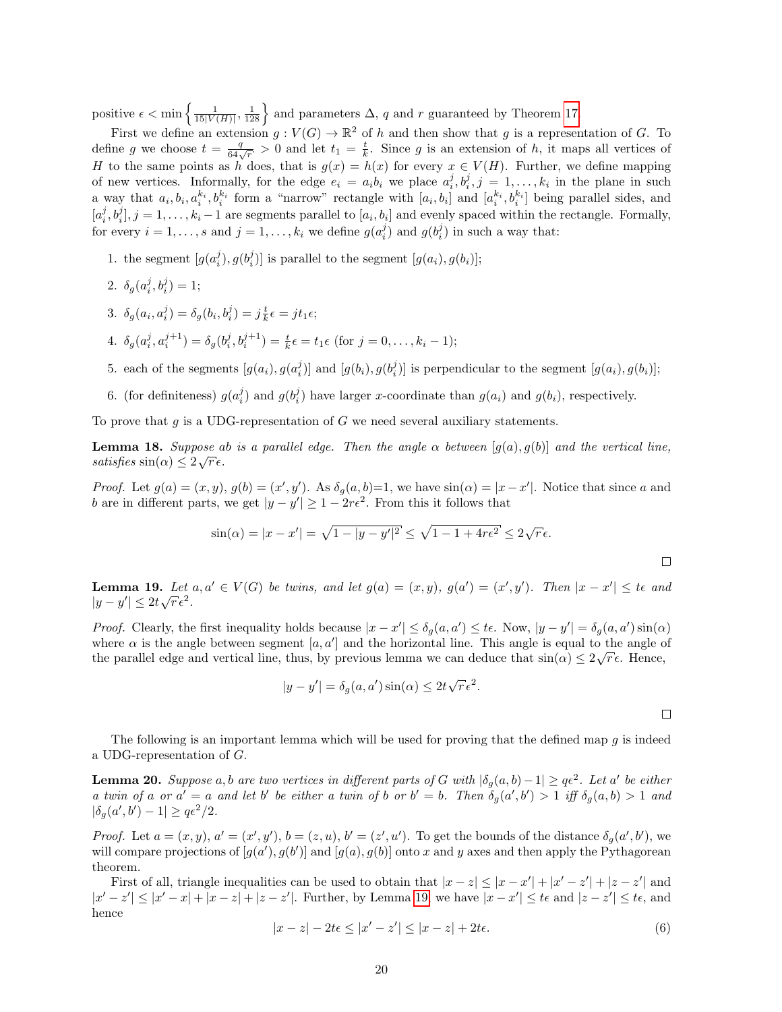positive  $\epsilon < \min\left\{\frac{1}{15|V(H)|}, \frac{1}{128}\right\}$  and parameters  $\Delta$ , q and r guaranteed by Theorem [17.](#page-17-0)

First we define an extension  $g: V(G) \to \mathbb{R}^2$  of h and then show that g is a representation of G. To define g we choose  $t = \frac{q}{64\sqrt{r}} > 0$  and let  $t_1 = \frac{t}{k}$ . Since g is an extension of h, it maps all vertices of H to the same points as h does, that is  $g(x) = h(x)$  for every  $x \in V(H)$ . Further, we define mapping of new vertices. Informally, for the edge  $e_i = a_i b_i$  we place  $a_i^j, b_i^j, j = 1, \ldots, k_i$  in the plane in such a way that  $a_i, b_i, a_i^{k_i}, b_i^{k_i}$  form a "narrow" rectangle with  $[a_i, b_i]$  and  $[a_i^{k_i}, b_i^{k_i}]$  being parallel sides, and  $[a_i^j, b_i^j], j = 1, \ldots, k_i - 1$  are segments parallel to  $[a_i, b_i]$  and evenly spaced within the rectangle. Formally, for every  $i = 1, ..., s$  and  $j = 1, ..., k_i$  we define  $g(a_i^j)$  and  $g(b_i^j)$  in such a way that:

1. the segment  $[g(a_i^j), g(b_i^j)]$  is parallel to the segment  $[g(a_i), g(b_i)]$ ;

2. 
$$
\delta_g(a_i^j, b_i^j) = 1;
$$

- 3.  $\delta_g(a_i, a_i^j) = \delta_g(b_i, b_i^j) = j \frac{t}{k} \epsilon = j t_1 \epsilon;$
- 4.  $\delta_g(a_i^j, a_i^{j+1}) = \delta_g(b_i^j, b_i^{j+1}) = \frac{t}{k}\epsilon = t_1\epsilon \text{ (for } j = 0, \ldots, k_i 1);$
- 5. each of the segments  $[g(a_i), g(a_i^j)]$  and  $[g(b_i), g(b_i^j)]$  is perpendicular to the segment  $[g(a_i), g(b_i)]$ ;
- 6. (for definiteness)  $g(a_i^j)$  and  $g(b_i^j)$  have larger x-coordinate than  $g(a_i)$  and  $g(b_i)$ , respectively.

To prove that  $g$  is a UDG-representation of  $G$  we need several auxiliary statements.

**Lemma 18.** Suppose ab is a parallel edge. Then the angle  $\alpha$  between  $[g(a), g(b)]$  and the vertical line, satisfies  $\sin(\alpha) \leq 2\sqrt{r} \epsilon$ .

*Proof.* Let  $g(a) = (x, y), g(b) = (x', y')$ . As  $\delta_g(a, b) = 1$ , we have  $\sin(\alpha) = |x - x'|$ . Notice that since a and b are in different parts, we get  $|y - y'| \geq 1 - 2r\epsilon^2$ . From this it follows that

$$
\sin(\alpha) = |x - x'| = \sqrt{1 - |y - y'|^2} \le \sqrt{1 - 1 + 4r\epsilon^2} \le 2\sqrt{r}\epsilon.
$$

<span id="page-19-0"></span>**Lemma 19.** Let  $a, a' \in V(G)$  be twins, and let  $g(a) = (x, y), g(a') = (x', y')$ . Then  $|x - x'| \leq t \epsilon$  and  $|y-y'| \leq 2t\sqrt{r}\epsilon^2$ .

*Proof.* Clearly, the first inequality holds because  $|x - x'| \leq \delta_g(a, a') \leq t\epsilon$ . Now,  $|y - y'| = \delta_g(a, a') \sin(\alpha)$ where  $\alpha$  is the angle between segment  $[a, a']$  and the horizontal line. This angle is equal to the angle of the parallel edge and vertical line, thus, by previous lemma we can deduce that  $\sin(\alpha) \leq 2\sqrt{r} \epsilon$ . Hence,

$$
|y - y'| = \delta_g(a, a') \sin(\alpha) \le 2t \sqrt{r} \epsilon^2.
$$

 $\Box$ 

The following is an important lemma which will be used for proving that the defined map  $q$  is indeed a UDG-representation of G.

<span id="page-19-2"></span>**Lemma 20.** Suppose a, b are two vertices in different parts of G with  $|\delta_g(a,b)-1| \geq q\epsilon^2$ . Let a' be either a twin of a or  $a' = a$  and let b' be either a twin of b or  $b' = b$ . Then  $\delta_g(a', b') > 1$  iff  $\delta_g(a, b) > 1$  and  $|\delta_g(a',b') - 1| \geq q\epsilon^2/2.$ 

*Proof.* Let  $a = (x, y), a' = (x', y'), b = (z, u), b' = (z', u')$ . To get the bounds of the distance  $\delta_g(a', b')$ , we will compare projections of  $[g(a'), g(b')]$  and  $[g(a), g(b)]$  onto x and y axes and then apply the Pythagorean theorem.

First of all, triangle inequalities can be used to obtain that  $|x-z| \le |x-x'| + |x'-z'| + |z-z'|$  and  $|x'-z'| \leq |x'-x|+|x-z'|+|z-z'|$ . Further, by Lemma [19,](#page-19-0) we have  $|x-x'| \leq t\epsilon$  and  $|z-z'| \leq t\epsilon$ , and hence

<span id="page-19-1"></span>
$$
|x - z| - 2t\epsilon \le |x' - z'| \le |x - z| + 2t\epsilon. \tag{6}
$$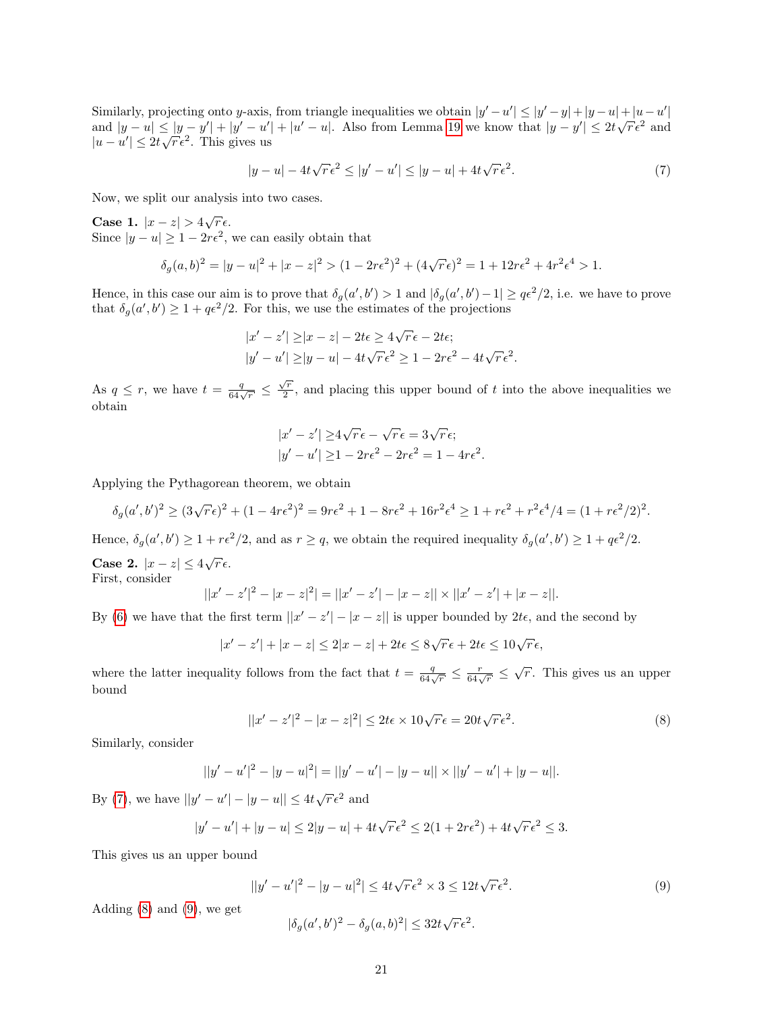Similarly, projecting onto y-axis, from triangle inequalities we obtain  $|y'-u'| \le |y'-y| + |y-u| + |u-u'|$ Similarly, projecting onto y-axis, from triangle inequanties we obtain  $|y - u| \le |y - y| + |y - u| + |u - u|$ <br>and  $|y - u| \le |y - y'| + |y' - u'| + |u' - u|$ . Also from Lemma [19](#page-19-0) we know that  $|y - y'| \le 2t\sqrt{r}\epsilon^2$  and and  $|y - u| \le |y - y| + |y - u|$ <br> $|u - u'| \le 2t\sqrt{r} \epsilon^2$ . This gives us

<span id="page-20-0"></span>
$$
|y - u| - 4t\sqrt{r}\epsilon^2 \le |y' - u'| \le |y - u| + 4t\sqrt{r}\epsilon^2. \tag{7}
$$

Now, we split our analysis into two cases.

Case 1.  $|x-z| > 4\sqrt{r}\epsilon$ . Since  $|y - u| \geq 1 - 2r\epsilon^2$ , we can easily obtain that

$$
\delta_g(a,b)^2 = |y - u|^2 + |x - z|^2 > (1 - 2r\epsilon^2)^2 + (4\sqrt{r}\epsilon)^2 = 1 + 12r\epsilon^2 + 4r^2\epsilon^4 > 1.
$$

Hence, in this case our aim is to prove that  $\delta_g(a', b') > 1$  and  $|\delta_g(a', b') - 1| \geq q\epsilon^2/2$ , i.e. we have to prove that  $\delta_g(a', b') \geq 1 + q\epsilon^2/2$ . For this, we use the estimates of the projections

$$
|x'-z'| \ge |x-z| - 2t\epsilon \ge 4\sqrt{r}\epsilon - 2t\epsilon;
$$
  

$$
|y'-u'| \ge |y-u| - 4t\sqrt{r}\epsilon^2 \ge 1 - 2r\epsilon^2 - 4t\sqrt{r}\epsilon^2.
$$

As  $q \leq r$ , we have  $t = \frac{q}{64\sqrt{r}} \leq \frac{\sqrt{r}}{2}$  $\frac{2}{2}$ , and placing this upper bound of t into the above inequalities we obtain

$$
|x'-z'| \ge 4\sqrt{r}\epsilon - \sqrt{r}\epsilon = 3\sqrt{r}\epsilon;
$$
  

$$
|y'-u'| \ge 1 - 2r\epsilon^2 - 2r\epsilon^2 = 1 - 4r\epsilon^2.
$$

Applying the Pythagorean theorem, we obtain

$$
\delta_g(a',b')^2 \ge (3\sqrt{r}\epsilon)^2 + (1-4r\epsilon^2)^2 = 9r\epsilon^2 + 1 - 8r\epsilon^2 + 16r^2\epsilon^4 \ge 1 + r\epsilon^2 + r^2\epsilon^4/4 = (1 + r\epsilon^2/2)^2.
$$

Hence,  $\delta_g(a',b') \geq 1 + r\epsilon^2/2$ , and as  $r \geq q$ , we obtain the required inequality  $\delta_g(a',b') \geq 1 + q\epsilon^2/2$ .

Case 2.  $|x-z| \leq 4\sqrt{r} \epsilon$ . First, consider

$$
||x'-z'|^2 - |x-z|^2| = ||x'-z'| - |x-z|| \times ||x'-z'| + |x-z||.
$$

By [\(6\)](#page-19-1) we have that the first term  $||x' - z'|| - |x - z||$  is upper bounded by  $2t\epsilon$ , and the second by

 $|x'-z'| + |x-z| \leq 2|x-z| + 2t\epsilon \leq 8\sqrt{r}\epsilon + 2t\epsilon \leq 10\sqrt{r}\epsilon,$ 

where the latter inequality follows from the fact that  $t = \frac{q}{64\sqrt{r}} \leq \frac{r}{64\sqrt{r}} \leq \sqrt{r}$ . This gives us an upper bound

<span id="page-20-1"></span>
$$
||x'-z'|^2 - |x-z|^2| \le 2t\epsilon \times 10\sqrt{r}\epsilon = 20t\sqrt{r}\epsilon^2.
$$
\n(8)

Similarly, consider

$$
||y'-u'|^2 - |y-u|^2| = ||y'-u'| - |y-u|| \times ||y'-u'| + |y-u||.
$$

By [\(7\)](#page-20-0), we have  $||y'-u'|-|y-u|| \le 4t\sqrt{r}\epsilon^2$  and

$$
|y'-u'| + |y-u| \le 2|y-u| + 4t\sqrt{r}\epsilon^2 \le 2(1+2r\epsilon^2) + 4t\sqrt{r}\epsilon^2 \le 3.
$$

This gives us an upper bound

<span id="page-20-2"></span>
$$
||y'-u'|^2 - |y-u|^2| \le 4t\sqrt{r}\epsilon^2 \times 3 \le 12t\sqrt{r}\epsilon^2.
$$
\n(9)

Adding  $(8)$  and  $(9)$ , we get

$$
|\delta_g(a',b')^2 - \delta_g(a,b)^2| \le 32t\sqrt{r}\epsilon^2.
$$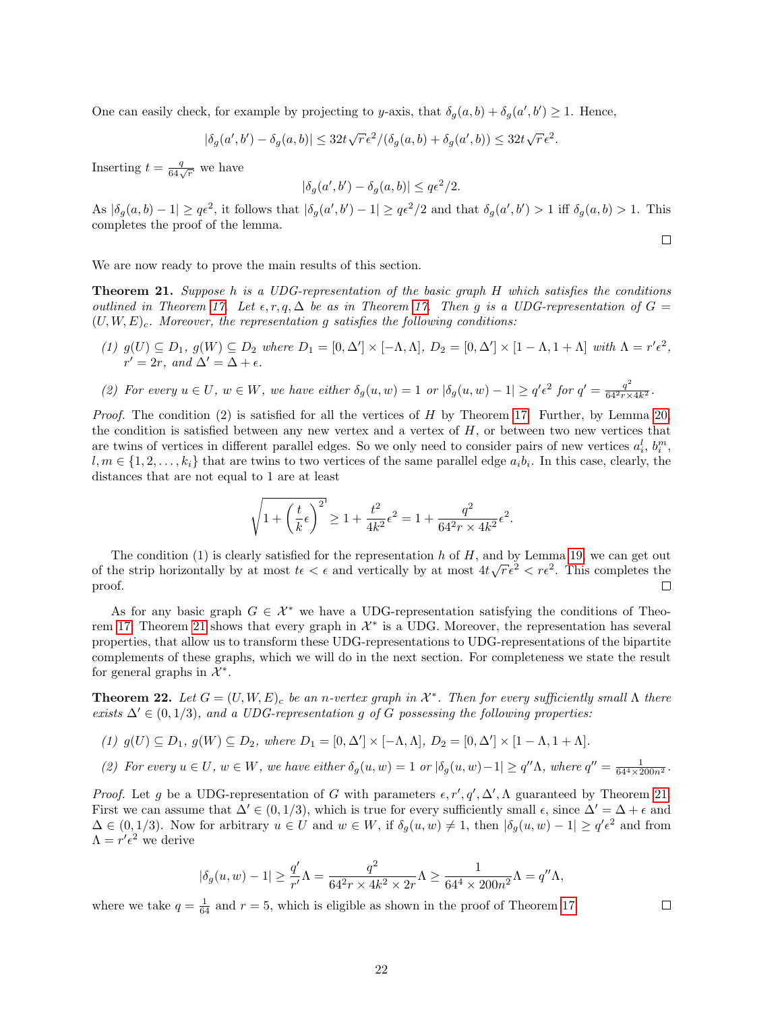One can easily check, for example by projecting to y-axis, that  $\delta_g(a, b) + \delta_g(a', b') \geq 1$ . Hence,

$$
|\delta_g(a',b') - \delta_g(a,b)| \leq 32t\sqrt{r}\epsilon^2/(\delta_g(a,b) + \delta_g(a',b)) \leq 32t\sqrt{r}\epsilon^2.
$$

Inserting  $t = \frac{q}{64\sqrt{r}}$  we have

$$
|\delta_g(a',b') - \delta_g(a,b)| \leq q\epsilon^2/2.
$$

As  $|\delta_g(a,b)-1| \geq q\epsilon^2$ , it follows that  $|\delta_g(a',b')-1| \geq q\epsilon^2/2$  and that  $\delta_g(a',b') > 1$  iff  $\delta_g(a,b) > 1$ . This completes the proof of the lemma.

We are now ready to prove the main results of this section.

<span id="page-21-0"></span>Theorem 21. Suppose h is a UDG-representation of the basic graph H which satisfies the conditions outlined in Theorem [17.](#page-17-0) Let  $\epsilon, r, q, \Delta$  be as in Theorem 17. Then g is a UDG-representation of  $G =$  $(U, W, E)$ <sub>c</sub>. Moreover, the representation g satisfies the following conditions:

- (1)  $g(U) \subseteq D_1$ ,  $g(W) \subseteq D_2$  where  $D_1 = [0, \Delta'] \times [-\Lambda, \Lambda]$ ,  $D_2 = [0, \Delta'] \times [1 \Lambda, 1 + \Lambda]$  with  $\Lambda = r' \epsilon^2$ ,  $r' = 2r$ , and  $\Delta' = \Delta + \epsilon$ .
- (2) For every  $u \in U$ , we have either  $\delta_g(u, w) = 1$  or  $|\delta_g(u, w) 1| \ge q' \epsilon^2$  for  $q' = \frac{q^2}{64^2 r \times 4k^2}$ .

*Proof.* The condition  $(2)$  is satisfied for all the vertices of H by Theorem [17.](#page-17-0) Further, by Lemma [20,](#page-19-2) the condition is satisfied between any new vertex and a vertex of  $H$ , or between two new vertices that are twins of vertices in different parallel edges. So we only need to consider pairs of new vertices  $a_i^l$ ,  $b_i^m$ ,  $l, m \in \{1, 2, \ldots, k_i\}$  that are twins to two vertices of the same parallel edge  $a_i b_i$ . In this case, clearly, the distances that are not equal to 1 are at least

$$
\sqrt{1+\left(\frac{t}{k}\epsilon\right)^2} \geq 1+\frac{t^2}{4k^2}\epsilon^2 = 1+\frac{q^2}{64^2r\times 4k^2}\epsilon^2.
$$

The condition  $(1)$  is clearly satisfied for the representation h of H, and by Lemma [19,](#page-19-0) we can get out The condition (1) is clearly satisfied for the representation *n* or *n*, and by Lemma 19, we can get out of the strip horizontally by at most  $t \in \epsilon$  and vertically by at most  $4t\sqrt{r} \epsilon^2 < r\epsilon^2$ . This completes the proof. П

As for any basic graph  $G \in \mathcal{X}^*$  we have a UDG-representation satisfying the conditions of Theo-rem [17,](#page-17-0) Theorem [21](#page-21-0) shows that every graph in  $\mathcal{X}^*$  is a UDG. Moreover, the representation has several properties, that allow us to transform these UDG-representations to UDG-representations of the bipartite complements of these graphs, which we will do in the next section. For completeness we state the result for general graphs in  $\mathcal{X}^*$ .

<span id="page-21-1"></span>**Theorem 22.** Let  $G = (U, W, E)$ <sub>c</sub> be an n-vertex graph in  $\mathcal{X}^*$ . Then for every sufficiently small  $\Lambda$  there exists  $\Delta' \in (0, 1/3)$ , and a UDG-representation g of G possessing the following properties:

- (1)  $g(U) \subseteq D_1$ ,  $g(W) \subseteq D_2$ , where  $D_1 = [0, \Delta'] \times [-\Lambda, \Lambda]$ ,  $D_2 = [0, \Delta'] \times [1 \Lambda, 1 + \Lambda]$ .
- (2) For every  $u \in U$ ,  $w \in W$ , we have either  $\delta_g(u, w) = 1$  or  $|\delta_g(u, w) 1| \ge q'' \Lambda$ , where  $q'' = \frac{1}{64^4 \times 200n^2}$ .

*Proof.* Let g be a UDG-representation of G with parameters  $\epsilon, r', q', \Delta', \Lambda$  guaranteed by Theorem [21.](#page-21-0) First we can assume that  $\Delta' \in (0, 1/3)$ , which is true for every sufficiently small  $\epsilon$ , since  $\Delta' = \Delta + \epsilon$  and  $\Delta \in (0, 1/3)$ . Now for arbitrary  $u \in U$  and  $w \in W$ , if  $\delta_g(u, w) \neq 1$ , then  $|\delta_g(u, w) - 1| \geq q' \epsilon^2$  and from  $\Lambda = r' \epsilon^2$  we derive

$$
|\delta_g(u,w)-1|\geq \frac{q'}{r'}\Lambda=\frac{q^2}{64^2r\times 4k^2\times 2r}\Lambda\geq \frac{1}{64^4\times 200n^2}\Lambda=q''\Lambda,
$$

where we take  $q = \frac{1}{64}$  and  $r = 5$ , which is eligible as shown in the proof of Theorem [17.](#page-17-0)

 $\Box$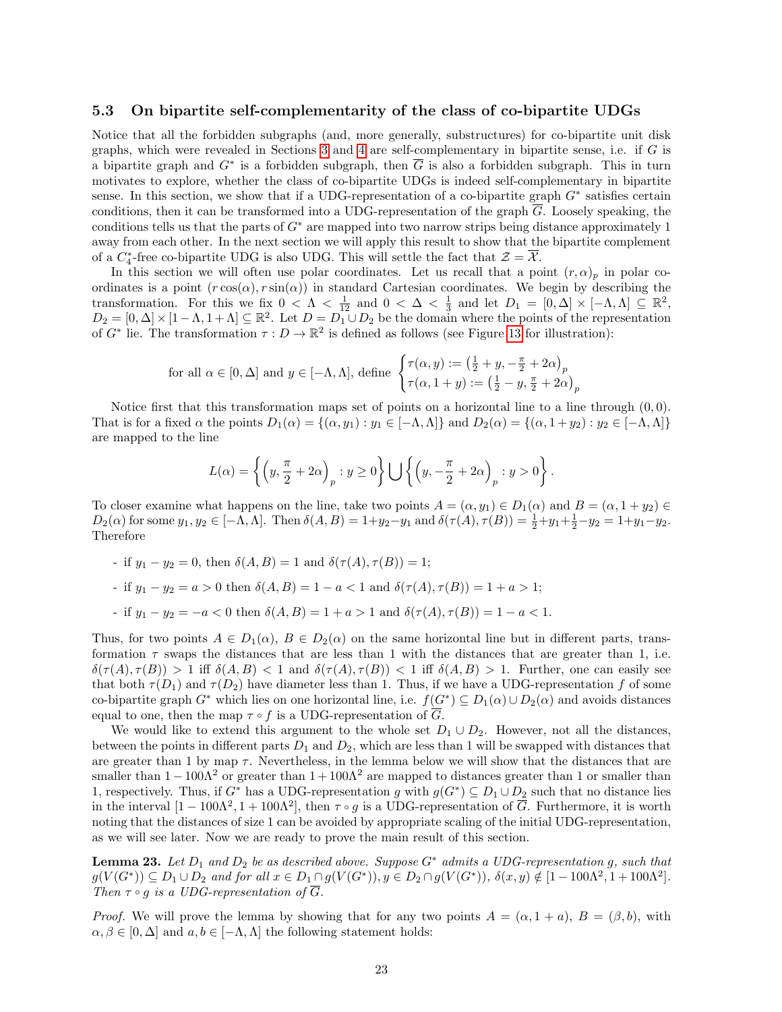#### <span id="page-22-0"></span>5.3 On bipartite self-complementarity of the class of co-bipartite UDGs

Notice that all the forbidden subgraphs (and, more generally, substructures) for co-bipartite unit disk graphs, which were revealed in Sections  $3$  and  $4$  are self-complementary in bipartite sense, i.e. if  $G$  is a bipartite graph and  $G^*$  is a forbidden subgraph, then  $\overline{G}$  is also a forbidden subgraph. This in turn motivates to explore, whether the class of co-bipartite UDGs is indeed self-complementary in bipartite sense. In this section, we show that if a UDG-representation of a co-bipartite graph  $G^*$  satisfies certain conditions, then it can be transformed into a UDG-representation of the graph  $\overline{G}$ . Loosely speaking, the conditions tells us that the parts of  $G^*$  are mapped into two narrow strips being distance approximately 1 away from each other. In the next section we will apply this result to show that the bipartite complement of a  $C_4^*$ -free co-bipartite UDG is also UDG. This will settle the fact that  $\mathcal{Z} = \overline{\mathcal{X}}$ .

In this section we will often use polar coordinates. Let us recall that a point  $(r, \alpha)_p$  in polar coordinates is a point  $(r \cos(\alpha), r \sin(\alpha))$  in standard Cartesian coordinates. We begin by describing the transformation. For this we fix  $0 < \Lambda < \frac{1}{12}$  and  $0 < \Delta < \frac{1}{3}$  and let  $D_1 = [0, \Delta] \times [-\Lambda, \Lambda] \subseteq \mathbb{R}^2$ ,  $D_2 = [0, \Delta] \times [1 - \Lambda, 1 + \Lambda] \subseteq \mathbb{R}^2$ . Let  $D = D_1^2 \cup D_2$  be the domain where the points of the representation of  $G^*$  lie. The transformation  $\tau: D \to \mathbb{R}^2$  is defined as follows (see Figure [13](#page-23-0) for illustration):

$$
\text{for all } \alpha \in [0, \Delta] \text{ and } y \in [-\Lambda, \Lambda], \text{ define } \begin{cases} \tau(\alpha, y) := \left(\frac{1}{2} + y, -\frac{\pi}{2} + 2\alpha\right)_p \\ \tau(\alpha, 1 + y) := \left(\frac{1}{2} - y, \frac{\pi}{2} + 2\alpha\right)_p \end{cases}
$$

Notice first that this transformation maps set of points on a horizontal line to a line through  $(0, 0)$ . That is for a fixed  $\alpha$  the points  $D_1(\alpha) = \{(\alpha, y_1) : y_1 \in [-\Lambda, \Lambda]\}$  and  $D_2(\alpha) = \{(\alpha, 1 + y_2) : y_2 \in [-\Lambda, \Lambda]\}$ are mapped to the line

$$
L(\alpha) = \left\{ \left( y, \frac{\pi}{2} + 2\alpha \right)_p : y \ge 0 \right\} \bigcup \left\{ \left( y, -\frac{\pi}{2} + 2\alpha \right)_p : y > 0 \right\}.
$$

To closer examine what happens on the line, take two points  $A = (\alpha, y_1) \in D_1(\alpha)$  and  $B = (\alpha, 1 + y_2) \in D_2(\alpha)$  $D_2(\alpha)$  for some  $y_1, y_2 \in [-\Lambda, \Lambda]$ . Then  $\delta(A, B) = 1 + y_2 - y_1$  and  $\delta(\tau(A), \tau(B)) = \frac{1}{2} + y_1 + \frac{1}{2} - y_2 = 1 + y_1 - y_2$ . Therefore

- if  $y_1 y_2 = 0$ , then  $\delta(A, B) = 1$  and  $\delta(\tau(A), \tau(B)) = 1$ ;
- if  $y_1 y_2 = a > 0$  then  $\delta(A, B) = 1 a < 1$  and  $\delta(\tau(A), \tau(B)) = 1 + a > 1$ ;
- if  $y_1 y_2 = -a < 0$  then  $\delta(A, B) = 1 + a > 1$  and  $\delta(\tau(A), \tau(B)) = 1 a < 1$ .

Thus, for two points  $A \in D_1(\alpha)$ ,  $B \in D_2(\alpha)$  on the same horizontal line but in different parts, transformation  $\tau$  swaps the distances that are less than 1 with the distances that are greater than 1, i.e.  $\delta(\tau(A), \tau(B)) > 1$  iff  $\delta(A, B) < 1$  and  $\delta(\tau(A), \tau(B)) < 1$  iff  $\delta(A, B) > 1$ . Further, one can easily see that both  $\tau(D_1)$  and  $\tau(D_2)$  have diameter less than 1. Thus, if we have a UDG-representation f of some co-bipartite graph  $G^*$  which lies on one horizontal line, i.e.  $f(G^*) \subseteq D_1(\alpha) \cup D_2(\alpha)$  and avoids distances equal to one, then the map  $\tau \circ f$  is a UDG-representation of  $\overline{G}$ .

We would like to extend this argument to the whole set  $D_1 \cup D_2$ . However, not all the distances, between the points in different parts  $D_1$  and  $D_2$ , which are less than 1 will be swapped with distances that are greater than 1 by map  $\tau$ . Nevertheless, in the lemma below we will show that the distances that are smaller than  $1 - 100\Lambda^2$  or greater than  $1 + 100\Lambda^2$  are mapped to distances greater than 1 or smaller than 1, respectively. Thus, if  $G^*$  has a UDG-representation g with  $g(G^*) \subseteq D_1 \cup D_2$  such that no distance lies in the interval  $[1 - 100\Lambda^2, 1 + 100\Lambda^2]$ , then  $\tau \circ g$  is a UDG-representation of  $\overline{G}$ . Furthermore, it is worth noting that the distances of size 1 can be avoided by appropriate scaling of the initial UDG-representation, as we will see later. Now we are ready to prove the main result of this section.

<span id="page-22-1"></span>**Lemma 23.** Let  $D_1$  and  $D_2$  be as described above. Suppose  $G^*$  admits a UDG-representation g, such that  $g(V(G^*)) \subseteq D_1 \cup D_2$  and for all  $x \in D_1 \cap g(V(G^*)), y \in D_2 \cap g(V(G^*)), \delta(x, y) \notin [1 - 100\Lambda^2, 1 + 100\Lambda^2]$ . Then  $\tau \circ q$  is a UDG-representation of  $\overline{G}$ .

*Proof.* We will prove the lemma by showing that for any two points  $A = (\alpha, 1 + a)$ ,  $B = (\beta, b)$ , with  $\alpha, \beta \in [0, \Delta]$  and  $a, b \in [-\Lambda, \Lambda]$  the following statement holds: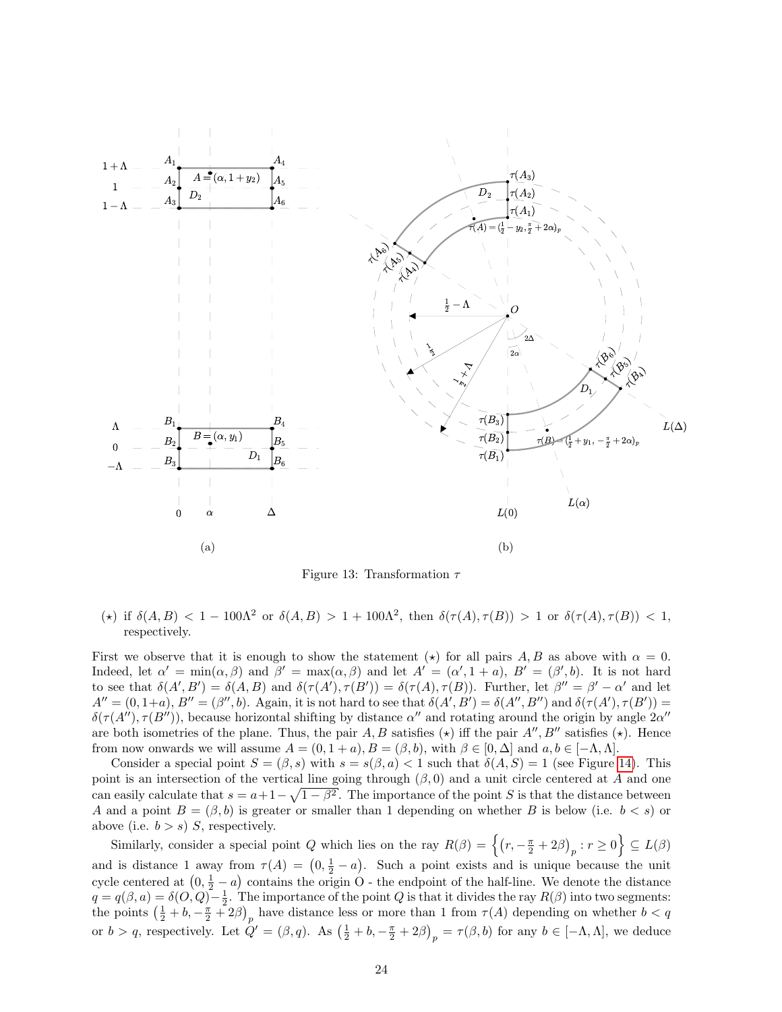<span id="page-23-0"></span>

Figure 13: Transformation  $\tau$ 

(\*) if  $\delta(A, B) < 1 - 100\Lambda^2$  or  $\delta(A, B) > 1 + 100\Lambda^2$ , then  $\delta(\tau(A), \tau(B)) > 1$  or  $\delta(\tau(A), \tau(B)) < 1$ , respectively.

First we observe that it is enough to show the statement ( $\star$ ) for all pairs A, B as above with  $\alpha = 0$ . Indeed, let  $\alpha' = \min(\alpha, \beta)$  and  $\beta' = \max(\alpha, \beta)$  and let  $A' = (\alpha', 1 + a)$ ,  $B' = (\beta', b)$ . It is not hard to see that  $\delta(A', B') = \delta(A, B)$  and  $\delta(\tau(A'), \tau(B')) = \delta(\tau(A), \tau(B))$ . Further, let  $\beta'' = \beta' - \alpha'$  and let  $A'' = (0, 1+a), B'' = (\beta'', b)$ . Again, it is not hard to see that  $\delta(A', B') = \delta(A'', B'')$  and  $\delta(\tau(A'), \tau(B')) =$  $\delta(\tau(A''), \tau(B''))$ , because horizontal shifting by distance  $\alpha''$  and rotating around the origin by angle  $2\alpha''$ are both isometries of the plane. Thus, the pair A, B satisfies ( $\star$ ) iff the pair A'', B'' satisfies ( $\star$ ). Hence from now onwards we will assume  $A = (0, 1 + a), B = (\beta, b)$ , with  $\beta \in [0, \Delta]$  and  $a, b \in [-\Lambda, \Lambda]$ .

Consider a special point  $S = (\beta, s)$  with  $s = s(\beta, a) < 1$  such that  $\delta(A, S) = 1$  (see Figure [14\)](#page-25-1). This point is an intersection of the vertical line going through  $(\beta, 0)$  and a unit circle centered at A and one can easily calculate that  $s = a + 1 - \sqrt{1 - \beta^2}$ . The importance of the point S is that the distance between A and a point  $B = (\beta, b)$  is greater or smaller than 1 depending on whether B is below (i.e.  $b < s$ ) or above (i.e.  $b > s$ ) S, respectively.

Similarly, consider a special point Q which lies on the ray  $R(\beta) = \left\{ (r, -\frac{\pi}{2} + 2\beta)_p : r \ge 0 \right\} \subseteq L(\beta)$ and is distance 1 away from  $\tau(A) = (0, \frac{1}{2} - a)$ . Such a point exists and is unique because the unit cycle centered at  $(0, \frac{1}{2} - a)$  contains the origin O - the endpoint of the half-line. We denote the distance  $q = q(\beta, a) = \delta(O, Q) - \frac{1}{2}$ . The importance of the point Q is that it divides the ray  $R(\beta)$  into two segments: the points  $\left(\frac{1}{2} + b, -\frac{\pi}{2} + 2\beta\right)_p$  have distance less or more than 1 from  $\tau(A)$  depending on whether  $b < q$ or  $b > q$ , respectively. Let  $Q' = (\beta, q)$ . As  $\left(\frac{1}{2} + b, -\frac{\pi}{2} + 2\beta\right)_p = \tau(\beta, b)$  for any  $b \in [-\Lambda, \Lambda]$ , we deduce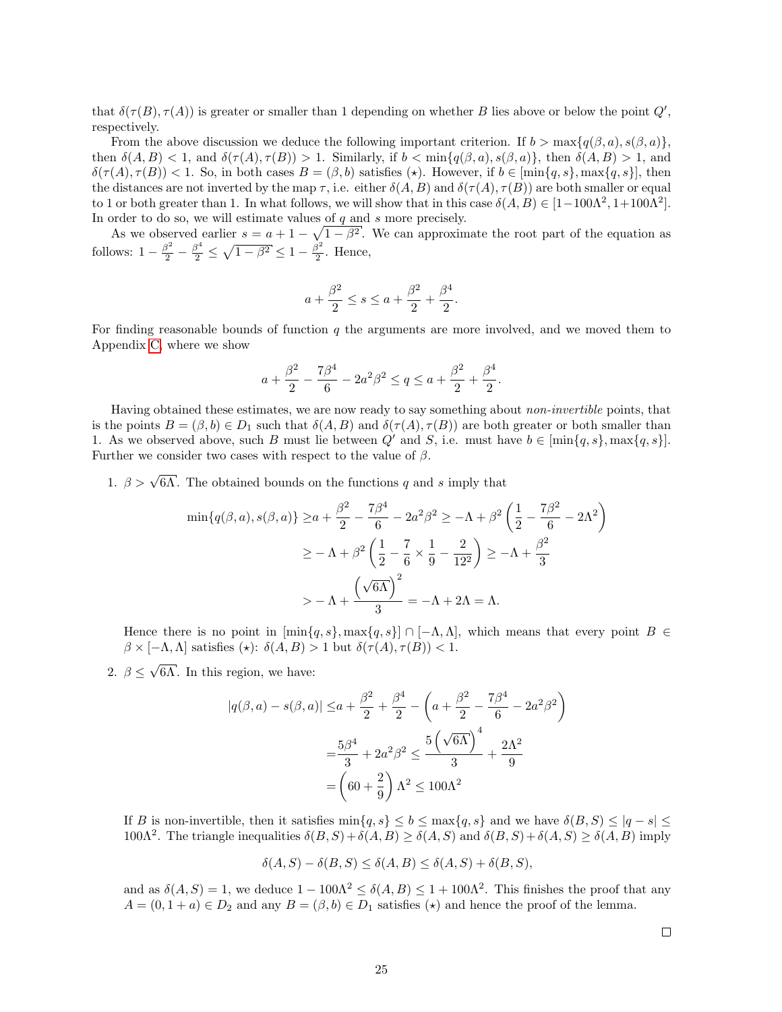that  $\delta(\tau(B), \tau(A))$  is greater or smaller than 1 depending on whether B lies above or below the point  $Q'$ , respectively.

From the above discussion we deduce the following important criterion. If  $b > \max\{q(\beta, a), s(\beta, a)\}\$ , then  $\delta(A, B) < 1$ , and  $\delta(\tau(A), \tau(B)) > 1$ . Similarly, if  $b < \min\{q(\beta, a), s(\beta, a)\}\$ , then  $\delta(A, B) > 1$ , and  $\delta(\tau(A), \tau(B)) < 1$ . So, in both cases  $B = (\beta, b)$  satisfies (\*). However, if  $b \in [\min\{q, s\}, \max\{q, s\}]$ , then the distances are not inverted by the map  $\tau$ , i.e. either  $\delta(A, B)$  and  $\delta(\tau(A), \tau(B))$  are both smaller or equal to 1 or both greater than 1. In what follows, we will show that in this case  $\delta(A, B) \in [1 - 100\Lambda^2, 1 + 100\Lambda^2]$ . In order to do so, we will estimate values of  $q$  and  $s$  more precisely.

As we observed earlier  $s = a + 1 - \sqrt{1 - \beta^2}$ . We can approximate the root part of the equation as follows:  $1 - \frac{\beta^2}{2} - \frac{\beta^4}{2} \le \sqrt{1 - \beta^2} \le 1 - \frac{\beta^2}{2}$  $\frac{5}{2}$ . Hence,

$$
a + \frac{\beta^2}{2} \le s \le a + \frac{\beta^2}{2} + \frac{\beta^4}{2}.
$$

For finding reasonable bounds of function  $q$  the arguments are more involved, and we moved them to Appendix [C,](#page-30-0) where we show

$$
a + \frac{\beta^2}{2} - \frac{7\beta^4}{6} - 2a^2\beta^2 \le q \le a + \frac{\beta^2}{2} + \frac{\beta^4}{2}.
$$

Having obtained these estimates, we are now ready to say something about non-invertible points, that is the points  $B = (\beta, b) \in D_1$  such that  $\delta(A, B)$  and  $\delta(\tau(A), \tau(B))$  are both greater or both smaller than 1. As we observed above, such B must lie between Q' and S, i.e. must have  $b \in [\min\{q, s\}, \max\{q, s\}].$ Further we consider two cases with respect to the value of  $\beta$ .

1.  $\beta > \sqrt{6\Lambda}$ . The obtained bounds on the functions q and s imply that

$$
\min\{q(\beta, a), s(\beta, a)\} \ge a + \frac{\beta^2}{2} - \frac{7\beta^4}{6} - 2a^2\beta^2 \ge -\Lambda + \beta^2 \left(\frac{1}{2} - \frac{7\beta^2}{6} - 2\Lambda^2\right) \\
\ge -\Lambda + \beta^2 \left(\frac{1}{2} - \frac{7}{6} \times \frac{1}{9} - \frac{2}{12^2}\right) \ge -\Lambda + \frac{\beta^2}{3} \\
> -\Lambda + \frac{\left(\sqrt{6\Lambda}\right)^2}{3} = -\Lambda + 2\Lambda = \Lambda.
$$

Hence there is no point in  $[\min\{q, s\}, \max\{q, s\}] \cap [-\Lambda, \Lambda]$ , which means that every point  $B \in$  $\beta \times [-\Lambda, \Lambda]$  satisfies  $(\star)$ :  $\delta(A, B) > 1$  but  $\delta(\tau(A), \tau(B)) < 1$ .

2.  $\beta \leq$ √ 6Λ. In this region, we have:

$$
|q(\beta, a) - s(\beta, a)| \le a + \frac{\beta^2}{2} + \frac{\beta^4}{2} - \left(a + \frac{\beta^2}{2} - \frac{7\beta^4}{6} - 2a^2\beta^2\right)
$$

$$
= \frac{5\beta^4}{3} + 2a^2\beta^2 \le \frac{5\left(\sqrt{6\Lambda}\right)^4}{3} + \frac{2\Lambda^2}{9}
$$

$$
= \left(60 + \frac{2}{9}\right)\Lambda^2 \le 100\Lambda^2
$$

If B is non-invertible, then it satisfies  $\min\{q, s\} \le b \le \max\{q, s\}$  and we have  $\delta(B, S) \le |q - s| \le$ 100Λ<sup>2</sup>. The triangle inequalities  $\delta(B, S) + \delta(A, B) \geq \delta(A, S)$  and  $\delta(B, S) + \delta(A, S) \geq \delta(A, B)$  imply

$$
\delta(A, S) - \delta(B, S) \le \delta(A, B) \le \delta(A, S) + \delta(B, S),
$$

and as  $\delta(A, S) = 1$ , we deduce  $1 - 100\Lambda^2 \leq \delta(A, B) \leq 1 + 100\Lambda^2$ . This finishes the proof that any  $A = (0, 1 + a) \in D_2$  and any  $B = (\beta, b) \in D_1$  satisfies  $(\star)$  and hence the proof of the lemma.

 $\Box$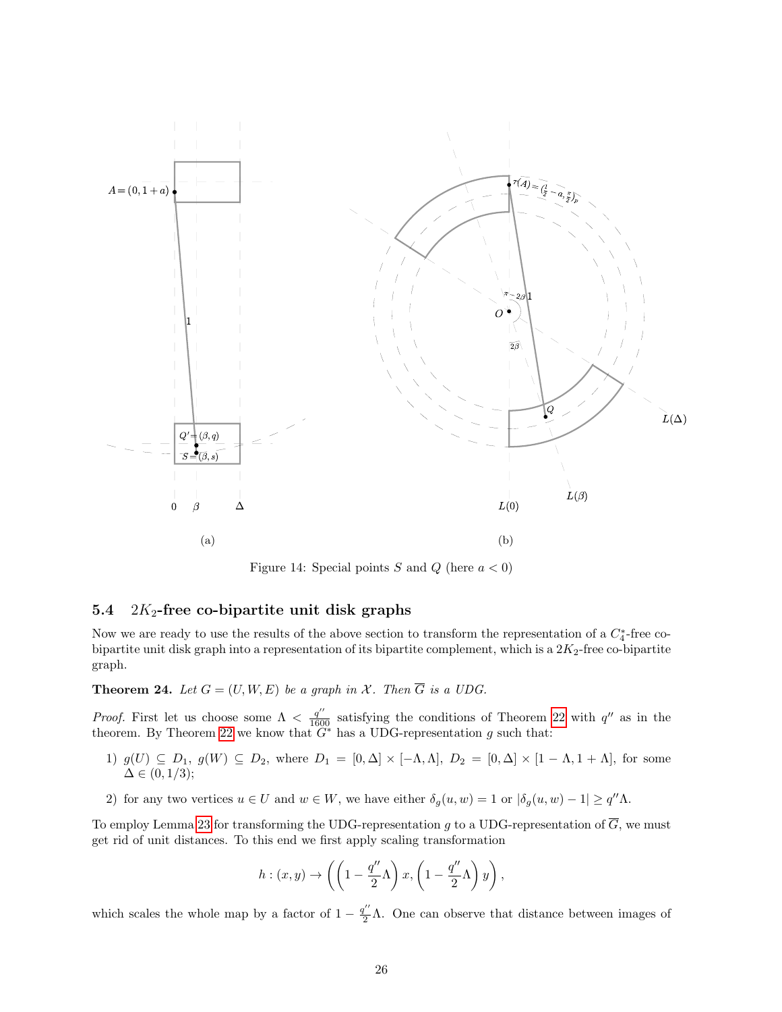<span id="page-25-1"></span>

Figure 14: Special points S and Q (here  $a < 0$ )

### <span id="page-25-0"></span>5.4  $2K_2$ -free co-bipartite unit disk graphs

Now we are ready to use the results of the above section to transform the representation of a  $C_4^*$ -free cobipartite unit disk graph into a representation of its bipartite complement, which is a  $2K_2$ -free co-bipartite graph.

**Theorem 24.** Let  $G = (U, W, E)$  be a graph in X. Then  $\overline{G}$  is a UDG.

*Proof.* First let us choose some  $\Lambda < \frac{q''}{1600}$  satisfying the conditions of Theorem [22](#page-21-1) with  $q''$  as in the theorem. By Theorem [22](#page-21-1) we know that  $G^*$  has a UDG-representation g such that:

- 1)  $g(U) \subseteq D_1$ ,  $g(W) \subseteq D_2$ , where  $D_1 = [0, \Delta] \times [-\Lambda, \Lambda]$ ,  $D_2 = [0, \Delta] \times [1 \Lambda, 1 + \Lambda]$ , for some  $\Delta \in (0, 1/3);$
- 2) for any two vertices  $u \in U$  and  $w \in W$ , we have either  $\delta_g(u, w) = 1$  or  $|\delta_g(u, w) 1| \ge q'' \Lambda$ .

To employ Lemma [23](#page-22-1) for transforming the UDG-representation g to a UDG-representation of  $\overline{G}$ , we must get rid of unit distances. To this end we first apply scaling transformation

$$
h:(x,y)\to \left(\left(1-\frac{q''}{2}\Lambda\right)x,\left(1-\frac{q''}{2}\Lambda\right)y\right),\,
$$

which scales the whole map by a factor of  $1 - \frac{q''}{2}\Lambda$ . One can observe that distance between images of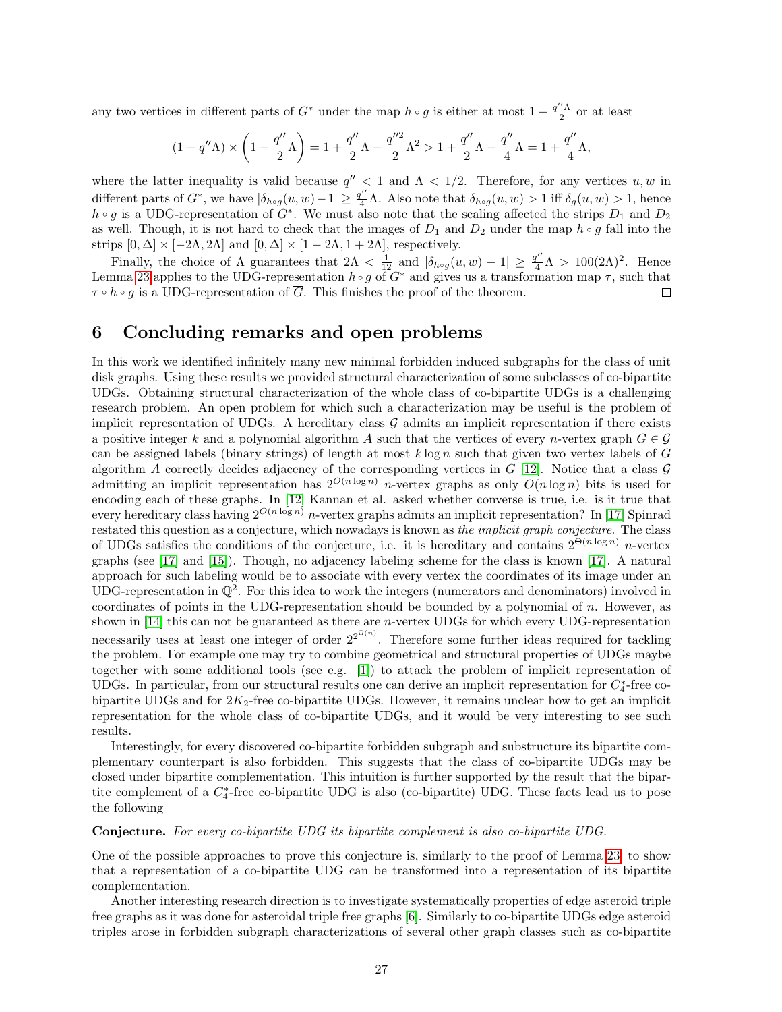any two vertices in different parts of  $G^*$  under the map  $h \circ g$  is either at most  $1 - \frac{q'' \Lambda}{2}$  or at least

$$
(1+q''\Lambda)\times\left(1-\frac{q''}{2}\Lambda\right)=1+\frac{q''}{2}\Lambda-\frac{q''^2}{2}\Lambda^2>1+\frac{q''}{2}\Lambda-\frac{q''}{4}\Lambda=1+\frac{q''}{4}\Lambda,
$$

where the latter inequality is valid because  $q'' < 1$  and  $\Lambda < 1/2$ . Therefore, for any vertices  $u, w$  in different parts of  $G^*$ , we have  $|\delta_{h \circ g}(u, w) - 1| \ge \frac{q''}{4} \Lambda$ . Also note that  $\delta_{h \circ g}(u, w) > 1$  iff  $\delta_g(u, w) > 1$ , hence  $h \circ g$  is a UDG-representation of  $G^*$ . We must also note that the scaling affected the strips  $D_1$  and  $D_2$ as well. Though, it is not hard to check that the images of  $D_1$  and  $D_2$  under the map  $h \circ g$  fall into the strips  $[0, \Delta] \times [-2\Lambda, 2\Lambda]$  and  $[0, \Delta] \times [1 - 2\Lambda, 1 + 2\Lambda]$ , respectively.

Finally, the choice of  $\Lambda$  guarantees that  $2\Lambda < \frac{1}{12}$  and  $|\delta_{h \circ g}(u, w) - 1| \geq \frac{q''}{4}\Lambda > 100(2\Lambda)^2$ . Hence Lemma [23](#page-22-1) applies to the UDG-representation  $h \circ g$  of  $G^*$  and gives us a transformation map  $\tau$ , such that  $\tau \circ h \circ g$  is a UDG-representation of  $\overline{G}$ . This finishes the proof of the theorem.  $\Box$ 

### <span id="page-26-0"></span>6 Concluding remarks and open problems

In this work we identified infinitely many new minimal forbidden induced subgraphs for the class of unit disk graphs. Using these results we provided structural characterization of some subclasses of co-bipartite UDGs. Obtaining structural characterization of the whole class of co-bipartite UDGs is a challenging research problem. An open problem for which such a characterization may be useful is the problem of implicit representation of UDGs. A hereditary class  $\mathcal G$  admits an implicit representation if there exists a positive integer k and a polynomial algorithm A such that the vertices of every n-vertex graph  $G \in \mathcal{G}$ can be assigned labels (binary strings) of length at most  $k \log n$  such that given two vertex labels of G algorithm A correctly decides adjacency of the corresponding vertices in  $G$  [\[12\]](#page-27-9). Notice that a class  $\mathcal G$ admitting an implicit representation has  $2^{O(n \log n)}$  n-vertex graphs as only  $O(n \log n)$  bits is used for encoding each of these graphs. In [\[12\]](#page-27-9) Kannan et al. asked whether converse is true, i.e. is it true that every hereditary class having  $2^{O(n \log n)}$  n-vertex graphs admits an implicit representation? In [\[17\]](#page-27-10) Spinrad restated this question as a conjecture, which nowadays is known as the implicit graph conjecture. The class of UDGs satisfies the conditions of the conjecture, i.e. it is hereditary and contains  $2^{\Theta(n \log n)}$  n-vertex graphs (see [\[17\]](#page-27-10) and [\[15\]](#page-27-11)). Though, no adjacency labeling scheme for the class is known [\[17\]](#page-27-10). A natural approach for such labeling would be to associate with every vertex the coordinates of its image under an  $\overline{UBG}$ -representation in  $\mathbb{Q}^2$ . For this idea to work the integers (numerators and denominators) involved in coordinates of points in the UDG-representation should be bounded by a polynomial of n. However, as shown in  $[14]$  this can not be guaranteed as there are *n*-vertex UDGs for which every UDG-representation necessarily uses at least one integer of order  $2^{2^{\Omega(n)}}$ . Therefore some further ideas required for tackling the problem. For example one may try to combine geometrical and structural properties of UDGs maybe together with some additional tools (see e.g. [\[1\]](#page-27-13)) to attack the problem of implicit representation of UDGs. In particular, from our structural results one can derive an implicit representation for  $C_4^*$ -free cobipartite UDGs and for  $2K_2$ -free co-bipartite UDGs. However, it remains unclear how to get an implicit representation for the whole class of co-bipartite UDGs, and it would be very interesting to see such results.

Interestingly, for every discovered co-bipartite forbidden subgraph and substructure its bipartite complementary counterpart is also forbidden. This suggests that the class of co-bipartite UDGs may be closed under bipartite complementation. This intuition is further supported by the result that the bipartite complement of a  $C_4^*$ -free co-bipartite UDG is also (co-bipartite) UDG. These facts lead us to pose the following

#### Conjecture. For every co-bipartite UDG its bipartite complement is also co-bipartite UDG.

One of the possible approaches to prove this conjecture is, similarly to the proof of Lemma [23,](#page-22-1) to show that a representation of a co-bipartite UDG can be transformed into a representation of its bipartite complementation.

Another interesting research direction is to investigate systematically properties of edge asteroid triple free graphs as it was done for asteroidal triple free graphs [\[6\]](#page-27-14). Similarly to co-bipartite UDGs edge asteroid triples arose in forbidden subgraph characterizations of several other graph classes such as co-bipartite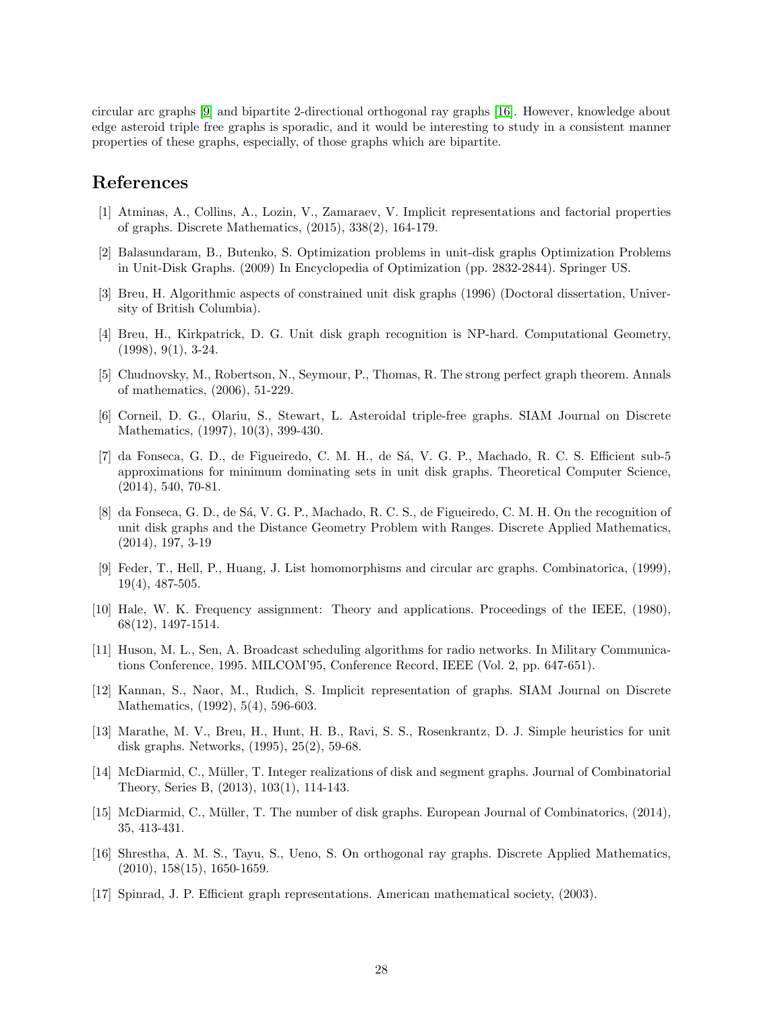circular arc graphs [\[9\]](#page-27-15) and bipartite 2-directional orthogonal ray graphs [\[16\]](#page-27-16). However, knowledge about edge asteroid triple free graphs is sporadic, and it would be interesting to study in a consistent manner properties of these graphs, especially, of those graphs which are bipartite.

### References

- <span id="page-27-13"></span>[1] Atminas, A., Collins, A., Lozin, V., Zamaraev, V. Implicit representations and factorial properties of graphs. Discrete Mathematics, (2015), 338(2), 164-179.
- <span id="page-27-0"></span>[2] Balasundaram, B., Butenko, S. Optimization problems in unit-disk graphs Optimization Problems in Unit-Disk Graphs. (2009) In Encyclopedia of Optimization (pp. 2832-2844). Springer US.
- <span id="page-27-1"></span>[3] Breu, H. Algorithmic aspects of constrained unit disk graphs (1996) (Doctoral dissertation, University of British Columbia).
- <span id="page-27-5"></span>[4] Breu, H., Kirkpatrick, D. G. Unit disk graph recognition is NP-hard. Computational Geometry,  $(1998), 9(1), 3-24.$
- <span id="page-27-2"></span>[5] Chudnovsky, M., Robertson, N., Seymour, P., Thomas, R. The strong perfect graph theorem. Annals of mathematics, (2006), 51-229.
- <span id="page-27-14"></span>[6] Corneil, D. G., Olariu, S., Stewart, L. Asteroidal triple-free graphs. SIAM Journal on Discrete Mathematics, (1997), 10(3), 399-430.
- <span id="page-27-7"></span>[7] da Fonseca, G. D., de Figueiredo, C. M. H., de S´a, V. G. P., Machado, R. C. S. Efficient sub-5 approximations for minimum dominating sets in unit disk graphs. Theoretical Computer Science, (2014), 540, 70-81.
- <span id="page-27-8"></span>[8] da Fonseca, G. D., de Sá, V. G. P., Machado, R. C. S., de Figueiredo, C. M. H. On the recognition of unit disk graphs and the Distance Geometry Problem with Ranges. Discrete Applied Mathematics, (2014), 197, 3-19
- <span id="page-27-15"></span>[9] Feder, T., Hell, P., Huang, J. List homomorphisms and circular arc graphs. Combinatorica, (1999), 19(4), 487-505.
- <span id="page-27-3"></span>[10] Hale, W. K. Frequency assignment: Theory and applications. Proceedings of the IEEE, (1980), 68(12), 1497-1514.
- <span id="page-27-4"></span>[11] Huson, M. L., Sen, A. Broadcast scheduling algorithms for radio networks. In Military Communications Conference, 1995. MILCOM'95, Conference Record, IEEE (Vol. 2, pp. 647-651).
- <span id="page-27-9"></span>[12] Kannan, S., Naor, M., Rudich, S. Implicit representation of graphs. SIAM Journal on Discrete Mathematics, (1992), 5(4), 596-603.
- <span id="page-27-6"></span>[13] Marathe, M. V., Breu, H., Hunt, H. B., Ravi, S. S., Rosenkrantz, D. J. Simple heuristics for unit disk graphs. Networks, (1995), 25(2), 59-68.
- <span id="page-27-12"></span>[14] McDiarmid, C., Müller, T. Integer realizations of disk and segment graphs. Journal of Combinatorial Theory, Series B, (2013), 103(1), 114-143.
- <span id="page-27-11"></span>[15] McDiarmid, C., Müller, T. The number of disk graphs. European Journal of Combinatorics, (2014), 35, 413-431.
- <span id="page-27-16"></span>[16] Shrestha, A. M. S., Tayu, S., Ueno, S. On orthogonal ray graphs. Discrete Applied Mathematics,  $(2010), 158(15), 1650-1659.$
- <span id="page-27-10"></span>[17] Spinrad, J. P. Efficient graph representations. American mathematical society, (2003).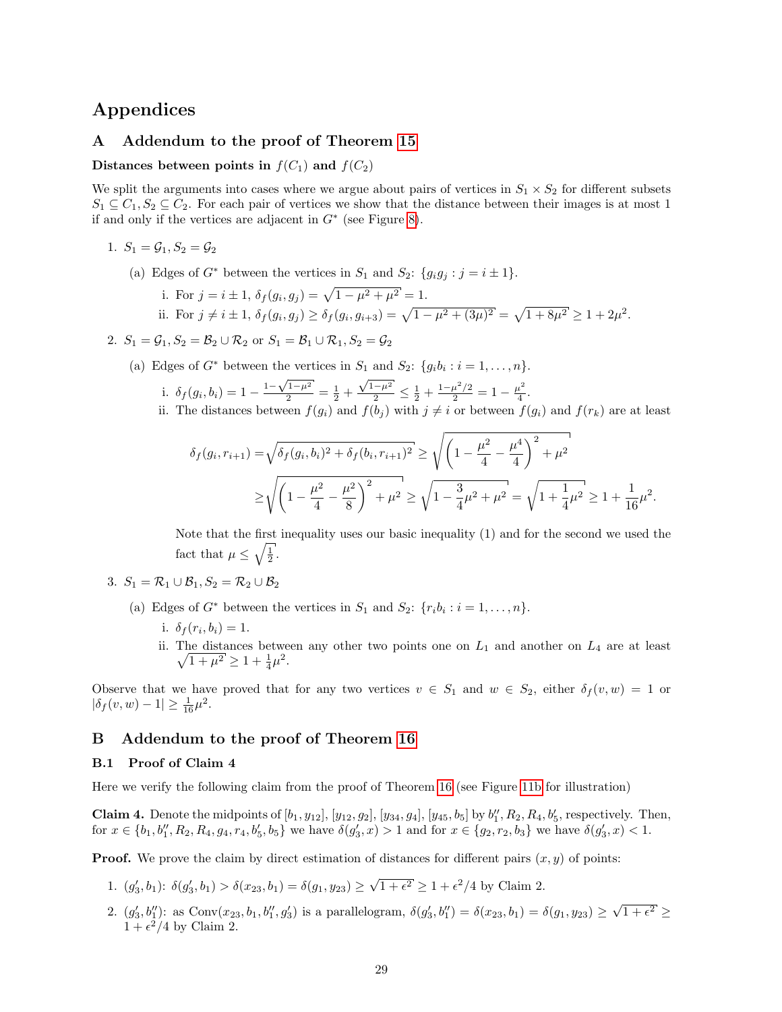### Appendices

#### <span id="page-28-0"></span>A Addendum to the proof of Theorem [15](#page-12-0)

#### Distances between points in  $f(C_1)$  and  $f(C_2)$

We split the arguments into cases where we argue about pairs of vertices in  $S_1 \times S_2$  for different subsets  $S_1 \subseteq C_1, S_2 \subseteq C_2$ . For each pair of vertices we show that the distance between their images is at most 1 if and only if the vertices are adjacent in  $G^*$  (see Figure [8\)](#page-13-0).

- 1.  $S_1 = \mathcal{G}_1, S_2 = \mathcal{G}_2$ 
	- (a) Edges of  $G^*$  between the vertices in  $S_1$  and  $S_2$ :  $\{g_ig_j : j = i \pm 1\}$ .

i. For 
$$
j = i \pm 1
$$
,  $\delta_f(g_i, g_j) = \sqrt{1 - \mu^2 + \mu^2} = 1$ .  
ii. For  $j \neq i \pm 1$ ,  $\delta_f(g_i, g_j) \ge \delta_f(g_i, g_{i+3}) = \sqrt{1 - \mu^2 + (3\mu)^2} = \sqrt{1 + 8\mu^2} \ge 1 + 2\mu^2$ .

2.  $S_1 = \mathcal{G}_1$ ,  $S_2 = \mathcal{B}_2 \cup \mathcal{R}_2$  or  $S_1 = \mathcal{B}_1 \cup \mathcal{R}_1$ ,  $S_2 = \mathcal{G}_2$ 

(a) Edges of  $G^*$  between the vertices in  $S_1$  and  $S_2$ :  $\{g_ib_i : i = 1, ..., n\}$ . √ √

i. 
$$
\delta_f(g_i, b_i) = 1 - \frac{1 - \sqrt{1 - \mu^2}}{2} = \frac{1}{2} + \frac{\sqrt{1 - \mu^2}}{2} \le \frac{1}{2} + \frac{1 - \mu^2/2}{2} = 1 - \frac{\mu^2}{4}.
$$
  
ii. The distances between  $f(a)$  and  $f(b_1)$  with  $i \neq i$  or between  $f(a)$ .

ii. The distances between  $f(g_i)$  and  $f(b_j)$  with  $j \neq i$  or between  $f(g_i)$  and  $f(r_k)$  are at least

$$
\delta_f(g_i, r_{i+1}) = \sqrt{\delta_f(g_i, b_i)^2 + \delta_f(b_i, r_{i+1})^2} \ge \sqrt{\left(1 - \frac{\mu^2}{4} - \frac{\mu^4}{4}\right)^2 + \mu^2}
$$
  
 
$$
\ge \sqrt{\left(1 - \frac{\mu^2}{4} - \frac{\mu^2}{8}\right)^2 + \mu^2} \ge \sqrt{1 - \frac{3}{4}\mu^2 + \mu^2} = \sqrt{1 + \frac{1}{4}\mu^2} \ge 1 + \frac{1}{16}\mu^2.
$$

Note that the first inequality uses our basic inequality (1) and for the second we used the fact that  $\mu \leq \sqrt{\frac{1}{2}}$ .

- 3.  $S_1 = \mathcal{R}_1 \cup \mathcal{B}_1, S_2 = \mathcal{R}_2 \cup \mathcal{B}_2$ 
	- (a) Edges of  $G^*$  between the vertices in  $S_1$  and  $S_2$ :  $\{r_i b_i : i = 1, ..., n\}$ .
		- i.  $\delta_f(r_i, b_i) = 1$ .
		- ii. The distances between any other two points one on  $\sqrt{ }$  $L_1$  and another on  $L_4$  are at least  $\overline{1+\mu^2} \geq 1 + \frac{1}{4}\mu^2$ .

Observe that we have proved that for any two vertices  $v \in S_1$  and  $w \in S_2$ , either  $\delta_f(v, w) = 1$  or  $|\delta_f(v, w) - 1| \ge \frac{1}{16}\mu^2$ .

#### B Addendum to the proof of Theorem [16](#page-12-2)

#### <span id="page-28-1"></span>B.1 Proof of Claim 4

Here we verify the following claim from the proof of Theorem [16](#page-12-2) (see Figure [11b](#page-16-0) for illustration)

**Claim 4.** Denote the midpoints of  $[b_1, y_{12}], [y_{12}, g_2], [y_{34}, g_4], [y_{45}, b_5]$  by  $b''_1, R_2, R_4, b'_5$ , respectively. Then, for  $x \in \{b_1, b_1'', R_2, R_4, g_4, r_4, b_5', b_5\}$  we have  $\delta(g_3', x) > 1$  and for  $x \in \{g_2, r_2, b_3\}$  we have  $\delta(g_3', x) < 1$ .

**Proof.** We prove the claim by direct estimation of distances for different pairs  $(x, y)$  of points:

- 1.  $(g'_3, b_1)$ :  $\delta(g'_3, b_1) > \delta(x_{23}, b_1) = \delta(g_1, y_{23})$ √  $\overline{1+\epsilon^2} \geq 1+\epsilon^2/4$  by Claim 2.
- 2.  $(g'_3, b''_1)$ : as  $Conv(x_{23}, b_1, b''_1, g'_3)$  is a parallelogram,  $\delta(g'_3, b''_1) = \delta(x_{23}, b_1) = \delta(g_1, y_{23}) \ge$ √  $1+\epsilon^2 \geq$  $1 + \epsilon^2/4$  by Claim 2.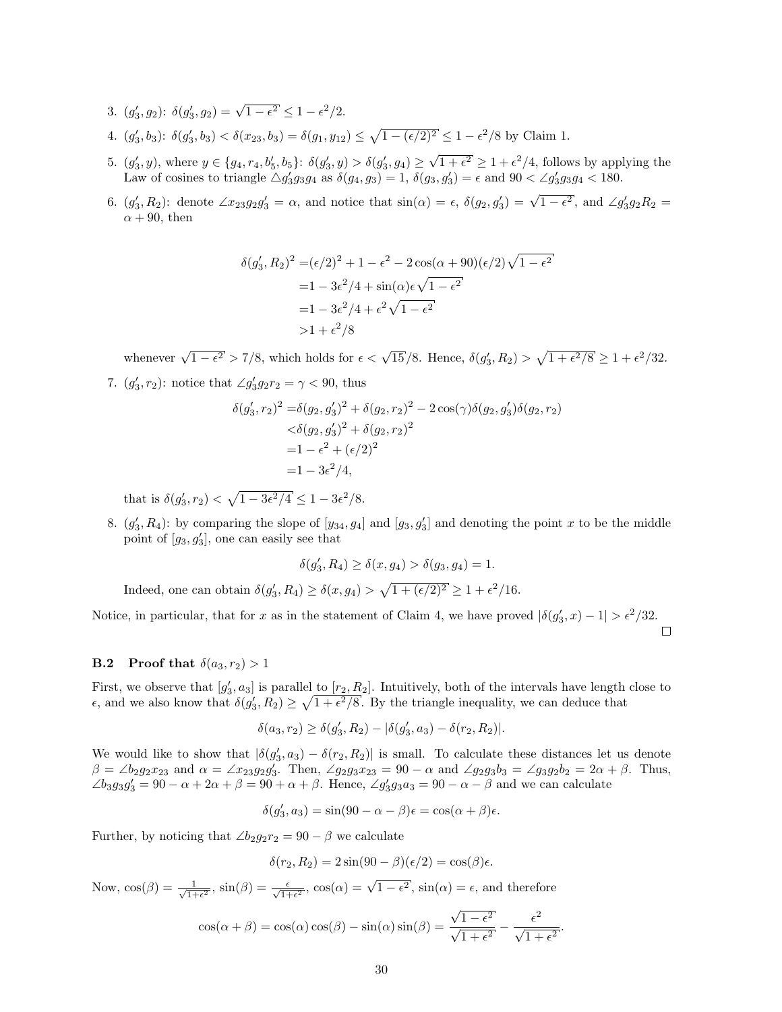- 3.  $(g'_3, g_2)$ :  $\delta(g'_3, g_2) = \sqrt{1 \epsilon^2} \le 1 \epsilon^2/2$ .
- 4.  $(g'_3, b_3)$ :  $\delta(g'_3, b_3) < \delta(x_{23}, b_3) = \delta(g_1, y_{12}) \leq \sqrt{1 (\epsilon/2)^2} \leq 1 \epsilon^2/8$  by Claim 1.
- 5.  $(g'_3, y)$ , where  $y \in \{g_4, r_4, b'_5, b_5\}$ :  $\delta(g'_3, y) > \delta(g'_3, g_4) \geq$ √  $\overline{1+\epsilon^2} \geq 1+\epsilon^2/4$ , follows by applying the Law of cosines to triangle  $\triangle g'_{3}g_{3}g_{4}$  as  $\delta(g_{4}, g_{3}) = 1$ ,  $\delta(g_{3}, g'_{3}) = \epsilon$  and  $90 < \angle g'_{3}g_{3}g_{4} < 180$ .
- 6.  $(g'_3, R_2)$ : denote  $\angle x_{23}g_2g'_3 = \alpha$ , and notice that  $\sin(\alpha) = \epsilon$ ,  $\delta(g_2, g'_3) = \sqrt{1 \epsilon^2}$ , and  $\angle g'_3g_2R_2 =$  $\alpha + 90$ , then

$$
\delta(g'_3, R_2)^2 = (\epsilon/2)^2 + 1 - \epsilon^2 - 2\cos(\alpha + 90)(\epsilon/2)\sqrt{1 - \epsilon^2}
$$
  
=  $1 - 3\epsilon^2/4 + \sin(\alpha)\epsilon\sqrt{1 - \epsilon^2}$   
=  $1 - 3\epsilon^2/4 + \epsilon^2\sqrt{1 - \epsilon^2}$   
>  $1 + \epsilon^2/8$ 

whenever  $\sqrt{1-\epsilon^2} > 7/8$ , which holds for  $\epsilon < \sqrt{15}/8$ . Hence,  $\delta(g'_3, R_2) > \sqrt{1+\epsilon^2/8} \ge 1+\epsilon^2/32$ .

7.  $(g'_3, r_2)$ : notice that  $\angle g'_3 g_2 r_2 = \gamma < 90$ , thus

$$
\delta(g'_3, r_2)^2 = \delta(g_2, g'_3)^2 + \delta(g_2, r_2)^2 - 2\cos(\gamma)\delta(g_2, g'_3)\delta(g_2, r_2)
$$
  

$$
< \delta(g_2, g'_3)^2 + \delta(g_2, r_2)^2
$$
  

$$
= 1 - \epsilon^2 + (\epsilon/2)^2
$$
  

$$
= 1 - 3\epsilon^2/4,
$$

that is  $\delta(g'_3, r_2) < \sqrt{1 - 3\epsilon^2/4} \le 1 - 3\epsilon^2/8$ .

8.  $(g'_3, R_4)$ : by comparing the slope of  $[y_{34}, g_4]$  and  $[g_3, g'_3]$  and denoting the point x to be the middle point of  $[g_3, g'_3]$ , one can easily see that

$$
\delta(g_3', R_4) \ge \delta(x, g_4) > \delta(g_3, g_4) = 1.
$$

Indeed, one can obtain  $\delta(g'_3, R_4) \ge \delta(x, g_4) > \sqrt{1 + (\epsilon/2)^2} \ge 1 + \epsilon^2/16$ .

Notice, in particular, that for x as in the statement of Claim 4, we have proved  $|\delta(g'_3, x) - 1| > \epsilon^2/32$ .  $\Box$ 

#### <span id="page-29-0"></span>**B.2** Proof that  $\delta(a_3, r_2) > 1$

First, we observe that  $[g'_3, a_3]$  is parallel to  $[r_2, R_2]$ . Intuitively, both of the intervals have length close to  $\epsilon$ , and we also know that  $\delta(g'_3, R_2) \geq \sqrt{1 + \epsilon^2/8}$ . By the triangle inequality, we can deduce that

$$
\delta(a_3, r_2) \ge \delta(g'_3, R_2) - |\delta(g'_3, a_3) - \delta(r_2, R_2)|.
$$

We would like to show that  $|\delta(g'_3, a_3) - \delta(r_2, R_2)|$  is small. To calculate these distances let us denote  $\beta = \angle b_2 g_2 x_{23}$  and  $\alpha = \angle x_{23} g_2 g_3'$ . Then,  $\angle g_2 g_3 x_{23} = 90 - \alpha$  and  $\angle g_2 g_3 b_3 = \angle g_3 g_2 b_2 = 2\alpha + \beta$ . Thus,  $\angle b_3g_3g_3' = 90 - \alpha + 2\alpha + \beta = 90 + \alpha + \beta$ . Hence,  $\angle g_3'g_3a_3 = 90 - \alpha - \beta$  and we can calculate

$$
\delta(g_3',a_3)=\sin(90-\alpha-\beta)\epsilon=\cos(\alpha+\beta)\epsilon.
$$

Further, by noticing that  $\angle b_2 g_2 r_2 = 90 - \beta$  we calculate

$$
\delta(r_2, R_2) = 2\sin(90 - \beta)(\epsilon/2) = \cos(\beta)\epsilon.
$$

Now,  $\cos(\beta) = \frac{1}{\sqrt{1+\beta}}$  $\frac{1}{1+\epsilon^2}$ ,  $\sin(\beta) = \frac{\epsilon}{\sqrt{1+\epsilon^2}}$ ,  $\cos(\alpha) = \sqrt{1-\epsilon^2}$ ,  $\sin(\alpha) = \epsilon$ , and therefore √

$$
\cos(\alpha + \beta) = \cos(\alpha)\cos(\beta) - \sin(\alpha)\sin(\beta) = \frac{\sqrt{1 - \epsilon^2}}{\sqrt{1 + \epsilon^2}} - \frac{\epsilon^2}{\sqrt{1 + \epsilon^2}}.
$$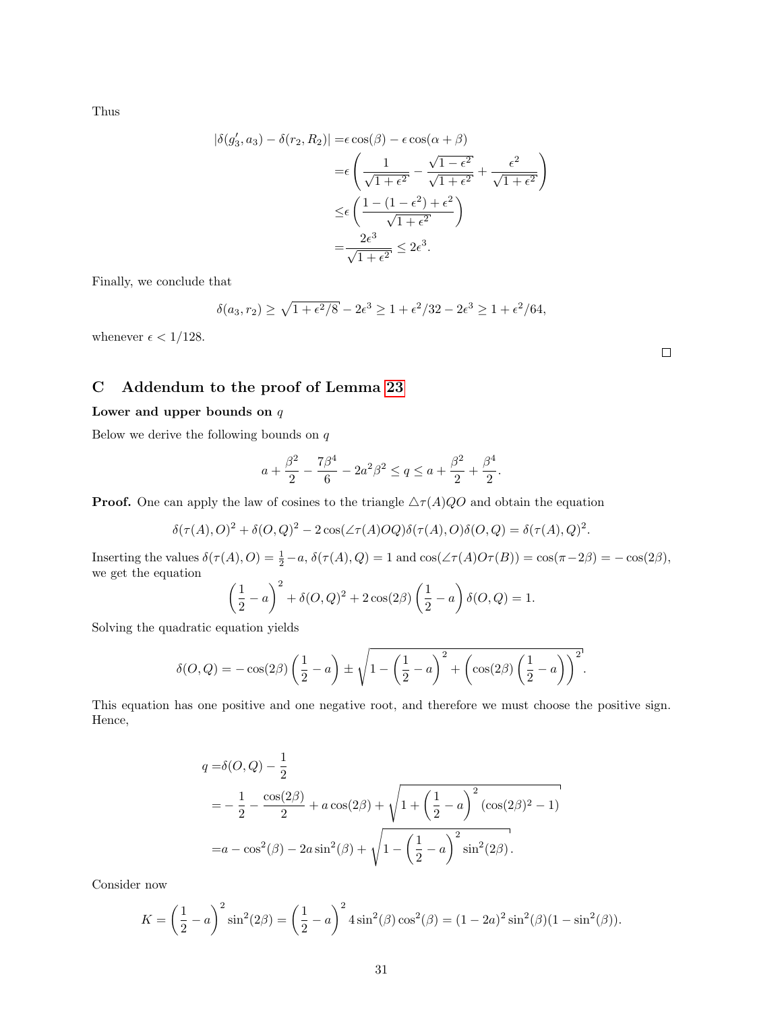Thus

$$
|\delta(g'_3, a_3) - \delta(r_2, R_2)| = \epsilon \cos(\beta) - \epsilon \cos(\alpha + \beta)
$$
  

$$
= \epsilon \left( \frac{1}{\sqrt{1 + \epsilon^2}} - \frac{\sqrt{1 - \epsilon^2}}{\sqrt{1 + \epsilon^2}} + \frac{\epsilon^2}{\sqrt{1 + \epsilon^2}} \right)
$$
  

$$
\leq \epsilon \left( \frac{1 - (1 - \epsilon^2) + \epsilon^2}{\sqrt{1 + \epsilon^2}} \right)
$$
  

$$
= \frac{2\epsilon^3}{\sqrt{1 + \epsilon^2}} \leq 2\epsilon^3.
$$

Finally, we conclude that

$$
\delta(a_3, r_2) \ge \sqrt{1 + \epsilon^2/8} - 2\epsilon^3 \ge 1 + \epsilon^2/32 - 2\epsilon^3 \ge 1 + \epsilon^2/64,
$$

whenever  $\epsilon < 1/128$ .

### <span id="page-30-0"></span>C Addendum to the proof of Lemma [23](#page-22-1)

#### Lower and upper bounds on  $q$

Below we derive the following bounds on  $q$ 

$$
a + \frac{\beta^2}{2} - \frac{7\beta^4}{6} - 2a^2\beta^2 \le q \le a + \frac{\beta^2}{2} + \frac{\beta^4}{2}
$$

.

**Proof.** One can apply the law of cosines to the triangle  $\Delta \tau(A)QO$  and obtain the equation

$$
\delta(\tau(A), O)^2 + \delta(O, Q)^2 - 2\cos(\angle \tau(A)OQ)\delta(\tau(A), O)\delta(O, Q) = \delta(\tau(A), Q)^2.
$$

Inserting the values  $\delta(\tau(A), O) = \frac{1}{2} - a$ ,  $\delta(\tau(A), Q) = 1$  and  $\cos(\angle \tau(A)O\tau(B)) = \cos(\pi - 2\beta) = -\cos(2\beta)$ , we get the equation

$$
\left(\frac{1}{2} - a\right)^2 + \delta(O, Q)^2 + 2\cos(2\beta)\left(\frac{1}{2} - a\right)\delta(O, Q) = 1.
$$

Solving the quadratic equation yields

$$
\delta(O,Q) = -\cos(2\beta)\left(\frac{1}{2}-a\right) \pm \sqrt{1-\left(\frac{1}{2}-a\right)^2+\left(\cos(2\beta)\left(\frac{1}{2}-a\right)\right)^2}.
$$

This equation has one positive and one negative root, and therefore we must choose the positive sign. Hence,

$$
q = \delta(O, Q) - \frac{1}{2}
$$
  
=  $-\frac{1}{2} - \frac{\cos(2\beta)}{2} + a\cos(2\beta) + \sqrt{1 + (\frac{1}{2} - a)^2 (\cos(2\beta)^2 - 1)}$   
=  $a - \cos^2(\beta) - 2a\sin^2(\beta) + \sqrt{1 - (\frac{1}{2} - a)^2 \sin^2(2\beta)}$ .

Consider now

$$
K = \left(\frac{1}{2} - a\right)^2 \sin^2(2\beta) = \left(\frac{1}{2} - a\right)^2 4 \sin^2(\beta) \cos^2(\beta) = (1 - 2a)^2 \sin^2(\beta)(1 - \sin^2(\beta)).
$$

 $\Box$